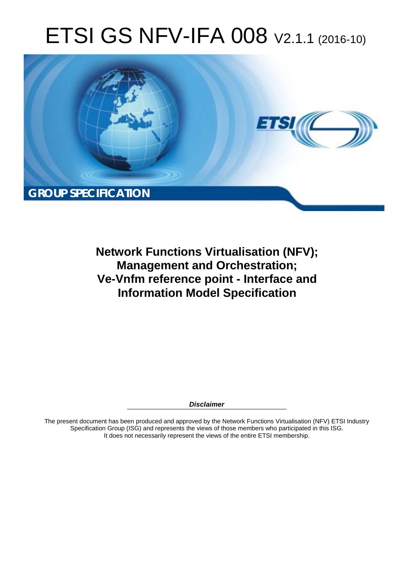# ETSI GS NFV-IFA 008 V2.1.1 (2016-10)



**Network Functions Virtualisation (NFV); Management and Orchestration; Ve-Vnfm reference point - Interface and Information Model Specification** 

*Disclaimer* 

The present document has been produced and approved by the Network Functions Virtualisation (NFV) ETSI Industry Specification Group (ISG) and represents the views of those members who participated in this ISG. It does not necessarily represent the views of the entire ETSI membership.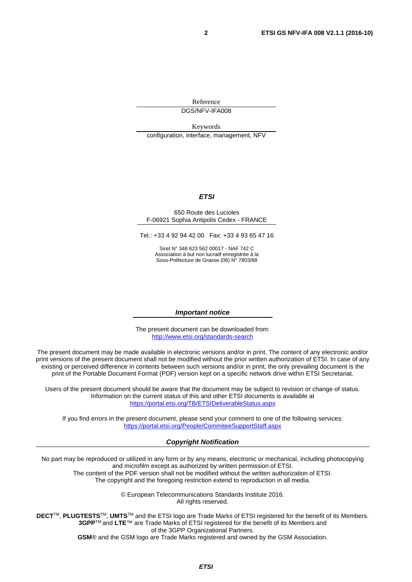Reference DGS/NFV-IFA008

Keywords configuration, interface, management, NFV

#### *ETSI*

#### 650 Route des Lucioles F-06921 Sophia Antipolis Cedex - FRANCE

Tel.: +33 4 92 94 42 00 Fax: +33 4 93 65 47 16

Siret N° 348 623 562 00017 - NAF 742 C Association à but non lucratif enregistrée à la Sous-Préfecture de Grasse (06) N° 7803/88

#### *Important notice*

The present document can be downloaded from: <http://www.etsi.org/standards-search>

The present document may be made available in electronic versions and/or in print. The content of any electronic and/or print versions of the present document shall not be modified without the prior written authorization of ETSI. In case of any existing or perceived difference in contents between such versions and/or in print, the only prevailing document is the print of the Portable Document Format (PDF) version kept on a specific network drive within ETSI Secretariat.

Users of the present document should be aware that the document may be subject to revision or change of status. Information on the current status of this and other ETSI documents is available at <https://portal.etsi.org/TB/ETSIDeliverableStatus.aspx>

If you find errors in the present document, please send your comment to one of the following services: <https://portal.etsi.org/People/CommiteeSupportStaff.aspx>

#### *Copyright Notification*

No part may be reproduced or utilized in any form or by any means, electronic or mechanical, including photocopying and microfilm except as authorized by written permission of ETSI.

The content of the PDF version shall not be modified without the written authorization of ETSI. The copyright and the foregoing restriction extend to reproduction in all media.

> © European Telecommunications Standards Institute 2016. All rights reserved.

**DECT**TM, **PLUGTESTS**TM, **UMTS**TM and the ETSI logo are Trade Marks of ETSI registered for the benefit of its Members. **3GPP**TM and **LTE**™ are Trade Marks of ETSI registered for the benefit of its Members and of the 3GPP Organizational Partners.

**GSM**® and the GSM logo are Trade Marks registered and owned by the GSM Association.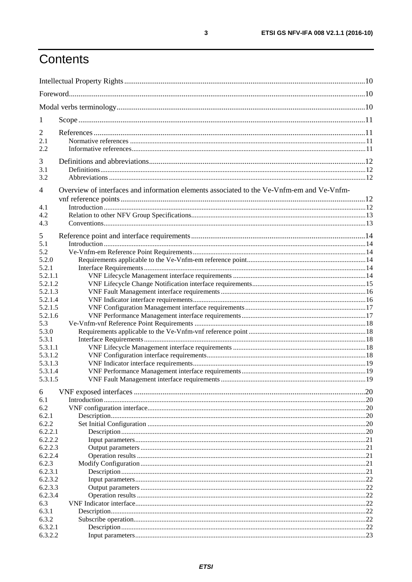# Contents

| 1                  |                                                                                           |     |
|--------------------|-------------------------------------------------------------------------------------------|-----|
| $\overline{2}$     |                                                                                           |     |
| 2.1                |                                                                                           |     |
| 2.2                |                                                                                           |     |
|                    |                                                                                           |     |
| 3                  |                                                                                           |     |
| 3.1                |                                                                                           |     |
| 3.2                |                                                                                           |     |
| 4                  | Overview of interfaces and information elements associated to the Ve-Vnfm-em and Ve-Vnfm- |     |
|                    |                                                                                           |     |
| 4.1                |                                                                                           |     |
| 4.2                |                                                                                           |     |
| 4.3                |                                                                                           |     |
|                    |                                                                                           |     |
| 5                  |                                                                                           |     |
| 5.1                |                                                                                           |     |
| 5.2                |                                                                                           |     |
| 5.2.0              |                                                                                           |     |
| 5.2.1              |                                                                                           |     |
| 5.2.1.1            |                                                                                           |     |
| 5.2.1.2            |                                                                                           |     |
| 5.2.1.3            |                                                                                           |     |
| 5.2.1.4            |                                                                                           |     |
| 5.2.1.5            |                                                                                           |     |
| 5.2.1.6            |                                                                                           |     |
| 5.3                |                                                                                           |     |
| 5.3.0              |                                                                                           |     |
| 5.3.1              |                                                                                           |     |
| 5.3.1.1<br>5.3.1.2 |                                                                                           |     |
| 5.3.1.3            |                                                                                           |     |
| 5.3.1.4            |                                                                                           |     |
| 5.3.1.5            |                                                                                           |     |
|                    |                                                                                           |     |
| 6                  |                                                                                           | .20 |
| 6.1                |                                                                                           |     |
| 6.2                |                                                                                           |     |
| 6.2.1              |                                                                                           |     |
| 6.2.2              |                                                                                           |     |
| 6.2.2.1            |                                                                                           |     |
| 6.2.2.2            |                                                                                           |     |
| 6.2.2.3            |                                                                                           |     |
| 6.2.2.4            |                                                                                           | 21  |
| 6.2.3              |                                                                                           |     |
| 6.2.3.1            |                                                                                           |     |
| 6.2.3.2            |                                                                                           |     |
| 6.2.3.3            |                                                                                           | 22  |
| 6.2.3.4            |                                                                                           | .22 |
| 6.3                |                                                                                           | .22 |
| 6.3.1              |                                                                                           |     |
| 6.3.2<br>6.3.2.1   |                                                                                           |     |
| 6.3.2.2            |                                                                                           |     |
|                    |                                                                                           |     |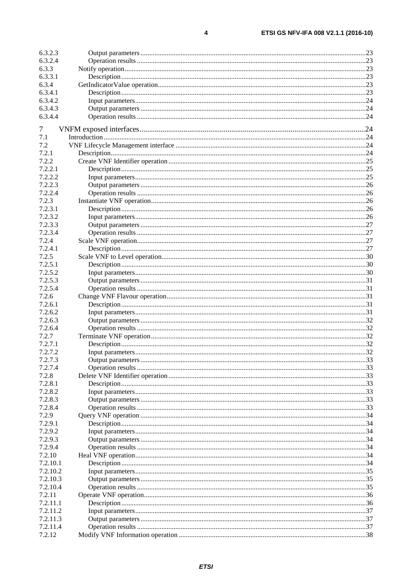$\overline{\mathbf{4}}$ 

| 6.3.2.3  |  |
|----------|--|
| 6.3.2.4  |  |
| 6.3.3    |  |
| 6.3.3.1  |  |
| 6.3.4    |  |
| 6.3.4.1  |  |
| 6.3.4.2  |  |
| 6.3.4.3  |  |
| 6.3.4.4  |  |
|          |  |
| 7        |  |
| 7.1      |  |
| 7.2      |  |
| 7.2.1    |  |
| 7.2.2    |  |
| 7.2.2.1  |  |
| 7.2.2.2  |  |
| 7.2.2.3  |  |
| 7.2.2.4  |  |
| 7.2.3    |  |
| 7.2.3.1  |  |
| 7.2.3.2  |  |
| 7.2.3.3  |  |
| 7.2.3.4  |  |
| 7.2.4    |  |
| 7.2.4.1  |  |
| 7.2.5    |  |
| 7.2.5.1  |  |
| 7.2.5.2  |  |
| 7.2.5.3  |  |
| 7.2.5.4  |  |
| 7.2.6    |  |
| 7.2.6.1  |  |
| 7.2.6.2  |  |
| 7.2.6.3  |  |
| 7.2.6.4  |  |
| 7.2.7    |  |
| 7.2.7.1  |  |
| 7.2.7.2  |  |
| 7.2.7.3  |  |
| 7.2.7.4  |  |
| 7.2.8    |  |
| 7.2.8.1  |  |
| 7.2.8.2  |  |
| 7.2.8.3  |  |
| 7.2.8.4  |  |
| 7.2.9    |  |
| 7.2.9.1  |  |
| 7.2.9.2  |  |
| 7.2.9.3  |  |
| 7.2.9.4  |  |
| 7.2.10   |  |
| 7.2.10.1 |  |
| 7.2.10.2 |  |
| 7.2.10.3 |  |
| 7.2.10.4 |  |
| 7.2.11   |  |
| 7.2.11.1 |  |
| 7.2.11.2 |  |
| 7.2.11.3 |  |
| 7.2.11.4 |  |
| 7.2.12   |  |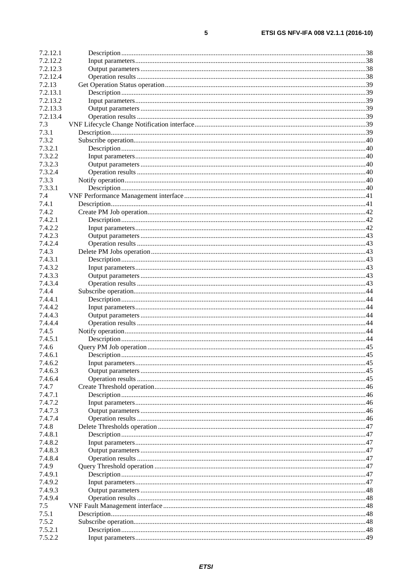| 7.2.12.1           |  |
|--------------------|--|
| 7.2.12.2           |  |
| 7.2.12.3           |  |
| 7.2.12.4           |  |
| 7.2.13             |  |
| 7.2.13.1           |  |
| 7.2.13.2           |  |
| 7.2.13.3           |  |
| 7.2.13.4           |  |
| 7.3                |  |
| 7.3.1              |  |
| 7.3.2              |  |
| 7.3.2.1            |  |
| 7.3.2.2            |  |
| 7.3.2.3            |  |
| 7.3.2.4            |  |
| 7.3.3              |  |
| 7.3.3.1            |  |
| 7.4                |  |
| 7.4.1              |  |
| 7.4.2              |  |
| 7.4.2.1            |  |
| 7.4.2.2            |  |
| 7.4.2.3            |  |
| 7.4.2.4            |  |
| 7.4.3              |  |
| 7.4.3.1            |  |
| 7.4.3.2            |  |
| 7.4.3.3            |  |
| 7.4.3.4            |  |
| 7.4.4              |  |
| 7.4.4.1            |  |
| 7.4.4.2            |  |
| 7.4.4.3            |  |
| 7.4.4.4            |  |
| 7.4.5              |  |
| 7.4.5.1            |  |
| 7.4.6              |  |
| 7.4.6.1            |  |
| 7.4.6.2            |  |
| 7.4.6.3            |  |
| 7.4.6.4            |  |
| 7.4.7              |  |
| 7.4.7.1            |  |
| 7.4.7.2<br>7.4.7.3 |  |
| 7.4.7.4            |  |
| 7.4.8              |  |
| 7.4.8.1            |  |
| 7.4.8.2            |  |
| 7.4.8.3            |  |
| 7.4.8.4            |  |
| 7.4.9              |  |
| 7.4.9.1            |  |
| 7.4.9.2            |  |
| 7.4.9.3            |  |
| 7.4.9.4            |  |
| 7.5                |  |
| 7.5.1              |  |
| 7.5.2              |  |
| 7.5.2.1            |  |
| 7.5.2.2            |  |
|                    |  |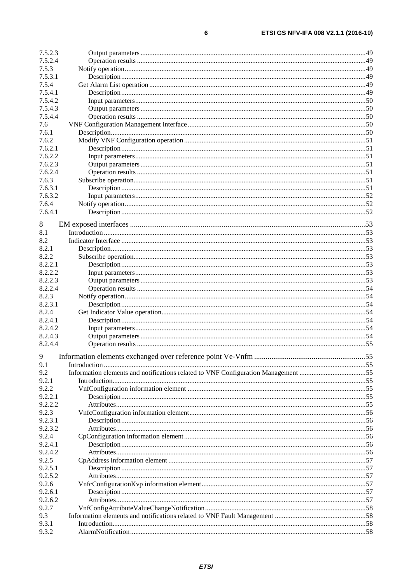| 7.5.2.3 |                                                                                   |  |
|---------|-----------------------------------------------------------------------------------|--|
| 7.5.2.4 |                                                                                   |  |
| 7.5.3   |                                                                                   |  |
| 7.5.3.1 |                                                                                   |  |
| 7.5.4   |                                                                                   |  |
| 7.5.4.1 |                                                                                   |  |
| 7.5.4.2 |                                                                                   |  |
| 7.5.4.3 |                                                                                   |  |
| 7.5.4.4 |                                                                                   |  |
| 7.6     |                                                                                   |  |
| 7.6.1   |                                                                                   |  |
| 7.6.2   |                                                                                   |  |
| 7.6.2.1 |                                                                                   |  |
| 7.6.2.2 |                                                                                   |  |
| 7.6.2.3 |                                                                                   |  |
| 7.6.2.4 |                                                                                   |  |
| 7.6.3   |                                                                                   |  |
| 7.6.3.1 |                                                                                   |  |
| 7.6.3.2 |                                                                                   |  |
| 7.6.4   |                                                                                   |  |
| 7.6.4.1 |                                                                                   |  |
|         |                                                                                   |  |
| 8       |                                                                                   |  |
| 8.1     |                                                                                   |  |
| 8.2     |                                                                                   |  |
| 8.2.1   |                                                                                   |  |
| 8.2.2   |                                                                                   |  |
| 8.2.2.1 |                                                                                   |  |
| 8.2.2.2 |                                                                                   |  |
| 8.2.2.3 |                                                                                   |  |
| 8.2.2.4 |                                                                                   |  |
| 8.2.3   |                                                                                   |  |
| 8.2.3.1 |                                                                                   |  |
| 8.2.4   |                                                                                   |  |
| 8.2.4.1 |                                                                                   |  |
| 8.2.4.2 |                                                                                   |  |
| 8.2.4.3 |                                                                                   |  |
| 8.2.4.4 |                                                                                   |  |
|         |                                                                                   |  |
| 9       |                                                                                   |  |
| 9.1     |                                                                                   |  |
| 9.2     | Information elements and notifications related to VNF Configuration Management 55 |  |
| 9.2.1   |                                                                                   |  |
| 9.2.2   |                                                                                   |  |
| 9.2.2.1 |                                                                                   |  |
| 9.2.2.2 |                                                                                   |  |
| 9.2.3   |                                                                                   |  |
| 9.2.3.1 |                                                                                   |  |
| 9.2.3.2 |                                                                                   |  |
| 9.2.4   |                                                                                   |  |
| 9.2.4.1 |                                                                                   |  |
| 9.2.4.2 |                                                                                   |  |
| 9.2.5   |                                                                                   |  |
| 9.2.5.1 |                                                                                   |  |
| 9.2.5.2 |                                                                                   |  |
| 9.2.6   |                                                                                   |  |
| 9.2.6.1 |                                                                                   |  |
| 9.2.6.2 |                                                                                   |  |
| 9.2.7   |                                                                                   |  |
| 9.3     |                                                                                   |  |
| 9.3.1   |                                                                                   |  |
| 9.3.2   |                                                                                   |  |
|         |                                                                                   |  |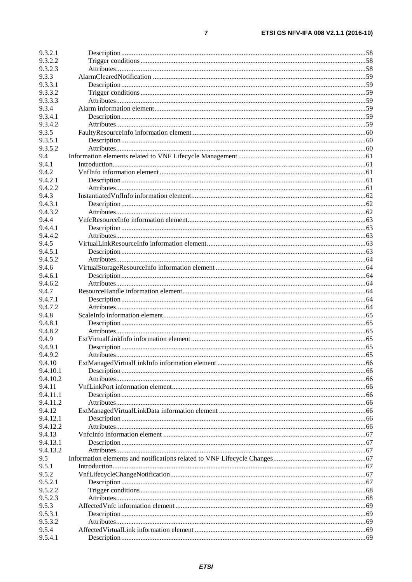$\overline{7}$ 

| 9.3.2.1            |  |
|--------------------|--|
| 9.3.2.2            |  |
| 9.3.2.3            |  |
| 9.3.3              |  |
| 9.3.3.1            |  |
| 9.3.3.2            |  |
| 9.3.3.3            |  |
| 9.3.4              |  |
| 9.3.4.1            |  |
| 9.3.4.2            |  |
| 9.3.5              |  |
| 9.3.5.1            |  |
| 9.3.5.2            |  |
| 9.4                |  |
| 9.4.1              |  |
| 9.4.2              |  |
| 9.4.2.1            |  |
| 9.4.2.2            |  |
| 9.4.3              |  |
| 9.4.3.1            |  |
| 9.4.3.2            |  |
| 9.4.4              |  |
| 9.4.4.1            |  |
| 9.4.4.2<br>9.4.5   |  |
|                    |  |
| 9.4.5.1<br>9.4.5.2 |  |
| 9.4.6              |  |
| 9.4.6.1            |  |
| 9.4.6.2            |  |
| 9.4.7              |  |
| 9.4.7.1            |  |
| 9.4.7.2            |  |
| 9.4.8              |  |
| 9.4.8.1            |  |
| 9.4.8.2            |  |
| 9.4.9              |  |
| 9.4.9.1            |  |
| 9.4.9.2            |  |
| 9.4.10             |  |
| 9.4.10.1           |  |
| 9.4.10.2           |  |
| 9.4.11             |  |
| 9.4.11.1           |  |
| 9.4.11.2           |  |
| 9.4.12             |  |
| 9.4.12.1           |  |
| 9.4.12.2           |  |
| 9.4.13             |  |
| 9.4.13.1           |  |
| 9.4.13.2           |  |
| 9.5                |  |
| 9.5.1              |  |
| 9.5.2              |  |
| 9.5.2.1            |  |
| 9.5.2.2            |  |
| 9.5.2.3            |  |
| 9.5.3              |  |
| 9.5.3.1            |  |
| 9.5.3.2            |  |
| 9.5.4              |  |
| 9.5.4.1            |  |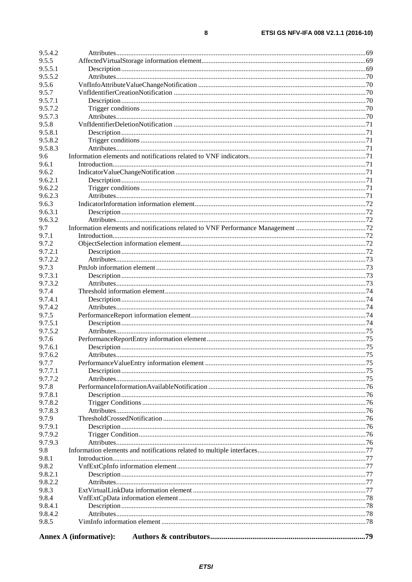| 9.5.4.2          |                               |  |  |  |
|------------------|-------------------------------|--|--|--|
| 9.5.5            |                               |  |  |  |
| 9.5.5.1          |                               |  |  |  |
| 9.5.5.2          |                               |  |  |  |
| 9.5.6            |                               |  |  |  |
| 9.5.7            |                               |  |  |  |
| 9.5.7.1          |                               |  |  |  |
| 9.5.7.2          |                               |  |  |  |
| 9.5.7.3          |                               |  |  |  |
| 9.5.8            |                               |  |  |  |
| 9.5.8.1          |                               |  |  |  |
| 9.5.8.2          |                               |  |  |  |
| 9.5.8.3          |                               |  |  |  |
| 9.6              |                               |  |  |  |
| 9.6.1            |                               |  |  |  |
| 9.6.2            |                               |  |  |  |
| 9.6.2.1          |                               |  |  |  |
| 9.6.2.2          |                               |  |  |  |
| 9.6.2.3          |                               |  |  |  |
| 9.6.3            |                               |  |  |  |
| 9.6.3.1          |                               |  |  |  |
| 9.6.3.2          |                               |  |  |  |
| 9.7              |                               |  |  |  |
| 9.7.1            |                               |  |  |  |
| 9.7.2            |                               |  |  |  |
| 9.7.2.1          |                               |  |  |  |
| 9.7.2.2          |                               |  |  |  |
| 9.7.3            |                               |  |  |  |
| 9.7.3.1          |                               |  |  |  |
| 9.7.3.2          |                               |  |  |  |
| 9.7.4            |                               |  |  |  |
| 9.7.4.1          |                               |  |  |  |
| 9.7.4.2<br>9.7.5 |                               |  |  |  |
| 9.7.5.1          |                               |  |  |  |
| 9.7.5.2          |                               |  |  |  |
| 9.7.6            |                               |  |  |  |
| 9.7.6.1          |                               |  |  |  |
| 9.7.6.2          |                               |  |  |  |
| 9.7.7            |                               |  |  |  |
| 9.7.7.1          |                               |  |  |  |
| 9.7.7.2          |                               |  |  |  |
| 9.7.8            |                               |  |  |  |
| 9.7.8.1          |                               |  |  |  |
| 9.7.8.2          |                               |  |  |  |
| 9.7.8.3          |                               |  |  |  |
| 9.7.9            |                               |  |  |  |
| 9.7.9.1          |                               |  |  |  |
| 9.7.9.2          |                               |  |  |  |
| 9.7.9.3          |                               |  |  |  |
| 9.8              |                               |  |  |  |
| 9.8.1            |                               |  |  |  |
| 9.8.2            |                               |  |  |  |
| 9.8.2.1          |                               |  |  |  |
| 9.8.2.2          |                               |  |  |  |
| 9.8.3            |                               |  |  |  |
| 9.8.4            |                               |  |  |  |
| 9.8.4.1          |                               |  |  |  |
| 9.8.4.2          |                               |  |  |  |
| 9.8.5            |                               |  |  |  |
|                  | <b>Annex A (informative):</b> |  |  |  |
|                  |                               |  |  |  |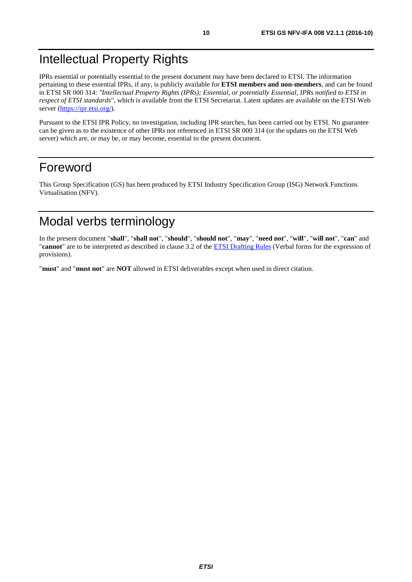# <span id="page-9-0"></span>Intellectual Property Rights

IPRs essential or potentially essential to the present document may have been declared to ETSI. The information pertaining to these essential IPRs, if any, is publicly available for **ETSI members and non-members**, and can be found in ETSI SR 000 314: *"Intellectual Property Rights (IPRs); Essential, or potentially Essential, IPRs notified to ETSI in respect of ETSI standards"*, which is available from the ETSI Secretariat. Latest updates are available on the ETSI Web server (<https://ipr.etsi.org/>).

Pursuant to the ETSI IPR Policy, no investigation, including IPR searches, has been carried out by ETSI. No guarantee can be given as to the existence of other IPRs not referenced in ETSI SR 000 314 (or the updates on the ETSI Web server) which are, or may be, or may become, essential to the present document.

# Foreword

This Group Specification (GS) has been produced by ETSI Industry Specification Group (ISG) Network Functions Virtualisation (NFV).

# Modal verbs terminology

In the present document "**shall**", "**shall not**", "**should**", "**should not**", "**may**", "**need not**", "**will**", "**will not**", "**can**" and "**cannot**" are to be interpreted as described in clause 3.2 of the [ETSI Drafting Rules](https://portal.etsi.org/Services/editHelp!/Howtostart/ETSIDraftingRules.aspx) (Verbal forms for the expression of provisions).

"**must**" and "**must not**" are **NOT** allowed in ETSI deliverables except when used in direct citation.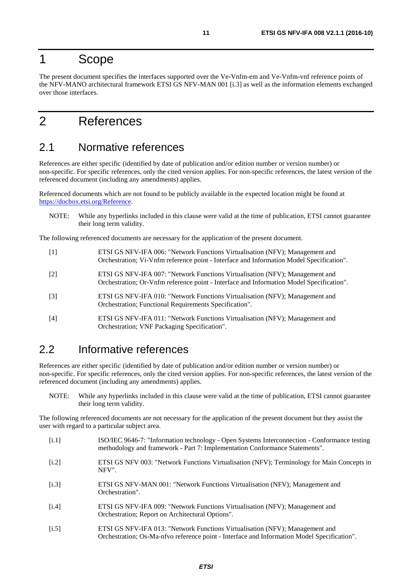# <span id="page-10-0"></span>1 Scope

The present document specifies the interfaces supported over the Ve-Vnfm-em and Ve-Vnfm-vnf reference points of the NFV-MANO architectural framework ETSI GS NFV-MAN 001 [i.3] as well as the information elements exchanged over those interfaces.

# 2 References

# 2.1 Normative references

References are either specific (identified by date of publication and/or edition number or version number) or non-specific. For specific references, only the cited version applies. For non-specific references, the latest version of the referenced document (including any amendments) applies.

Referenced documents which are not found to be publicly available in the expected location might be found at [https://docbox.etsi.org/Reference](https://docbox.etsi.org/Reference/).

NOTE: While any hyperlinks included in this clause were valid at the time of publication, ETSI cannot guarantee their long term validity.

The following referenced documents are necessary for the application of the present document.

- [1] ETSI GS NFV-IFA 006: "Network Functions Virtualisation (NFV); Management and Orchestration; Vi-Vnfm reference point - Interface and Information Model Specification".
- [2] ETSI GS NFV-IFA 007: "Network Functions Virtualisation (NFV); Management and Orchestration; Or-Vnfm reference point - Interface and Information Model Specification".
- [3] ETSI GS NFV-IFA 010: "Network Functions Virtualisation (NFV); Management and Orchestration; Functional Requirements Specification".
- [4] ETSI GS NFV-IFA 011: "Network Functions Virtualisation (NFV); Management and Orchestration; VNF Packaging Specification".

# 2.2 Informative references

References are either specific (identified by date of publication and/or edition number or version number) or non-specific. For specific references, only the cited version applies. For non-specific references, the latest version of the referenced document (including any amendments) applies.

NOTE: While any hyperlinks included in this clause were valid at the time of publication, ETSI cannot guarantee their long term validity.

The following referenced documents are not necessary for the application of the present document but they assist the user with regard to a particular subject area.

- [i.1] ISO/IEC 9646-7: "Information technology Open Systems Interconnection Conformance testing methodology and framework - Part 7: Implementation Conformance Statements".
- [i.2] ETSI GS NFV 003: "Network Functions Virtualisation (NFV); Terminology for Main Concepts in NFV".
- [i.3] ETSI GS NFV-MAN 001: "Network Functions Virtualisation (NFV); Management and Orchestration".
- [i.4] ETSI GS NFV-IFA 009: "Network Functions Virtualisation (NFV); Management and Orchestration; Report on Architectural Options".
- [i.5] ETSI GS NFV-IFA 013: "Network Functions Virtualisation (NFV); Management and Orchestration; Os-Ma-nfvo reference point - Interface and Information Model Specification".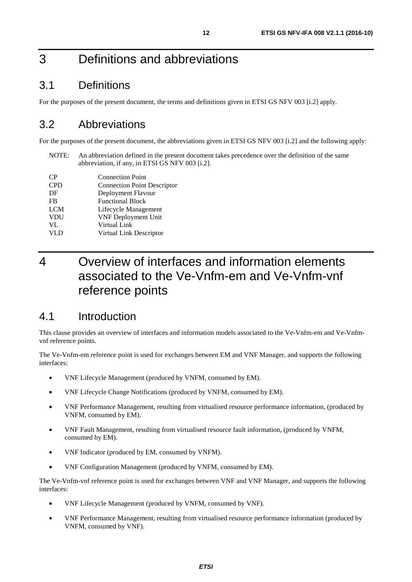# <span id="page-11-0"></span>3 Definitions and abbreviations

# 3.1 Definitions

For the purposes of the present document, the terms and definitions given in ETSI GS NFV 003 [\[i.2](#page-10-0)] apply.

# 3.2 Abbreviations

For the purposes of the present document, the abbreviations given in ETSI GS NFV 003 [\[i.2\]](#page-10-0) and the following apply:

NOTE: An abbreviation defined in the present document takes precedence over the definition of the same abbreviation, if any, in ETSI GS NFV 003 [[i.2](#page-10-0)].

| CP         | <b>Connection Point</b>            |
|------------|------------------------------------|
| <b>CPD</b> | <b>Connection Point Descriptor</b> |
| DF         | Deployment Flavour                 |
| <b>FB</b>  | <b>Functional Block</b>            |
| <b>LCM</b> | Lifecycle Management               |
| <b>VDU</b> | <b>VNF Deployment Unit</b>         |
| VL         | Virtual Link                       |
| <b>VLD</b> | Virtual Link Descriptor            |
|            |                                    |

# 4 Overview of interfaces and information elements associated to the Ve-Vnfm-em and Ve-Vnfm-vnf reference points

# 4.1 Introduction

This clause provides an overview of interfaces and information models associated to the Ve-Vnfm-em and Ve-Vnfmvnf reference points.

The Ve-Vnfm-em reference point is used for exchanges between EM and VNF Manager, and supports the following interfaces:

- VNF Lifecycle Management (produced by VNFM, consumed by EM).
- VNF Lifecycle Change Notifications (produced by VNFM, consumed by EM).
- VNF Performance Management, resulting from virtualised resource performance information, (produced by VNFM, consumed by EM).
- VNF Fault Management, resulting from virtualised resource fault information, (produced by VNFM, consumed by EM).
- VNF Indicator (produced by EM, consumed by VNFM).
- VNF Configuration Management (produced by VNFM, consumed by EM).

The Ve-Vnfm-vnf reference point is used for exchanges between VNF and VNF Manager, and supports the following interfaces:

- VNF Lifecycle Management (produced by VNFM, consumed by VNF).
- VNF Performance Management, resulting from virtualised resource performance information (produced by VNFM, consumed by VNF).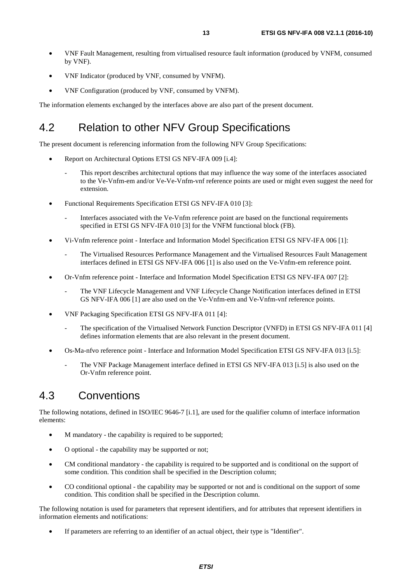- <span id="page-12-0"></span>• VNF Fault Management, resulting from virtualised resource fault information (produced by VNFM, consumed by VNF).
- VNF Indicator (produced by VNF, consumed by VNFM).
- VNF Configuration (produced by VNF, consumed by VNFM).

The information elements exchanged by the interfaces above are also part of the present document.

# 4.2 Relation to other NFV Group Specifications

The present document is referencing information from the following NFV Group Specifications:

- Report on Architectural Options ETSI GS NFV-IFA 009 [\[i.4\]](#page-10-0):
	- This report describes architectural options that may influence the way some of the interfaces associated to the Ve-Vnfm-em and/or Ve-Ve-Vnfm-vnf reference points are used or might even suggest the need for extension.
- Functional Requirements Specification ETSI GS NFV-IFA 010 [[3\]](#page-10-0):
	- Interfaces associated with the Ve-Vnfm reference point are based on the functional requirements specified in ETSI GS NFV-IFA 010 [[3\]](#page-10-0) for the VNFM functional block (FB).
- Vi-Vnfm reference point Interface and Information Model Specification ETSI GS NFV-IFA 006 [\[1\]](#page-10-0):
	- The Virtualised Resources Performance Management and the Virtualised Resources Fault Management interfaces defined in ETSI GS NFV-IFA 006 [[1\]](#page-10-0) is also used on the Ve-Vnfm-em reference point.
- Or-Vnfm reference point Interface and Information Model Specification ETSI GS NFV-IFA 007 [\[2](#page-10-0)]:
	- The VNF Lifecycle Management and VNF Lifecycle Change Notification interfaces defined in ETSI GS NFV-IFA 006 [\[1](#page-10-0)] are also used on the Ve-Vnfm-em and Ve-Vnfm-vnf reference points.
- VNF Packaging Specification ETSI GS NFV-IFA 011 [\[4](#page-10-0)]:
	- The specification of the Virtualised Network Function Descriptor (VNFD) in ETSI GS NFV-IFA 011 [[4\]](#page-10-0) defines information elements that are also relevant in the present document.
- Os-Ma-nfvo reference point Interface and Information Model Specification ETSI GS NFV-IFA 013 [[i.5](#page-10-0)]:
	- The VNF Package Management interface defined in ETSI GS NFV-IFA 013 [\[i.5](#page-10-0)] is also used on the Or-Vnfm reference point.

# 4.3 Conventions

The following notations, defined in ISO/IEC 9646-7 [\[i.1\]](#page-10-0), are used for the qualifier column of interface information elements:

- M mandatory the capability is required to be supported;
- O optional the capability may be supported or not;
- CM conditional mandatory the capability is required to be supported and is conditional on the support of some condition. This condition shall be specified in the Description column;
- CO conditional optional the capability may be supported or not and is conditional on the support of some condition. This condition shall be specified in the Description column.

The following notation is used for parameters that represent identifiers, and for attributes that represent identifiers in information elements and notifications:

If parameters are referring to an identifier of an actual object, their type is "Identifier".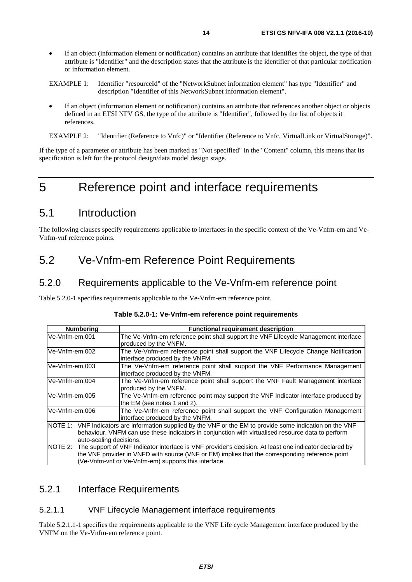- <span id="page-13-0"></span>If an object (information element or notification) contains an attribute that identifies the object, the type of that attribute is "Identifier" and the description states that the attribute is the identifier of that particular notification or information element.
- EXAMPLE 1: Identifier "resourceId" of the "NetworkSubnet information element" has type "Identifier" and description "Identifier of this NetworkSubnet information element".
- If an object (information element or notification) contains an attribute that references another object or objects defined in an ETSI NFV GS, the type of the attribute is "Identifier", followed by the list of objects it references.
- EXAMPLE 2: "Identifier (Reference to Vnfc)" or "Identifier (Reference to Vnfc, VirtualLink or VirtualStorage)".

If the type of a parameter or attribute has been marked as "Not specified" in the "Content" column, this means that its specification is left for the protocol design/data model design stage.

# 5 Reference point and interface requirements

# 5.1 Introduction

The following clauses specify requirements applicable to interfaces in the specific context of the Ve-Vnfm-em and Ve-Vnfm-vnf reference points.

# 5.2 Ve-Vnfm-em Reference Point Requirements

## 5.2.0 Requirements applicable to the Ve-Vnfm-em reference point

Table 5.2.0-1 specifies requirements applicable to the Ve-Vnfm-em reference point.

| <b>Numbering</b> |                         | <b>Functional requirement description</b>                                                                                                                                                                                                                                |
|------------------|-------------------------|--------------------------------------------------------------------------------------------------------------------------------------------------------------------------------------------------------------------------------------------------------------------------|
| Ve-Vnfm-em.001   |                         | The Ve-Vnfm-em reference point shall support the VNF Lifecycle Management interface<br>produced by the VNFM.                                                                                                                                                             |
| Ve-Vnfm-em.002   |                         | The Ve-Vnfm-em reference point shall support the VNF Lifecycle Change Notification<br>interface produced by the VNFM.                                                                                                                                                    |
| Ve-Vnfm-em.003   |                         | The Ve-Vnfm-em reference point shall support the VNF Performance Management<br>interface produced by the VNFM.                                                                                                                                                           |
| Ve-Vnfm-em.004   |                         | The Ve-Vnfm-em reference point shall support the VNF Fault Management interface<br>produced by the VNFM.                                                                                                                                                                 |
| Ve-Vnfm-em.005   |                         | The Ve-Vnfm-em reference point may support the VNF Indicator interface produced by<br>the EM (see notes 1 and 2).                                                                                                                                                        |
| lVe-Vnfm-em.006  |                         | The Ve-Vnfm-em reference point shall support the VNF Configuration Management<br>interface produced by the VNFM.                                                                                                                                                         |
|                  | auto-scaling decisions. | NOTE 1: VNF Indicators are information supplied by the VNF or the EM to provide some indication on the VNF<br>behaviour. VNFM can use these indicators in conjunction with virtualised resource data to perform                                                          |
|                  |                         | NOTE 2: The support of VNF Indicator interface is VNF provider's decision. At least one indicator declared by<br>the VNF provider in VNFD with source (VNF or EM) implies that the corresponding reference point<br>(Ve-Vnfm-vnf or Ve-Vnfm-em) supports this interface. |

### 5.2.1 Interface Requirements

#### 5.2.1.1 VNF Lifecycle Management interface requirements

Table 5.2.1.1-1 specifies the requirements applicable to the VNF Life cycle Management interface produced by the VNFM on the Ve-Vnfm-em reference point.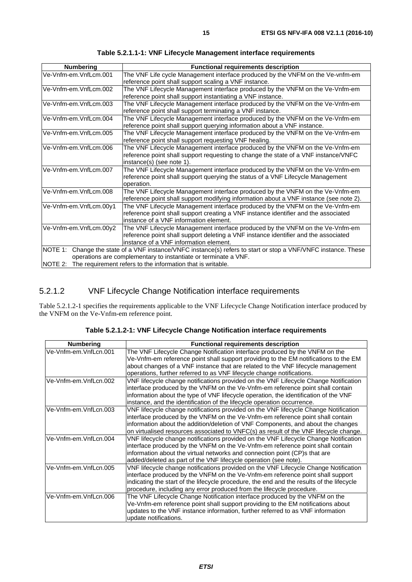<span id="page-14-0"></span>

| <b>Numbering</b>                                                | <b>Functional requirements description</b>                                                             |  |
|-----------------------------------------------------------------|--------------------------------------------------------------------------------------------------------|--|
| Ve-Vnfm-em.VnfLcm.001                                           | The VNF Life cycle Management interface produced by the VNFM on the Ve-vnfm-em                         |  |
|                                                                 | reference point shall support scaling a VNF instance.                                                  |  |
| Ve-Vnfm-em.VnfLcm.002                                           | The VNF Lifecycle Management interface produced by the VNFM on the Ve-Vnfm-em                          |  |
|                                                                 | reference point shall support instantiating a VNF instance.                                            |  |
| Ve-Vnfm-em.VnfLcm.003                                           | The VNF Lifecycle Management interface produced by the VNFM on the Ve-Vnfm-em                          |  |
|                                                                 | reference point shall support terminating a VNF instance.                                              |  |
| Ve-Vnfm-em.VnfLcm.004                                           | The VNF Lifecycle Management interface produced by the VNFM on the Ve-Vnfm-em                          |  |
|                                                                 | reference point shall support querying information about a VNF instance.                               |  |
| Ve-Vnfm-em.VnfLcm.005                                           | The VNF Lifecycle Management interface produced by the VNFM on the Ve-Vnfm-em                          |  |
|                                                                 | reference point shall support requesting VNF healing.                                                  |  |
| Ve-Vnfm-em.VnfLcm.006                                           | The VNF Lifecycle Management interface produced by the VNFM on the Ve-Vnfm-em                          |  |
|                                                                 | reference point shall support requesting to change the state of a VNF instance/VNFC                    |  |
|                                                                 | instance(s) (see note 1).                                                                              |  |
| Ve-Vnfm-em.VnfLcm.007                                           | The VNF Lifecycle Management interface produced by the VNFM on the Ve-Vnfm-em                          |  |
|                                                                 | reference point shall support querying the status of a VNF Lifecycle Management                        |  |
|                                                                 | operation.                                                                                             |  |
| Ve-Vnfm-em.VnfLcm.008                                           | The VNF Lifecycle Management interface produced by the VNFM on the Ve-Vnfm-em                          |  |
|                                                                 | reference point shall support modifying information about a VNF instance (see note 2).                 |  |
| Ve-Vnfm-em.VnfLcm.00y1                                          | The VNF Lifecycle Management interface produced by the VNFM on the Ve-Vnfm-em                          |  |
|                                                                 | reference point shall support creating a VNF instance identifier and the associated                    |  |
|                                                                 | instance of a VNF information element.                                                                 |  |
| Ve-Vnfm-em.VnfLcm.00y2                                          | The VNF Lifecycle Management interface produced by the VNFM on the Ve-Vnfm-em                          |  |
|                                                                 | reference point shall support deleting a VNF instance identifier and the associated                    |  |
|                                                                 | instance of a VNF information element.                                                                 |  |
| NOTE 1:                                                         | Change the state of a VNF instance/VNFC instance(s) refers to start or stop a VNF/VNFC instance. These |  |
| operations are complementary to instantiate or terminate a VNF. |                                                                                                        |  |
|                                                                 | NOTE 2: The requirement refers to the information that is writable.                                    |  |

**Table 5.2.1.1-1: VNF Lifecycle Management interface requirements** 

### 5.2.1.2 VNF Lifecycle Change Notification interface requirements

Table 5.2.1.2-1 specifies the requirements applicable to the VNF Lifecycle Change Notification interface produced by the VNFM on the Ve-Vnfm-em reference point.

| <b>Numbering</b>      | <b>Functional requirements description</b>                                                |
|-----------------------|-------------------------------------------------------------------------------------------|
| Ve-Vnfm-em.VnfLcn.001 | The VNF Lifecycle Change Notification interface produced by the VNFM on the               |
|                       | Ve-Vnfm-em reference point shall support providing to the EM notifications to the EM      |
|                       | about changes of a VNF instance that are related to the VNF lifecycle management          |
|                       | operations, further referred to as VNF lifecycle change notifications.                    |
| Ve-Vnfm-em.VnfLcn.002 | VNF lifecycle change notifications provided on the VNF Lifecycle Change Notification      |
|                       | interface produced by the VNFM on the Ve-Vnfm-em reference point shall contain            |
|                       | information about the type of VNF lifecycle operation, the identification of the VNF      |
|                       | instance, and the identification of the lifecycle operation occurrence.                   |
| Ve-Vnfm-em.VnfLcn.003 | VNF lifecycle change notifications provided on the VNF lifecycle Change Notification      |
|                       | interface produced by the VNFM on the Ve-Vnfm-em reference point shall contain            |
|                       | information about the addition/deletion of VNF Components, and about the changes          |
|                       | on virtualised resources associated to VNFC(s) as result of the VNF lifecycle change.     |
| Ve-Vnfm-em.VnfLcn.004 | VNF lifecycle change notifications provided on the VNF Lifecycle Change Notification      |
|                       | interface produced by the VNFM on the Ve-Vnfm-em reference point shall contain            |
|                       | information about the virtual networks and connection point (CP)s that are                |
|                       | added/deleted as part of the VNF lifecycle operation (see note).                          |
| Ve-Vnfm-em.VnfLcn.005 | VNF lifecycle change notifications provided on the VNF Lifecycle Change Notification      |
|                       | interface produced by the VNFM on the Ve-Vnfm-em reference point shall support            |
|                       | indicating the start of the lifecycle procedure, the end and the results of the lifecycle |
|                       | procedure, including any error produced from the lifecycle procedure.                     |
| Ve-Vnfm-em.VnfLcn.006 | The VNF Lifecycle Change Notification interface produced by the VNFM on the               |
|                       | Ve-Vnfm-em reference point shall support providing to the EM notifications about          |
|                       | updates to the VNF instance information, further referred to as VNF information           |
|                       | update notifications.                                                                     |

**Table 5.2.1.2-1: VNF Lifecycle Change Notification interface requirements**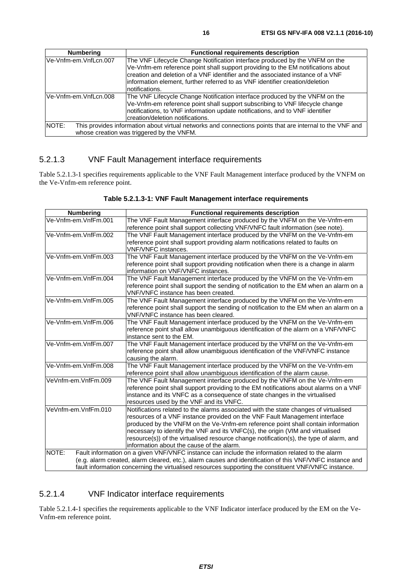<span id="page-15-0"></span>

| <b>Numbering</b>       | <b>Functional requirements description</b>                                                                                                                                                                                                                                                                                        |
|------------------------|-----------------------------------------------------------------------------------------------------------------------------------------------------------------------------------------------------------------------------------------------------------------------------------------------------------------------------------|
| Ve-Vnfm-em.VnfLcn.007  | The VNF Lifecycle Change Notification interface produced by the VNFM on the<br>Ve-Vnfm-em reference point shall support providing to the EM notifications about<br>creation and deletion of a VNF identifier and the associated instance of a VNF<br>information element, further referred to as VNF identifier creation/deletion |
|                        | notifications.                                                                                                                                                                                                                                                                                                                    |
| lVe-Vnfm-em.VnfLcn.008 | The VNF Lifecycle Change Notification interface produced by the VNFM on the<br>Ve-Vnfm-em reference point shall support subscribing to VNF lifecycle change<br>notifications, to VNF information update notifications, and to VNF identifier<br>creation/deletion notifications.                                                  |
| NOTE:                  | This provides information about virtual networks and connections points that are internal to the VNF and                                                                                                                                                                                                                          |
|                        | whose creation was triggered by the VNFM.                                                                                                                                                                                                                                                                                         |

### 5.2.1.3 VNF Fault Management interface requirements

Table 5.2.1.3-1 specifies requirements applicable to the VNF Fault Management interface produced by the VNFM on the Ve-Vnfm-em reference point.

| Table 5.2.1.3-1: VNF Fault Management interface requirements |  |
|--------------------------------------------------------------|--|
|--------------------------------------------------------------|--|

| <b>Numbering</b>     | <b>Functional requirements description</b>                                                               |  |  |
|----------------------|----------------------------------------------------------------------------------------------------------|--|--|
| Ve-Vnfm-em.VnfFm.001 | The VNF Fault Management interface produced by the VNFM on the Ve-Vnfm-em                                |  |  |
|                      | reference point shall support collecting VNF/VNFC fault information (see note).                          |  |  |
| Ve-Vnfm-em.VnfFm.002 | The VNF Fault Management interface produced by the VNFM on the Ve-Vnfm-em                                |  |  |
|                      | reference point shall support providing alarm notifications related to faults on                         |  |  |
|                      | VNF/VNFC instances.                                                                                      |  |  |
| Ve-Vnfm-em.VnfFm.003 | The VNF Fault Management interface produced by the VNFM on the Ve-Vnfm-em                                |  |  |
|                      | reference point shall support providing notification when there is a change in alarm                     |  |  |
|                      | information on VNF/VNFC instances.                                                                       |  |  |
| Ve-Vnfm-em.VnfFm.004 | The VNF Fault Management interface produced by the VNFM on the Ve-Vnfm-em                                |  |  |
|                      | reference point shall support the sending of notification to the EM when an alarm on a                   |  |  |
|                      | VNF/VNFC instance has been created.                                                                      |  |  |
| Ve-Vnfm-em.VnfFm.005 | The VNF Fault Management interface produced by the VNFM on the Ve-Vnfm-em                                |  |  |
|                      | reference point shall support the sending of notification to the EM when an alarm on a                   |  |  |
|                      | VNF/VNFC instance has been cleared.                                                                      |  |  |
| Ve-Vnfm-em.VnfFm.006 | The VNF Fault Management interface produced by the VNFM on the Ve-Vnfm-em                                |  |  |
|                      | reference point shall allow unambiguous identification of the alarm on a VNF/VNFC                        |  |  |
|                      | instance sent to the EM.                                                                                 |  |  |
| Ve-Vnfm-em.VnfFm.007 | The VNF Fault Management interface produced by the VNFM on the Ve-Vnfm-em                                |  |  |
|                      | reference point shall allow unambiguous identification of the VNF/VNFC instance                          |  |  |
|                      | causing the alarm.                                                                                       |  |  |
| Ve-Vnfm-em.VnfFm.008 | The VNF Fault Management interface produced by the VNFM on the Ve-Vnfm-em                                |  |  |
|                      | reference point shall allow unambiguous identification of the alarm cause.                               |  |  |
| VeVnfm-em.VnfFm.009  | The VNF Fault Management interface produced by the VNFM on the Ve-Vnfm-em                                |  |  |
|                      | reference point shall support providing to the EM notifications about alarms on a VNF                    |  |  |
|                      | instance and its VNFC as a consequence of state changes in the virtualised                               |  |  |
|                      | resources used by the VNF and its VNFC.                                                                  |  |  |
| VeVnfm-em.VnfFm.010  | Notifications related to the alarms associated with the state changes of virtualised                     |  |  |
|                      | resources of a VNF instance provided on the VNF Fault Management interface                               |  |  |
|                      | produced by the VNFM on the Ve-Vnfm-em reference point shall contain information                         |  |  |
|                      | necessary to identify the VNF and its VNFC(s), the origin (VIM and virtualised                           |  |  |
|                      | resource(s)) of the virtualised resource change notification(s), the type of alarm, and                  |  |  |
|                      | information about the cause of the alarm.                                                                |  |  |
| NOTE:                | Fault information on a given VNF/VNFC instance can include the information related to the alarm          |  |  |
|                      | (e.g. alarm created, alarm cleared, etc.), alarm causes and identification of this VNF/VNFC instance and |  |  |
|                      | fault information concerning the virtualised resources supporting the constituent VNF/VNFC instance.     |  |  |

#### 5.2.1.4 VNF Indicator interface requirements

Table 5.2.1.4-1 specifies the requirements applicable to the VNF Indicator interface produced by the EM on the Ve-Vnfm-em reference point.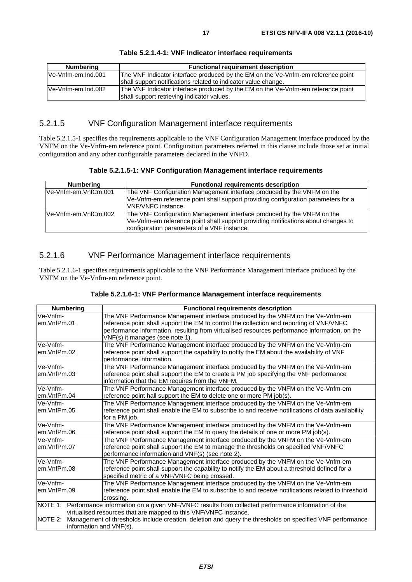#### **Table 5.2.1.4-1: VNF Indicator interface requirements**

### <span id="page-16-0"></span>5.2.1.5 VNF Configuration Management interface requirements

Table 5.2.1.5-1 specifies the requirements applicable to the VNF Configuration Management interface produced by the VNFM on the Ve-Vnfm-em reference point. Configuration parameters referred in this clause include those set at initial configuration and any other configurable parameters declared in the VNFD.

**Table 5.2.1.5-1: VNF Configuration Management interface requirements** 

| Numbering             | <b>Functional requirements description</b>                                        |  |  |  |
|-----------------------|-----------------------------------------------------------------------------------|--|--|--|
| Ve-Vnfm-em.VnfCm.001  | The VNF Configuration Management interface produced by the VNFM on the            |  |  |  |
|                       | Ve-Vnfm-em reference point shall support providing configuration parameters for a |  |  |  |
|                       | VNF/VNFC instance.                                                                |  |  |  |
| lVe-Vnfm-em.VnfCm.002 | The VNF Configuration Management interface produced by the VNFM on the            |  |  |  |
|                       | Ve-Vnfm-em reference point shall support providing notifications about changes to |  |  |  |
|                       | configuration parameters of a VNF instance.                                       |  |  |  |

### 5.2.1.6 VNF Performance Management interface requirements

Table 5.2.1.6-1 specifies requirements applicable to the VNF Performance Management interface produced by the VNFM on the Ve-Vnfm-em reference point.

| <b>Numbering</b>                                                                                                             | <b>Functional requirements description</b>                                                         |  |
|------------------------------------------------------------------------------------------------------------------------------|----------------------------------------------------------------------------------------------------|--|
| Ve-Vnfm-                                                                                                                     | The VNF Performance Management interface produced by the VNFM on the Ve-Vnfm-em                    |  |
| em.VnfPm.01                                                                                                                  | reference point shall support the EM to control the collection and reporting of VNF/VNFC           |  |
|                                                                                                                              | performance information, resulting from virtualised resources performance information, on the      |  |
|                                                                                                                              | VNF(s) it manages (see note 1).                                                                    |  |
| Ve-Vnfm-                                                                                                                     | The VNF Performance Management interface produced by the VNFM on the Ve-Vnfm-em                    |  |
| em.VnfPm.02                                                                                                                  | reference point shall support the capability to notify the EM about the availability of VNF        |  |
|                                                                                                                              | performance information.                                                                           |  |
| Ve-Vnfm-                                                                                                                     | The VNF Performance Management interface produced by the VNFM on the Ve-Vnfm-em                    |  |
| em.VnfPm.03                                                                                                                  | reference point shall support the EM to create a PM job specifying the VNF performance             |  |
| information that the EM requires from the VNFM.                                                                              |                                                                                                    |  |
| Ve-Vnfm-                                                                                                                     | The VNF Performance Management interface produced by the VNFM on the Ve-Vnfm-em                    |  |
| reference point hall support the EM to delete one or more PM job(s).<br>em.VnfPm.04                                          |                                                                                                    |  |
| Ve-Vnfm-<br>The VNF Performance Management interface produced by the VNFM on the Ve-Vnfm-em                                  |                                                                                                    |  |
| reference point shall enable the EM to subscribe to and receive notifications of data availability<br>lem.VnfPm.05           |                                                                                                    |  |
| for a PM job.                                                                                                                |                                                                                                    |  |
| Ve-Vnfm-                                                                                                                     | The VNF Performance Management interface produced by the VNFM on the Ve-Vnfm-em                    |  |
| em.VnfPm.06<br>reference point shall support the EM to query the details of one or more PM job(s).                           |                                                                                                    |  |
| Ve-Vnfm-                                                                                                                     | The VNF Performance Management interface produced by the VNFM on the Ve-Vnfm-em                    |  |
| lem.VnfPm.07                                                                                                                 | reference point shall support the EM to manage the thresholds on specified VNF/VNFC                |  |
|                                                                                                                              | performance information and VNF(s) (see note 2).                                                   |  |
| Ve-Vnfm-                                                                                                                     | The VNF Performance Management interface produced by the VNFM on the Ve-Vnfm-em                    |  |
| lem.VnfPm.08                                                                                                                 | reference point shall support the capability to notify the EM about a threshold defined for a      |  |
|                                                                                                                              | specified metric of a VNF/VNFC being crossed.                                                      |  |
| Ve-Vnfm-                                                                                                                     | The VNF Performance Management interface produced by the VNFM on the Ve-Vnfm-em                    |  |
| em.VnfPm.09                                                                                                                  | reference point shall enable the EM to subscribe to and receive notifications related to threshold |  |
|                                                                                                                              | crossing.                                                                                          |  |
| NOTE 1: Performance information on a given VNF/VNFC results from collected performance information of the                    |                                                                                                    |  |
| virtualised resources that are mapped to this VNF/VNFC instance.                                                             |                                                                                                    |  |
| <b>INOTE 2:</b><br>Management of thresholds include creation, deletion and query the thresholds on specified VNF performance |                                                                                                    |  |
| information and VNF(s).                                                                                                      |                                                                                                    |  |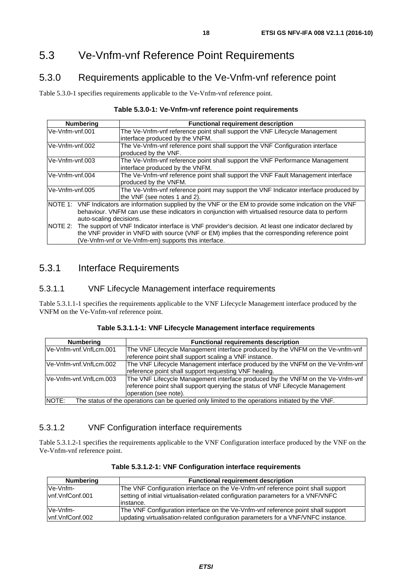# <span id="page-17-0"></span>5.3 Ve-Vnfm-vnf Reference Point Requirements

# 5.3.0 Requirements applicable to the Ve-Vnfm-vnf reference point

Table 5.3.0-1 specifies requirements applicable to the Ve-Vnfm-vnf reference point.

#### **Table 5.3.0-1: Ve-Vnfm-vnf reference point requirements**

| <b>Numbering</b>                                                                                       | <b>Functional requirement description</b>                                                                     |  |  |
|--------------------------------------------------------------------------------------------------------|---------------------------------------------------------------------------------------------------------------|--|--|
| Ve-Vnfm-vnf.001                                                                                        | The Ve-Vnfm-vnf reference point shall support the VNF Lifecycle Management                                    |  |  |
|                                                                                                        | interface produced by the VNFM.                                                                               |  |  |
| Ve-Vnfm-vnf.002                                                                                        | The Ve-Vnfm-vnf reference point shall support the VNF Configuration interface                                 |  |  |
|                                                                                                        | produced by the VNF.                                                                                          |  |  |
| lVe-Vnfm-vnf.003                                                                                       | The Ve-Vnfm-vnf reference point shall support the VNF Performance Management                                  |  |  |
|                                                                                                        | interface produced by the VNFM.                                                                               |  |  |
| Ve-Vnfm-vnf.004                                                                                        | The Ve-Vnfm-vnf reference point shall support the VNF Fault Management interface                              |  |  |
|                                                                                                        | produced by the VNFM.                                                                                         |  |  |
| Ve-Vnfm-vnf.005<br>The Ve-Vnfm-vnf reference point may support the VNF Indicator interface produced by |                                                                                                               |  |  |
|                                                                                                        | the VNF (see notes 1 and 2).                                                                                  |  |  |
|                                                                                                        | NOTE 1: VNF Indicators are information supplied by the VNF or the EM to provide some indication on the VNF    |  |  |
| behaviour. VNFM can use these indicators in conjunction with virtualised resource data to perform      |                                                                                                               |  |  |
| auto-scaling decisions.                                                                                |                                                                                                               |  |  |
|                                                                                                        | NOTE 2: The support of VNF Indicator interface is VNF provider's decision. At least one indicator declared by |  |  |
| the VNF provider in VNFD with source (VNF or EM) implies that the corresponding reference point        |                                                                                                               |  |  |
| (Ve-Vnfm-vnf or Ve-Vnfm-em) supports this interface.                                                   |                                                                                                               |  |  |

# 5.3.1 Interface Requirements

#### 5.3.1.1 VNF Lifecycle Management interface requirements

Table 5.3.1.1-1 specifies the requirements applicable to the VNF Lifecycle Management interface produced by the VNFM on the Ve-Vnfm-vnf reference point.

| Table 5.3.1.1-1: VNF Lifecycle Management interface requirements |
|------------------------------------------------------------------|
|------------------------------------------------------------------|

| <b>Numbering</b>        | <b>Functional requirements description</b>                                                       |  |  |  |
|-------------------------|--------------------------------------------------------------------------------------------------|--|--|--|
| lVe-Vnfm-vnf.VnfLcm.001 | The VNF Lifecycle Management interface produced by the VNFM on the Ve-vnfm-vnf                   |  |  |  |
|                         | reference point shall support scaling a VNF instance.                                            |  |  |  |
| Ve-Vnfm-vnf.VnfLcm.002  | The VNF Lifecycle Management interface produced by the VNFM on the Ve-Vnfm-vnf                   |  |  |  |
|                         | reference point shall support requesting VNF healing.                                            |  |  |  |
| Ve-Vnfm-vnf.VnfLcm.003  | The VNF Lifecycle Management interface produced by the VNFM on the Ve-Vnfm-vnf                   |  |  |  |
|                         | reference point shall support querying the status of VNF Lifecycle Management                    |  |  |  |
|                         | loperation (see note).                                                                           |  |  |  |
| NOTE:                   | The status of the operations can be queried only limited to the operations initiated by the VNF. |  |  |  |

### 5.3.1.2 VNF Configuration interface requirements

Table 5.3.1.2-1 specifies the requirements applicable to the VNF Configuration interface produced by the VNF on the Ve-Vnfm-vnf reference point.

| <b>Numbering</b> | <b>Functional requirement description</b>                                         |  |  |
|------------------|-----------------------------------------------------------------------------------|--|--|
| Ve-Vnfm-         | The VNF Configuration interface on the Ve-Vnfm-vnf reference point shall support  |  |  |
| lynf.VnfConf.001 | setting of initial virtualisation-related configuration parameters for a VNF/VNFC |  |  |
|                  | linstance.                                                                        |  |  |
| Ve-Vnfm-         | The VNF Configuration interface on the Ve-Vnfm-vnf reference point shall support  |  |  |
| vnf.VnfConf.002  | updating virtualisation-related configuration parameters for a VNF/VNFC instance. |  |  |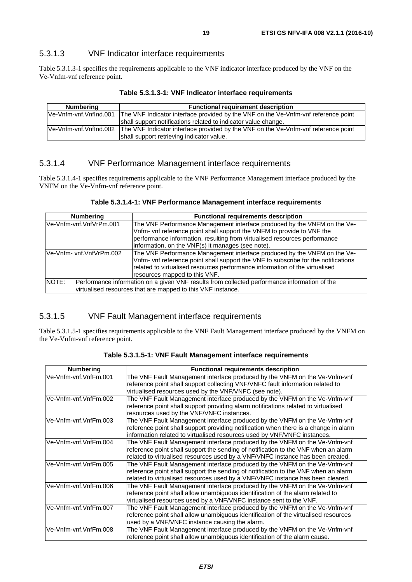#### <span id="page-18-0"></span>5.3.1.3 VNF Indicator interface requirements

Table 5.3.1.3-1 specifies the requirements applicable to the VNF indicator interface produced by the VNF on the Ve-Vnfm-vnf reference point.

| Table 5.3.1.3-1: VNF Indicator interface requirements |  |  |  |
|-------------------------------------------------------|--|--|--|
|-------------------------------------------------------|--|--|--|

| <b>Numbering</b>       | <b>Functional requirement description</b>                                                                 |  |  |  |  |
|------------------------|-----------------------------------------------------------------------------------------------------------|--|--|--|--|
| Ve-Vnfm-vnf.Vnflnd.001 | The VNF Indicator interface provided by the VNF on the Ve-Vnfm-vnf reference point                        |  |  |  |  |
|                        | shall support notifications related to indicator value change.                                            |  |  |  |  |
|                        | Ve-Vnfm-vnf.Vnflnd.002 The VNF Indicator interface provided by the VNF on the Ve-Vnfm-vnf reference point |  |  |  |  |
|                        | shall support retrieving indicator value.                                                                 |  |  |  |  |

#### 5.3.1.4 VNF Performance Management interface requirements

Table 5.3.1.4-1 specifies requirements applicable to the VNF Performance Management interface produced by the VNFM on the Ve-Vnfm-vnf reference point.

| <b>Numbering</b>         | <b>Functional requirements description</b>                                                                                                                                                                                                                                           |  |  |  |
|--------------------------|--------------------------------------------------------------------------------------------------------------------------------------------------------------------------------------------------------------------------------------------------------------------------------------|--|--|--|
| Ve-Vnfm-vnf.VnfVrPm.001  | The VNF Performance Management interface produced by the VNFM on the Ve-<br>Vnfm- vnf reference point shall support the VNFM to provide to VNF the<br>performance information, resulting from virtualised resources performance<br>information, on the VNF(s) it manages (see note). |  |  |  |
| Ve-Vnfm- vnf.VnfVrPm.002 | The VNF Performance Management interface produced by the VNFM on the Ve-<br>Vnfm- vnf reference point shall support the VNF to subscribe for the notifications<br>related to virtualised resources performance information of the virtualised<br>resources mapped to this VNF.       |  |  |  |
| NOTE:                    | Performance information on a given VNF results from collected performance information of the<br>virtualised resources that are mapped to this VNF instance.                                                                                                                          |  |  |  |

### 5.3.1.5 VNF Fault Management interface requirements

Table 5.3.1.5-1 specifies requirements applicable to the VNF Fault Management interface produced by the VNFM on the Ve-Vnfm-vnf reference point.

| <b>Numbering</b>      | <b>Functional requirements description</b>                                                                                                                                                                                                         |
|-----------------------|----------------------------------------------------------------------------------------------------------------------------------------------------------------------------------------------------------------------------------------------------|
| Ve-Vnfm-vnf.VnfFm.001 | The VNF Fault Management interface produced by the VNFM on the Ve-Vnfm-vnf<br>reference point shall support collecting VNF/VNFC fault information related to                                                                                       |
|                       | virtualised resources used by the VNF/VNFC (see note).                                                                                                                                                                                             |
| Ve-Vnfm-vnf.VnfFm.002 | The VNF Fault Management interface produced by the VNFM on the Ve-Vnfm-vnf<br>reference point shall support providing alarm notifications related to virtualised<br>resources used by the VNF/VNFC instances.                                      |
| Ve-Vnfm-vnf.VnfFm.003 | The VNF Fault Management interface produced by the VNFM on the Ve-Vnfm-vnf<br>reference point shall support providing notification when there is a change in alarm<br>information related to virtualised resources used by VNF/VNFC instances.     |
| Ve-Vnfm-vnf.VnfFm.004 | The VNF Fault Management interface produced by the VNFM on the Ve-Vnfm-vnf<br>reference point shall support the sending of notification to the VNF when an alarm<br>related to virtualised resources used by a VNF/VNFC instance has been created. |
| Ve-Vnfm-vnf.VnfFm.005 | The VNF Fault Management interface produced by the VNFM on the Ve-Vnfm-vnf<br>reference point shall support the sending of notification to the VNF when an alarm<br>related to virtualised resources used by a VNF/VNFC instance has been cleared. |
| Ve-Vnfm-vnf.VnfFm.006 | The VNF Fault Management interface produced by the VNFM on the Ve-Vnfm-vnf<br>reference point shall allow unambiguous identification of the alarm related to<br>virtualised resources used by a VNF/VNFC instance sent to the VNF.                 |
| Ve-Vnfm-vnf.VnfFm.007 | The VNF Fault Management interface produced by the VNFM on the Ve-Vnfm-vnf<br>reference point shall allow unambiguous identification of the virtualised resources<br>used by a VNF/VNFC instance causing the alarm.                                |
| Ve-Vnfm-vnf.VnfFm.008 | The VNF Fault Management interface produced by the VNFM on the Ve-Vnfm-vnf<br>reference point shall allow unambiguous identification of the alarm cause.                                                                                           |

**Table 5.3.1.5-1: VNF Fault Management interface requirements**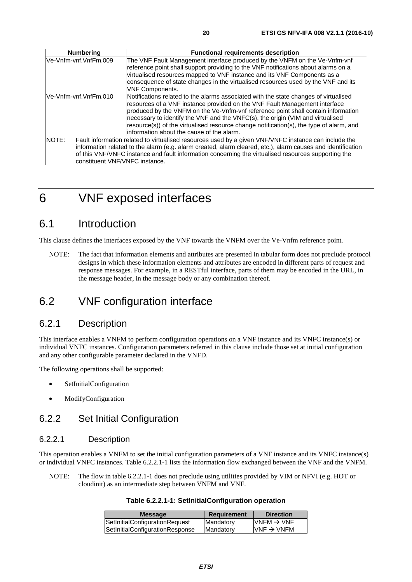<span id="page-19-0"></span>

| <b>Numbering</b>                        | <b>Functional requirements description</b>                                                                                                                                                                                                                                                                                                                                                                                                                                         |
|-----------------------------------------|------------------------------------------------------------------------------------------------------------------------------------------------------------------------------------------------------------------------------------------------------------------------------------------------------------------------------------------------------------------------------------------------------------------------------------------------------------------------------------|
| Ve-Vnfm-vnf.VnfFm.009                   | The VNF Fault Management interface produced by the VNFM on the Ve-Vnfm-vnf<br>reference point shall support providing to the VNF notifications about alarms on a<br>virtualised resources mapped to VNF instance and its VNF Components as a<br>consequence of state changes in the virtualised resources used by the VNF and its<br><b>VNF Components.</b>                                                                                                                        |
| Ve-Vnfm-vnf.VnfFm.010                   | Notifications related to the alarms associated with the state changes of virtualised<br>resources of a VNF instance provided on the VNF Fault Management interface<br>produced by the VNFM on the Ve-Vnfm-vnf reference point shall contain information<br>necessary to identify the VNF and the VNFC(s), the origin (VIM and virtualised<br>resource(s)) of the virtualised resource change notification(s), the type of alarm, and<br>linformation about the cause of the alarm. |
| NOTE:<br>constituent VNF/VNFC instance. | Fault information related to virtualised resources used by a given VNF/VNFC instance can include the<br>information related to the alarm (e.g. alarm created, alarm cleared, etc.), alarm causes and identification<br>of this VNF/VNFC instance and fault information concerning the virtualised resources supporting the                                                                                                                                                         |

# 6 VNF exposed interfaces

# 6.1 Introduction

This clause defines the interfaces exposed by the VNF towards the VNFM over the Ve-Vnfm reference point.

NOTE: The fact that information elements and attributes are presented in tabular form does not preclude protocol designs in which these information elements and attributes are encoded in different parts of request and response messages. For example, in a RESTful interface, parts of them may be encoded in the URL, in the message header, in the message body or any combination thereof.

# 6.2 VNF configuration interface

### 6.2.1 Description

This interface enables a VNFM to perform configuration operations on a VNF instance and its VNFC instance(s) or individual VNFC instances. Configuration parameters referred in this clause include those set at initial configuration and any other configurable parameter declared in the VNFD.

The following operations shall be supported:

- SetInitialConfiguration
- ModifyConfiguration

# 6.2.2 Set Initial Configuration

#### 6.2.2.1 Description

This operation enables a VNFM to set the initial configuration parameters of a VNF instance and its VNFC instance(s) or individual VNFC instances. Table 6.2.2.1-1 lists the information flow exchanged between the VNF and the VNFM.

NOTE: The flow in table 6.2.2.1-1 does not preclude using utilities provided by VIM or NFVI (e.g. HOT or cloudinit) as an intermediate step between VNFM and VNF.

#### **Table 6.2.2.1-1: SetInitialConfiguration operation**

| <b>Message</b>                  | Requirement | <b>Direction</b>        |
|---------------------------------|-------------|-------------------------|
| SetInitialConfigurationRequest  | Mandatory   | $IVNFM \rightarrow VNF$ |
| SetInitialConfigurationResponse | Mandatory   | $VNF \rightarrow VNFM$  |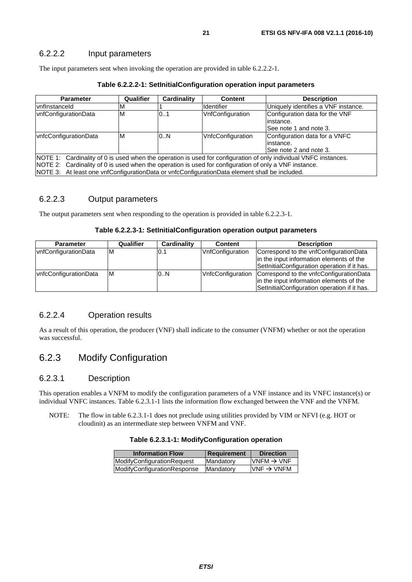#### <span id="page-20-0"></span>6.2.2.2 Input parameters

The input parameters sent when invoking the operation are provided in table 6.2.2.2-1.

| Table 6.2.2.2-1: SetInitialConfiguration operation input parameters |           |             |                    |                              |  |
|---------------------------------------------------------------------|-----------|-------------|--------------------|------------------------------|--|
| 'arameter                                                           | Qualifier | Cardinality | <b>Content</b>     | <b>Description</b>           |  |
| eld:                                                                |           |             | <b>I</b> dentifier | Uniquely identifies a VNF in |  |

| <b>Parameter</b>                                                                                                 | Qualifier                     | Cardinality | <b>Content</b>                | <b>Description</b>                  |
|------------------------------------------------------------------------------------------------------------------|-------------------------------|-------------|-------------------------------|-------------------------------------|
| vnflnstanceld                                                                                                    | M                             |             | <b>I</b> dentifier            | Uniquely identifies a VNF instance. |
| vnfConfigurationData                                                                                             | ΙM                            | 0.1         | VnfConfiguration              | Configuration data for the VNF      |
|                                                                                                                  |                               |             |                               | linstance.                          |
|                                                                                                                  |                               |             |                               | ISee note 1 and note 3.             |
| vnfcConfigurationData                                                                                            | VnfcConfiguration<br>0.N<br>M |             | Configuration data for a VNFC |                                     |
|                                                                                                                  |                               | instance.   |                               |                                     |
| ISee note 2 and note 3.                                                                                          |                               |             |                               |                                     |
| NOTE 1: Cardinality of 0 is used when the operation is used for configuration of only individual VNFC instances. |                               |             |                               |                                     |
| NOTE 2: Cardinality of 0 is used when the operation is used for configuration of only a VNF instance.            |                               |             |                               |                                     |
| NOTE 3: At least one vnfConfigurationData or vnfcConfigurationData element shall be included.                    |                               |             |                               |                                     |

#### 6.2.2.3 Output parameters

The output parameters sent when responding to the operation is provided in table 6.2.2.3-1.

#### **Table 6.2.2.3-1: SetInitialConfiguration operation output parameters**

| <b>Parameter</b>      | Qualifier | Cardinality | <b>Content</b>    | <b>Description</b>                                                                                                                  |
|-----------------------|-----------|-------------|-------------------|-------------------------------------------------------------------------------------------------------------------------------------|
| vnfConfigurationData  | ΙM        | 0.1         | VnfConfiguration  | Correspond to the vnfConfigurationData<br>in the input information elements of the<br>SetInitialConfiguration operation if it has.  |
| vnfcConfigurationData | ΙM        | 0N          | VnfcConfiguration | Correspond to the vnfcConfigurationData<br>in the input information elements of the<br>SetInitialConfiguration operation if it has. |

#### 6.2.2.4 Operation results

As a result of this operation, the producer (VNF) shall indicate to the consumer (VNFM) whether or not the operation was successful.

# 6.2.3 Modify Configuration

#### 6.2.3.1 Description

This operation enables a VNFM to modify the configuration parameters of a VNF instance and its VNFC instance(s) or individual VNFC instances. Table 6.2.3.1-1 lists the information flow exchanged between the VNF and the VNFM.

NOTE: The flow in table 6.2.3.1-1 does not preclude using utilities provided by VIM or NFVI (e.g. HOT or cloudinit) as an intermediate step between VNFM and VNF.

#### **Table 6.2.3.1-1: ModifyConfiguration operation**

| <b>Information Flow</b>     | <b>Requirement</b> | <b>Direction</b>       |
|-----------------------------|--------------------|------------------------|
| ModifyConfigurationRequest  | Mandatory          | $VNFM \rightarrow VNF$ |
| ModifyConfigurationResponse | Mandatory          | $VNF \rightarrow VNFM$ |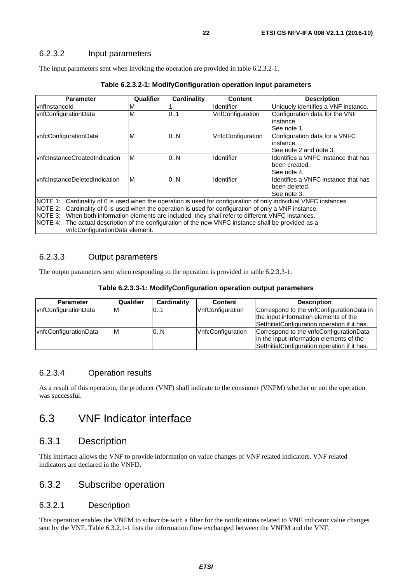#### <span id="page-21-0"></span>6.2.3.2 Input parameters

The input parameters sent when invoking the operation are provided in table 6.2.3.2-1.

| <b>Parameter</b>                                                                                                 | Qualifier | Cardinality | <b>Content</b>    | <b>Description</b>                  |
|------------------------------------------------------------------------------------------------------------------|-----------|-------------|-------------------|-------------------------------------|
| lvnflnstanceld                                                                                                   | м         |             | <b>Identifier</b> | Uniquely identifies a VNF instance. |
| vnfConfigurationData                                                                                             | M         | 0.1         | VnfConfiguration  | Configuration data for the VNF      |
|                                                                                                                  |           |             |                   | linstance                           |
|                                                                                                                  |           |             |                   | See note 1.                         |
| vnfcConfigurationData                                                                                            | M         | 0N          | VnfcConfiguration | Configuration data for a VNFC       |
|                                                                                                                  |           |             |                   | linstance.                          |
|                                                                                                                  |           |             |                   | See note 2 and note 3.              |
| <b>vnfcInstanceCreatedIndication</b>                                                                             | M         | 0.N         | Identifier        | Identifies a VNFC instance that has |
|                                                                                                                  |           |             |                   | been created.                       |
|                                                                                                                  |           |             |                   | See note 4.                         |
| vnfcInstanceDeletedIndication                                                                                    | M         | 0N          | <b>Identifier</b> | Identifies a VNFC instance that has |
|                                                                                                                  |           |             |                   | lbeen deleted.                      |
|                                                                                                                  |           |             |                   | See note 3.                         |
| NOTE 1: Cardinality of 0 is used when the operation is used for configuration of only individual VNFC instances. |           |             |                   |                                     |
| NOTE 2: Cardinality of 0 is used when the operation is used for configuration of only a VNF instance.            |           |             |                   |                                     |
| NOTE 3: When both information elements are included, they shall refer to different VNFC instances.               |           |             |                   |                                     |
| The actual description of the configuration of the new VNFC instance shall be provided as a<br>NOTE 4:           |           |             |                   |                                     |
| vnfcConfigurationData element.                                                                                   |           |             |                   |                                     |

#### **Table 6.2.3.2-1: ModifyConfiguration operation input parameters**

#### 6.2.3.3 Output parameters

The output parameters sent when responding to the operation is provided in table 6.2.3.3-1.

#### **Table 6.2.3.3-1: ModifyConfiguration operation output parameters**

| <b>Parameter</b>      | <b>Qualifier</b> | Cardinality | <b>Content</b>          | <b>Description</b>                                                                                                                  |
|-----------------------|------------------|-------------|-------------------------|-------------------------------------------------------------------------------------------------------------------------------------|
| vnfConfigurationData  | ΙM               | 01          | <b>VnfConfiguration</b> | Correspond to the vnfConfigurationData in<br>the input information elements of the<br>SetInitialConfiguration operation if it has.  |
| vnfcConfigurationData | ΙM               | 0.N         | VnfcConfiguration       | Correspond to the vnfcConfigurationData<br>in the input information elements of the<br>SetInitialConfiguration operation if it has. |

#### 6.2.3.4 Operation results

As a result of this operation, the producer (VNF) shall indicate to the consumer (VNFM) whether or not the operation was successful.

# 6.3 VNF Indicator interface

### 6.3.1 Description

This interface allows the VNF to provide information on value changes of VNF related indicators. VNF related indicators are declared in the VNFD.

### 6.3.2 Subscribe operation

#### 6.3.2.1 Description

This operation enables the VNFM to subscribe with a filter for the notifications related to VNF indicator value changes sent by the VNF. Table 6.3.2.1-1 lists the information flow exchanged between the VNFM and the VNF.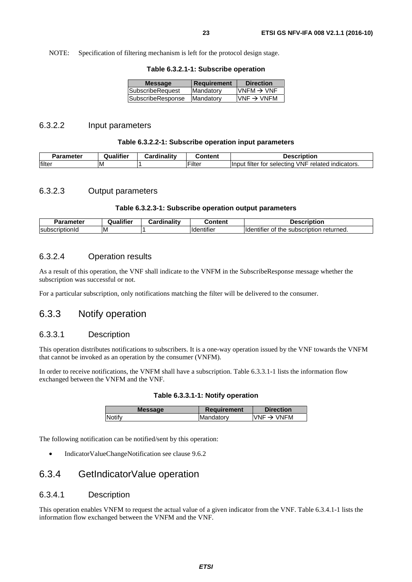<span id="page-22-0"></span>NOTE: Specification of filtering mechanism is left for the protocol design stage.

|  |  | Table 6.3.2.1-1: Subscribe operation |  |
|--|--|--------------------------------------|--|
|--|--|--------------------------------------|--|

| <b>Message</b>    | Requirement | <b>Direction</b>       |
|-------------------|-------------|------------------------|
| SubscribeRequest  | Mandatory   | $VNFM \rightarrow VNF$ |
| SubscribeResponse | Mandatory   | $VNF \rightarrow VNFM$ |
|                   |             |                        |

#### 6.3.2.2 Input parameters

#### **Table 6.3.2.2-1: Subscribe operation input parameters**

| <b>Parameter</b> | Qualifier | <b>Cardinality</b> | <b>Content</b> | Description<br>Je                                                    |
|------------------|-----------|--------------------|----------------|----------------------------------------------------------------------|
| filter           | ιM        |                    | Filter         | filter for<br>VNF<br>indicators.<br>llnput<br>related<br>' selectina |

#### 6.3.2.3 Output parameters

#### **Table 6.3.2.3-1: Subscribe operation output parameters**

| $\sim$<br>סופו     | <br>ialifier<br>Jυ | <br>$-$<br><b>Cardinalit</b> | :nntent                        | ----------<br>Je'<br>tior                             |
|--------------------|--------------------|------------------------------|--------------------------------|-------------------------------------------------------|
| lsubs<br>. DIIONIO | ΙM                 |                              | $\cdots$<br><b>H</b> dentifier | returned.<br>subscription<br>lldentifier<br>the<br>ΟI |

#### 6.3.2.4 Operation results

As a result of this operation, the VNF shall indicate to the VNFM in the SubscribeResponse message whether the subscription was successful or not.

For a particular subscription, only notifications matching the filter will be delivered to the consumer.

### 6.3.3 Notify operation

#### 6.3.3.1 Description

This operation distributes notifications to subscribers. It is a one-way operation issued by the VNF towards the VNFM that cannot be invoked as an operation by the consumer (VNFM).

In order to receive notifications, the VNFM shall have a subscription. Table 6.3.3.1-1 lists the information flow exchanged between the VNFM and the VNF.

|  |  |  |  | Table 6.3.3.1-1: Notify operation |
|--|--|--|--|-----------------------------------|
|--|--|--|--|-----------------------------------|

| <b>Message</b> | <b>Requirement</b> | <b>Direction</b>       |
|----------------|--------------------|------------------------|
| Notify         | <b>IMandatory</b>  | $VNF \rightarrow VNFM$ |
|                |                    |                        |

The following notification can be notified/sent by this operation:

• IndicatorValueChangeNotification see clause 9.6.2

### 6.3.4 GetIndicatorValue operation

#### 6.3.4.1 Description

This operation enables VNFM to request the actual value of a given indicator from the VNF. Table 6.3.4.1-1 lists the information flow exchanged between the VNFM and the VNF.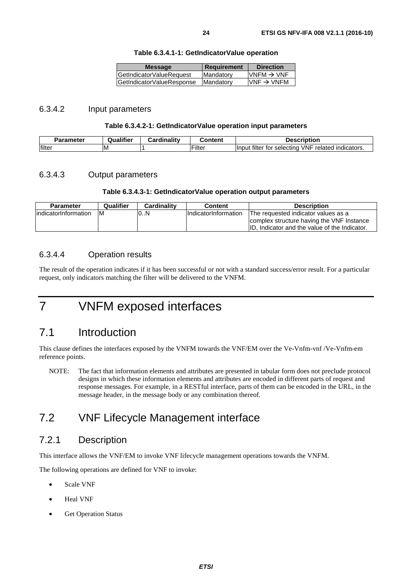| <b>Message</b>            | <b>Requirement</b> | <b>Direction</b>        |
|---------------------------|--------------------|-------------------------|
| GetIndicatorValueRequest  | <b>Mandatory</b>   | $IVNFM \rightarrow VNF$ |
| GetIndicatorValueResponse | Mandatory          | $VNF \rightarrow VNFM$  |
|                           |                    |                         |

#### <span id="page-23-0"></span>6.3.4.2 Input parameters

#### **Table 6.3.4.2-1: GetIndicatorValue operation input parameters**

| Parameter      | .<br>Qualifier | Cardinality<br>⊶o | Content           | Description                                                                                   |
|----------------|----------------|-------------------|-------------------|-----------------------------------------------------------------------------------------------|
| <b>Ifilter</b> | ΙM             |                   | $\cdot$<br>Filtei | filter<br><b>VNF</b><br>$\sim$<br>related<br>indicators.<br><b>Ilnput</b><br>tor<br>selecting |

#### 6.3.4.3 Output parameters

#### **Table 6.3.4.3-1: GetIndicatorValue operation output parameters**

| <b>Parameter</b>      | Qualifier | Cardinality | <b>Content</b>              | <b>Description</b>                             |
|-----------------------|-----------|-------------|-----------------------------|------------------------------------------------|
| lindicatorInformation | ΙM        | 10N         | <b>IndicatorInformation</b> | The requested indicator values as a            |
|                       |           |             |                             | complex structure having the VNF Instance      |
|                       |           |             |                             | IID. Indicator and the value of the Indicator. |

#### 6.3.4.4 Operation results

The result of the operation indicates if it has been successful or not with a standard success/error result. For a particular request, only indicators matching the filter will be delivered to the VNFM.

# 7 VNFM exposed interfaces

# 7.1 Introduction

This clause defines the interfaces exposed by the VNFM towards the VNF/EM over the Ve-Vnfm-vnf /Ve-Vnfm-em reference points.

NOTE: The fact that information elements and attributes are presented in tabular form does not preclude protocol designs in which these information elements and attributes are encoded in different parts of request and response messages. For example, in a RESTful interface, parts of them can be encoded in the URL, in the message header, in the message body or any combination thereof.

# 7.2 VNF Lifecycle Management interface

### 7.2.1 Description

This interface allows the VNF/EM to invoke VNF lifecycle management operations towards the VNFM.

The following operations are defined for VNF to invoke:

- Scale VNF
- Heal VNF
- **Get Operation Status**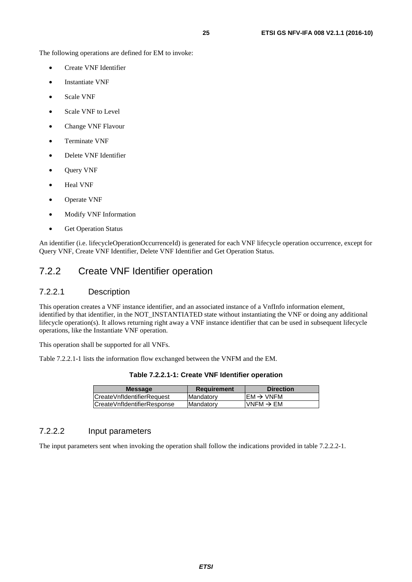<span id="page-24-0"></span>The following operations are defined for EM to invoke:

- Create VNF Identifier
- Instantiate VNF
- Scale VNF
- Scale VNF to Level
- Change VNF Flavour
- Terminate VNF
- Delete VNF Identifier
- Query VNF
- Heal VNF
- Operate VNF
- Modify VNF Information
- Get Operation Status

An identifier (i.e. lifecycleOperationOccurrenceId) is generated for each VNF lifecycle operation occurrence, except for Query VNF, Create VNF Identifier, Delete VNF Identifier and Get Operation Status.

# 7.2.2 Create VNF Identifier operation

#### 7.2.2.1 Description

This operation creates a VNF instance identifier, and an associated instance of a VnfInfo information element, identified by that identifier, in the NOT\_INSTANTIATED state without instantiating the VNF or doing any additional lifecycle operation(s). It allows returning right away a VNF instance identifier that can be used in subsequent lifecycle operations, like the Instantiate VNF operation.

This operation shall be supported for all VNFs.

Table 7.2.2.1-1 lists the information flow exchanged between the VNFM and the EM.

| Table 7.2.2.1-1: Create VNF Identifier operation |  |  |  |  |
|--------------------------------------------------|--|--|--|--|
|--------------------------------------------------|--|--|--|--|

| <b>Message</b>              | <b>Requirement</b> | <b>Direction</b>      |
|-----------------------------|--------------------|-----------------------|
| ICreateVnfIdentifierRequest | Mandatory          | $EM \rightarrow VNFM$ |
| CreateVnfldentifierResponse | <b>Mandatory</b>   | $VNFM \rightarrow EM$ |

#### 7.2.2.2 Input parameters

The input parameters sent when invoking the operation shall follow the indications provided in table 7.2.2.2-1.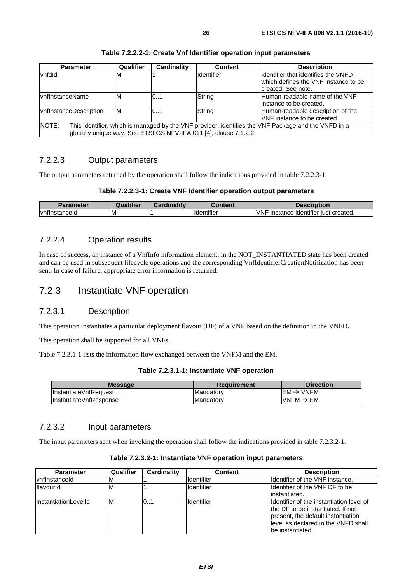<span id="page-25-0"></span>

| <b>Parameter</b>                                                                                                                                                                 | Qualifier | <b>Cardinality</b> | <b>Content</b> | <b>Description</b>                                                                                 |  |
|----------------------------------------------------------------------------------------------------------------------------------------------------------------------------------|-----------|--------------------|----------------|----------------------------------------------------------------------------------------------------|--|
| vnfdld                                                                                                                                                                           | ΙM        |                    | Identifier     | Identifier that identifies the VNFD<br>which defines the VNF instance to be<br>Icreated. See note. |  |
| <b>IvnfInstanceName</b>                                                                                                                                                          | ΙM        | 0.1                | String         | Human-readable name of the VNF<br>linstance to be created.                                         |  |
| vnflnstanceDescription                                                                                                                                                           | IM        | 0.1                | String         | Human-readable description of the<br>VNF instance to be created.                                   |  |
| NOTE:<br>This identifier, which is managed by the VNF provider, identifies the VNF Package and the VNFD in a<br>globally unique way. See ETSI GS NFV-IFA 011 [4], clause 7.1.2.2 |           |                    |                |                                                                                                    |  |

#### **Table 7.2.2.2-1: Create Vnf Identifier operation input parameters**

#### 7.2.2.3 Output parameters

The output parameters returned by the operation shall follow the indications provided in table 7.2.2.3-1.

#### **Table 7.2.2.3-1: Create VNF Identifier operation output parameters**

| Parameter                 | <br>Qualifier | <b>Cardinality</b> | Content                | Description                                                          |
|---------------------------|---------------|--------------------|------------------------|----------------------------------------------------------------------|
| $\cdot$<br>Ivnflnstancelo | ıΜ            |                    | .<br><b>Identifier</b> | .<br><b>VNF</b><br>created.<br>instance<br><b>identifier</b><br>lust |

#### 7.2.2.4 Operation results

In case of success, an instance of a VnfInfo information element, in the NOT\_INSTANTIATED state has been created and can be used in subsequent lifecycle operations and the corresponding VnfIdentifierCreationNotification has been sent. In case of failure, appropriate error information is returned.

### 7.2.3 Instantiate VNF operation

#### 7.2.3.1 Description

This operation instantiates a particular deployment flavour (DF) of a VNF based on the definition in the VNFD.

This operation shall be supported for all VNFs.

Table 7.2.3.1-1 lists the information flow exchanged between the VNFM and the EM.

| Table 7.2.3.1-1: Instantiate VNF operation |  |  |  |
|--------------------------------------------|--|--|--|
|--------------------------------------------|--|--|--|

| $\text{EM} \rightarrow \text{VNFM}$<br>InstantiateVnfRequest<br>IMandatorv | <b>Direction</b> |
|----------------------------------------------------------------------------|------------------|
|                                                                            |                  |
| VNFM $\rightarrow$ EM<br>InstantiateVnfResponse<br>IMandatorv              |                  |

#### 7.2.3.2 Input parameters

The input parameters sent when invoking the operation shall follow the indications provided in table 7.2.3.2-1.

| <b>Parameter</b>      | Qualifier | <b>Cardinality</b> | <b>Content</b>    | <b>Description</b>                                                                                                                                                              |
|-----------------------|-----------|--------------------|-------------------|---------------------------------------------------------------------------------------------------------------------------------------------------------------------------------|
| lvnflnstanceld        | ιM        |                    | Identifier        | Identifier of the VNF instance.                                                                                                                                                 |
| <b>flavourId</b>      | M         |                    | <b>Identifier</b> | Ildentifier of the VNF DF to be<br>linstantiated.                                                                                                                               |
| linstantiationLevelId | ΙM        | 0.1                | <b>Identifier</b> | Identifier of the instantiation level of<br>the DF to be instantiated. If not<br>present, the default instantiation<br>llevel as declared in the VNFD shall<br>be instantiated. |

**Table 7.2.3.2-1: Instantiate VNF operation input parameters**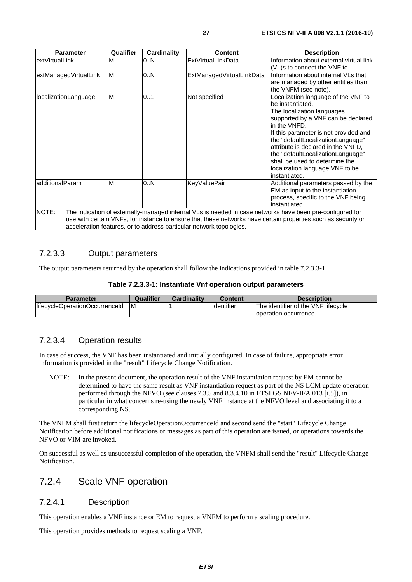<span id="page-26-0"></span>

| <b>Parameter</b>                                                                                                                                                                                                                                                                                           | Qualifier | <b>Cardinality</b> | <b>Content</b>            | <b>Description</b>                                                                                                                                                                                                                                                                                                                                                                         |  |
|------------------------------------------------------------------------------------------------------------------------------------------------------------------------------------------------------------------------------------------------------------------------------------------------------------|-----------|--------------------|---------------------------|--------------------------------------------------------------------------------------------------------------------------------------------------------------------------------------------------------------------------------------------------------------------------------------------------------------------------------------------------------------------------------------------|--|
| lextVirtualLink                                                                                                                                                                                                                                                                                            | M         | 0.N                | <b>ExtVirtualLinkData</b> | Information about external virtual link<br>(VL)s to connect the VNF to.                                                                                                                                                                                                                                                                                                                    |  |
| extManagedVirtualLink                                                                                                                                                                                                                                                                                      | M         | 0N                 | ExtManagedVirtualLinkData | Information about internal VLs that<br>are managed by other entities than<br>the VNFM (see note).                                                                                                                                                                                                                                                                                          |  |
| localizationLanguage                                                                                                                                                                                                                                                                                       | ΙM        | 0.1                | Not specified             | Localization language of the VNF to<br>be instantiated.<br>The localization languages<br>supported by a VNF can be declared<br>in the VNFD.<br>If this parameter is not provided and<br>the "defaultLocalizationLanguage"<br>attribute is declared in the VNFD.<br>the "defaultLocalizationLanguage"<br>shall be used to determine the<br>localization language VNF to be<br>instantiated. |  |
| additionalParam                                                                                                                                                                                                                                                                                            | M         | 0.N                | <b>KeyValuePair</b>       | Additional parameters passed by the<br>EM as input to the instantiation<br>process, specific to the VNF being<br>instantiated.                                                                                                                                                                                                                                                             |  |
| NOTE:<br>The indication of externally-managed internal VLs is needed in case networks have been pre-configured for<br>use with certain VNFs, for instance to ensure that these networks have certain properties such as security or<br>acceleration features, or to address particular network topologies. |           |                    |                           |                                                                                                                                                                                                                                                                                                                                                                                            |  |

### 7.2.3.3 Output parameters

The output parameters returned by the operation shall follow the indications provided in table 7.2.3.3-1.

| Parameter                      | Qualifier | <b>Cardinality</b> | Content            | <b>Description</b>                  |
|--------------------------------|-----------|--------------------|--------------------|-------------------------------------|
| lifecycleOperationOccurrenceId | ΙM        |                    | <b>Ildentifier</b> | The identifier of the VNF lifecycle |
|                                |           |                    |                    | loperation occurrence.              |

### 7.2.3.4 Operation results

In case of success, the VNF has been instantiated and initially configured. In case of failure, appropriate error information is provided in the "result" Lifecycle Change Notification.

NOTE: In the present document, the operation result of the VNF instantiation request by EM cannot be determined to have the same result as VNF instantiation request as part of the NS LCM update operation performed through the NFVO (see clauses 7.3.5 and 8.3.4.10 in ETSI GS NFV-IFA 013 [[i.5](#page-10-0)]), in particular in what concerns re-using the newly VNF instance at the NFVO level and associating it to a corresponding NS.

The VNFM shall first return the lifecycleOperationOccurrenceId and second send the "start" Lifecycle Change Notification before additional notifications or messages as part of this operation are issued, or operations towards the NFVO or VIM are invoked.

On successful as well as unsuccessful completion of the operation, the VNFM shall send the "result" Lifecycle Change Notification.

# 7.2.4 Scale VNF operation

#### 7.2.4.1 Description

This operation enables a VNF instance or EM to request a VNFM to perform a scaling procedure.

This operation provides methods to request scaling a VNF.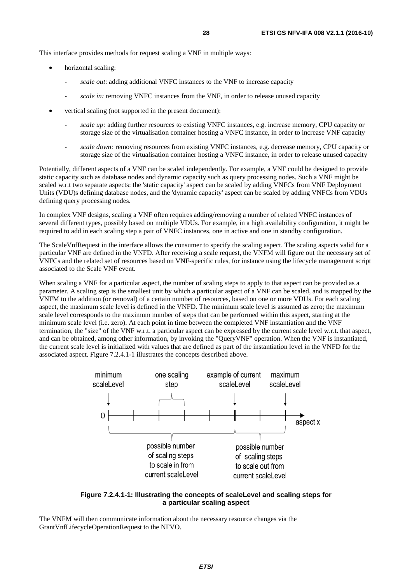This interface provides methods for request scaling a VNF in multiple ways:

- horizontal scaling:
	- *scale out*: adding additional VNFC instances to the VNF to increase capacity
	- scale in: removing VNFC instances from the VNF, in order to release unused capacity
- vertical scaling (not supported in the present document):
	- *scale up:* adding further resources to existing VNFC instances, e.g. increase memory, CPU capacity or storage size of the virtualisation container hosting a VNFC instance, in order to increase VNF capacity
	- scale down: removing resources from existing VNFC instances, e.g. decrease memory, CPU capacity or storage size of the virtualisation container hosting a VNFC instance, in order to release unused capacity

Potentially, different aspects of a VNF can be scaled independently. For example, a VNF could be designed to provide static capacity such as database nodes and dynamic capacity such as query processing nodes. Such a VNF might be scaled w.r.t two separate aspects: the 'static capacity' aspect can be scaled by adding VNFCs from VNF Deployment Units (VDU)s defining database nodes, and the 'dynamic capacity' aspect can be scaled by adding VNFCs from VDUs defining query processing nodes.

In complex VNF designs, scaling a VNF often requires adding/removing a number of related VNFC instances of several different types, possibly based on multiple VDUs. For example, in a high availability configuration, it might be required to add in each scaling step a pair of VNFC instances, one in active and one in standby configuration.

The ScaleVnfRequest in the interface allows the consumer to specify the scaling aspect. The scaling aspects valid for a particular VNF are defined in the VNFD. After receiving a scale request, the VNFM will figure out the necessary set of VNFCs and the related set of resources based on VNF-specific rules, for instance using the lifecycle management script associated to the Scale VNF event.

When scaling a VNF for a particular aspect, the number of scaling steps to apply to that aspect can be provided as a parameter. A scaling step is the smallest unit by which a particular aspect of a VNF can be scaled, and is mapped by the VNFM to the addition (or removal) of a certain number of resources, based on one or more VDUs. For each scaling aspect, the maximum scale level is defined in the VNFD. The minimum scale level is assumed as zero; the maximum scale level corresponds to the maximum number of steps that can be performed within this aspect, starting at the minimum scale level (i.e. zero). At each point in time between the completed VNF instantiation and the VNF termination, the "size" of the VNF w.r.t. a particular aspect can be expressed by the current scale level w.r.t. that aspect, and can be obtained, among other information, by invoking the "QueryVNF" operation. When the VNF is instantiated, the current scale level is initialized with values that are defined as part of the instantiation level in the VNFD for the associated aspect. Figure 7.2.4.1-1 illustrates the concepts described above.



**Figure 7.2.4.1-1: Illustrating the concepts of scaleLevel and scaling steps for a particular scaling aspect** 

The VNFM will then communicate information about the necessary resource changes via the GrantVnfLifecycleOperationRequest to the NFVO.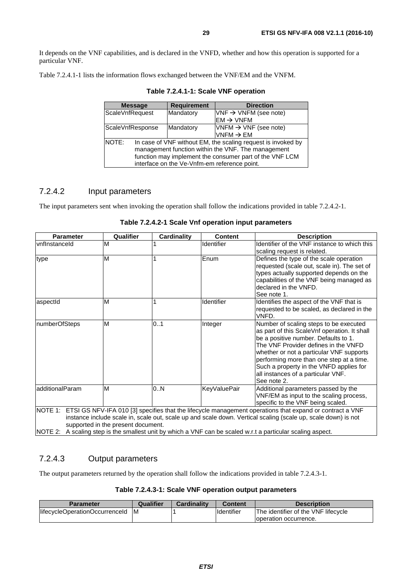It depends on the VNF capabilities, and is declared in the VNFD, whether and how this operation is supported for a particular VNF.

Table 7.2.4.1-1 lists the information flows exchanged between the VNF/EM and the VNFM.

| <b>Message</b>                                          |                                                              | <b>Requirement</b>                           | <b>Direction</b>                  |  |  |
|---------------------------------------------------------|--------------------------------------------------------------|----------------------------------------------|-----------------------------------|--|--|
| ScaleVnfRequest                                         |                                                              | Mandatory                                    | $VNF \rightarrow VNFM$ (see note) |  |  |
|                                                         |                                                              |                                              | $EM \rightarrow VNFM$             |  |  |
| ScaleVnfResponse                                        |                                                              | Mandatory                                    | $VNFM \rightarrow VNF$ (see note) |  |  |
|                                                         |                                                              |                                              | VNFM $\rightarrow$ EM             |  |  |
| NOTE:                                                   | In case of VNF without EM, the scaling request is invoked by |                                              |                                   |  |  |
|                                                         | management function within the VNF. The management           |                                              |                                   |  |  |
| function may implement the consumer part of the VNF LCM |                                                              |                                              |                                   |  |  |
|                                                         |                                                              | interface on the Ve-Vnfm-em reference point. |                                   |  |  |

**Table 7.2.4.1-1: Scale VNF operation** 

#### 7.2.4.2 Input parameters

The input parameters sent when invoking the operation shall follow the indications provided in table 7.2.4.2-1.

| <b>Parameter</b>                                                                                                                                                                                                                                                                                                                                                                       | Qualifier | <b>Cardinality</b> | <b>Content</b>      | <b>Description</b>                                                                                                                                                                                                                                                                                                                                             |
|----------------------------------------------------------------------------------------------------------------------------------------------------------------------------------------------------------------------------------------------------------------------------------------------------------------------------------------------------------------------------------------|-----------|--------------------|---------------------|----------------------------------------------------------------------------------------------------------------------------------------------------------------------------------------------------------------------------------------------------------------------------------------------------------------------------------------------------------------|
| vnflnstanceld                                                                                                                                                                                                                                                                                                                                                                          | M         |                    | Identifier          | Identifier of the VNF instance to which this<br>scaling request is related.                                                                                                                                                                                                                                                                                    |
| type                                                                                                                                                                                                                                                                                                                                                                                   | M         |                    | Enum                | Defines the type of the scale operation<br>requested (scale out, scale in). The set of<br>types actually supported depends on the<br>capabilities of the VNF being managed as<br>declared in the VNFD.<br>See note 1.                                                                                                                                          |
| aspectId                                                                                                                                                                                                                                                                                                                                                                               | M         |                    | Identifier          | Identifies the aspect of the VNF that is<br>requested to be scaled, as declared in the<br>VNFD.                                                                                                                                                                                                                                                                |
| numberOfSteps                                                                                                                                                                                                                                                                                                                                                                          | M         | 0.1                | Integer             | Number of scaling steps to be executed<br>as part of this ScaleVnf operation. It shall<br>be a positive number. Defaults to 1.<br>The VNF Provider defines in the VNFD<br>whether or not a particular VNF supports<br>performing more than one step at a time.<br>Such a property in the VNFD applies for<br>all instances of a particular VNF.<br>See note 2. |
| additionalParam                                                                                                                                                                                                                                                                                                                                                                        | M         | 0.N                | <b>KeyValuePair</b> | Additional parameters passed by the<br>VNF/EM as input to the scaling process,<br>specific to the VNF being scaled.                                                                                                                                                                                                                                            |
| NOTE 1: ETSI GS NFV-IFA 010 [3] specifies that the lifecycle management operations that expand or contract a VNF<br>instance include scale in, scale out, scale up and scale down. Vertical scaling (scale up, scale down) is not<br>supported in the present document.<br>NOTE 2: A scaling step is the smallest unit by which a VNF can be scaled w.r.t a particular scaling aspect. |           |                    |                     |                                                                                                                                                                                                                                                                                                                                                                |

**Table 7.2.4.2-1 Scale Vnf operation input parameters**

### 7.2.4.3 Output parameters

The output parameters returned by the operation shall follow the indications provided in table 7.2.4.3-1.

**Table 7.2.4.3-1: Scale VNF operation output parameters** 

| <b>Parameter</b>               | Qualifier | Cardinality | Content            | <b>Description</b>                  |
|--------------------------------|-----------|-------------|--------------------|-------------------------------------|
| lifecycleOperationOccurrenceId | ΙM        |             | <b>I</b> dentifier | The identifier of the VNF lifecycle |
|                                |           |             |                    | Toperation occurrence.              |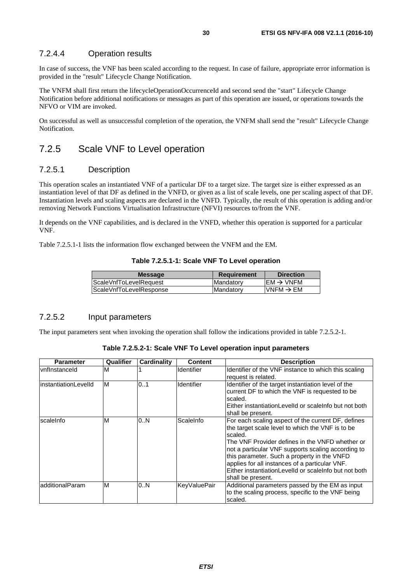#### <span id="page-29-0"></span>7.2.4.4 Operation results

In case of success, the VNF has been scaled according to the request. In case of failure, appropriate error information is provided in the "result" Lifecycle Change Notification.

The VNFM shall first return the lifecycleOperationOccurrenceId and second send the "start" Lifecycle Change Notification before additional notifications or messages as part of this operation are issued, or operations towards the NFVO or VIM are invoked.

On successful as well as unsuccessful completion of the operation, the VNFM shall send the "result" Lifecycle Change Notification.

# 7.2.5 Scale VNF to Level operation

#### 7.2.5.1 Description

This operation scales an instantiated VNF of a particular DF to a target size. The target size is either expressed as an instantiation level of that DF as defined in the VNFD, or given as a list of scale levels, one per scaling aspect of that DF. Instantiation levels and scaling aspects are declared in the VNFD. Typically, the result of this operation is adding and/or removing Network Functions Virtualisation Infrastructure (NFVI) resources to/from the VNF.

It depends on the VNF capabilities, and is declared in the VNFD, whether this operation is supported for a particular VNF.

Table 7.2.5.1-1 lists the information flow exchanged between the VNFM and the EM.

#### **Table 7.2.5.1-1: Scale VNF To Level operation**

| <b>Message</b>          | <b>Requirement</b> | <b>Direction</b>       |
|-------------------------|--------------------|------------------------|
| ScaleVnfToLevelRequest  | <b>IMandatory</b>  | $IEM \rightarrow VNFM$ |
| ScaleVnfToLevelResponse | <b>IMandatory</b>  | $IVNFM \rightarrow EM$ |
|                         |                    |                        |

#### 7.2.5.2 Input parameters

The input parameters sent when invoking the operation shall follow the indications provided in table 7.2.5.2-1.

| Table 7.2.5.2-1: Scale VNF To Level operation input parameters |  |
|----------------------------------------------------------------|--|
|----------------------------------------------------------------|--|

| <b>Parameter</b>      | Qualifier | Cardinality | <b>Content</b>    | <b>Description</b>                                                                                                                                                                                                                                                                                                                                                                                        |
|-----------------------|-----------|-------------|-------------------|-----------------------------------------------------------------------------------------------------------------------------------------------------------------------------------------------------------------------------------------------------------------------------------------------------------------------------------------------------------------------------------------------------------|
| vnflnstanceld         | M         |             | <b>Identifier</b> | Identifier of the VNF instance to which this scaling<br>request is related.                                                                                                                                                                                                                                                                                                                               |
| linstantiationLevelId | M         | 0.1         | <b>Identifier</b> | Identifier of the target instantiation level of the<br>current DF to which the VNF is requested to be<br>scaled.<br>Either instantiationLevelId or scaleInfo but not both<br>shall be present.                                                                                                                                                                                                            |
| scaleInfo             | M         | 0N          | ScaleInfo         | For each scaling aspect of the current DF, defines<br>the target scale level to which the VNF is to be<br>scaled.<br>The VNF Provider defines in the VNFD whether or<br>not a particular VNF supports scaling according to<br>this parameter. Such a property in the VNFD<br>applies for all instances of a particular VNF.<br>Either instantiationLevelId or scaleInfo but not both<br>shall be present. |
| additionalParam       | M         | 0.N         | KevValuePair      | Additional parameters passed by the EM as input<br>to the scaling process, specific to the VNF being<br>scaled.                                                                                                                                                                                                                                                                                           |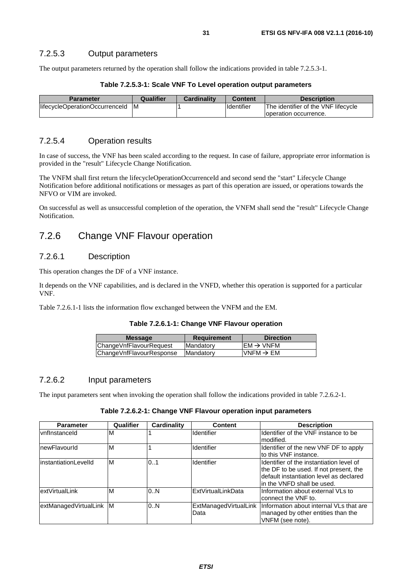<span id="page-30-0"></span>The output parameters returned by the operation shall follow the indications provided in table 7.2.5.3-1.

| Table 7.2.5.3-1: Scale VNF To Level operation output parameters |  |  |  |
|-----------------------------------------------------------------|--|--|--|
|-----------------------------------------------------------------|--|--|--|

| <b>Parameter</b>               | Qualifier | <b>Cardinality</b> | <b>Content</b>     | <b>Description</b>                  |
|--------------------------------|-----------|--------------------|--------------------|-------------------------------------|
| lifecycleOperationOccurrenceId | ΙM        |                    | <b>I</b> dentifier | The identifier of the VNF lifecycle |
|                                |           |                    |                    | loperation occurrence.              |

### 7.2.5.4 Operation results

In case of success, the VNF has been scaled according to the request. In case of failure, appropriate error information is provided in the "result" Lifecycle Change Notification.

The VNFM shall first return the lifecycleOperationOccurrenceId and second send the "start" Lifecycle Change Notification before additional notifications or messages as part of this operation are issued, or operations towards the NFVO or VIM are invoked.

On successful as well as unsuccessful completion of the operation, the VNFM shall send the "result" Lifecycle Change Notification.

## 7.2.6 Change VNF Flavour operation

#### 7.2.6.1 Description

This operation changes the DF of a VNF instance.

It depends on the VNF capabilities, and is declared in the VNFD, whether this operation is supported for a particular VNF.

Table 7.2.6.1-1 lists the information flow exchanged between the VNFM and the EM.

| Table 7.2.6.1-1: Change VNF Flavour operation |  |
|-----------------------------------------------|--|
|-----------------------------------------------|--|

| <b>Message</b>           | <b>Requirement</b> | <b>Direction</b>                         |
|--------------------------|--------------------|------------------------------------------|
| ChangeVnfFlavourRequest  | <b>Mandatory</b>   | $\mathsf{IEM} \rightarrow \mathsf{VNFM}$ |
| ChangeVnfFlavourResponse | Mandatory          | VNFM $\rightarrow$ EM                    |
|                          |                    |                                          |

#### 7.2.6.2 Input parameters

The input parameters sent when invoking the operation shall follow the indications provided in table 7.2.6.2-1.

#### **Table 7.2.6.2-1: Change VNF Flavour operation input parameters**

| <b>Parameter</b>        | Qualifier | Cardinality | <b>Content</b>                | <b>Description</b>                                                                                                                                            |
|-------------------------|-----------|-------------|-------------------------------|---------------------------------------------------------------------------------------------------------------------------------------------------------------|
| <b>vnflnstanceld</b>    | ΙM        |             | Identifier                    | Identifier of the VNF instance to be<br>Imodified.                                                                                                            |
| InewFlavourId           | ΙM        |             | Identifier                    | Identifier of the new VNF DF to apply<br>lto this VNF instance.                                                                                               |
| linstantiationLevelId   | M         | 0.1         | Identifier                    | Ildentifier of the instantiation level of<br>the DF to be used. If not present, the<br>default instantiation level as declared<br>lin the VNFD shall be used. |
| extVirtualLink          | M         | 0.N         | <b>ExtVirtualLinkData</b>     | Information about external VLs to<br>connect the VNF to.                                                                                                      |
| extManagedVirtualLink M |           | 0.N         | ExtManagedVirtualLink<br>Data | Information about internal VLs that are<br>managed by other entities than the<br>VNFM (see note).                                                             |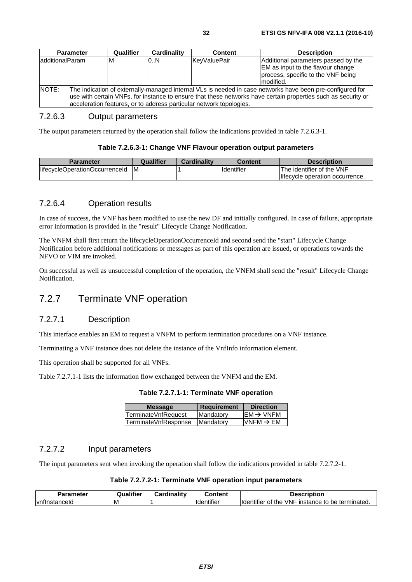#### <span id="page-31-0"></span>7.2.6.3 Output parameters

The output parameters returned by the operation shall follow the indications provided in table 7.2.6.3-1.

#### **Table 7.2.6.3-1: Change VNF Flavour operation output parameters**

| <b>Parameter</b>               | Qualifier | <b>Cardinality</b> | <b>Content</b>     | <b>Description</b>              |
|--------------------------------|-----------|--------------------|--------------------|---------------------------------|
| lifecycleOperationOccurrenceId | ΙM        |                    | <b>Ildentifier</b> | The identifier of the VNF       |
|                                |           |                    |                    | lifecycle operation occurrence. |

#### 7.2.6.4 Operation results

In case of success, the VNF has been modified to use the new DF and initially configured. In case of failure, appropriate error information is provided in the "result" Lifecycle Change Notification.

The VNFM shall first return the lifecycleOperationOccurrenceId and second send the "start" Lifecycle Change Notification before additional notifications or messages as part of this operation are issued, or operations towards the NFVO or VIM are invoked.

On successful as well as unsuccessful completion of the operation, the VNFM shall send the "result" Lifecycle Change Notification.

# 7.2.7 Terminate VNF operation

#### 7.2.7.1 Description

This interface enables an EM to request a VNFM to perform termination procedures on a VNF instance.

Terminating a VNF instance does not delete the instance of the VnfInfo information element.

This operation shall be supported for all VNFs.

Table 7.2.7.1-1 lists the information flow exchanged between the VNFM and the EM.

**Table 7.2.7.1-1: Terminate VNF operation** 

| <b>Message</b>       | Requirement | <b>Direction</b>      |
|----------------------|-------------|-----------------------|
| TerminateVnfRequest  | Mandatory   | $EM \rightarrow VNFM$ |
| TerminateVnfResponse | Mandatory   | $VNFM \rightarrow EM$ |
|                      |             |                       |

#### 7.2.7.2 Input parameters

The input parameters sent when invoking the operation shall follow the indications provided in table 7.2.7.2-1.

| Parameter     | <br>Qualifier | Cardinality | Content                      | <b>Description</b>                                                   |
|---------------|---------------|-------------|------------------------------|----------------------------------------------------------------------|
| vnflnstanceld | ΙM            |             | $\cdot$<br><b>Identifier</b> | VNF<br><b>Ildentifier</b><br>be terminated.<br>of the<br>instance to |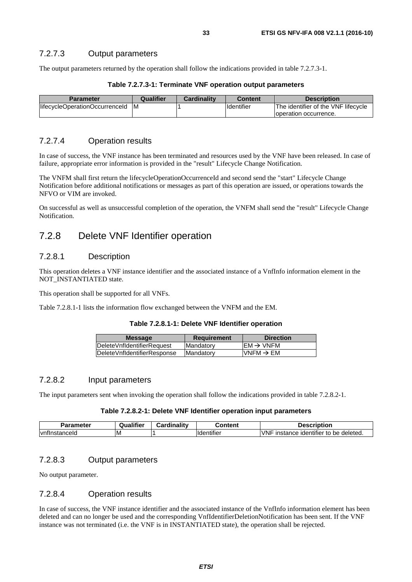<span id="page-32-0"></span>The output parameters returned by the operation shall follow the indications provided in table 7.2.7.3-1.

| <b>Parameter</b>               | Qualifier | <b>Cardinality</b> | <b>Content</b>    | <b>Description</b>                  |
|--------------------------------|-----------|--------------------|-------------------|-------------------------------------|
| lifecycleOperationOccurrenceId | ΙM        |                    | <b>Identifier</b> | The identifier of the VNF lifecycle |
|                                |           |                    |                   | Toperation occurrence.              |

#### 7.2.7.4 Operation results

In case of success, the VNF instance has been terminated and resources used by the VNF have been released. In case of failure, appropriate error information is provided in the "result" Lifecycle Change Notification.

The VNFM shall first return the lifecycleOperationOccurrenceId and second send the "start" Lifecycle Change Notification before additional notifications or messages as part of this operation are issued, or operations towards the NFVO or VIM are invoked.

On successful as well as unsuccessful completion of the operation, the VNFM shall send the "result" Lifecycle Change Notification.

# 7.2.8 Delete VNF Identifier operation

#### 7.2.8.1 Description

This operation deletes a VNF instance identifier and the associated instance of a VnfInfo information element in the NOT\_INSTANTIATED state.

This operation shall be supported for all VNFs.

Table 7.2.8.1-1 lists the information flow exchanged between the VNFM and the EM.

|  |  |  |  |  | Table 7.2.8.1-1: Delete VNF Identifier operation |
|--|--|--|--|--|--------------------------------------------------|
|--|--|--|--|--|--------------------------------------------------|

| <b>Message</b>               | <b>Requirement</b> | <b>Direction</b>         |
|------------------------------|--------------------|--------------------------|
| DeleteVnfldentifierRequest   | <b>Mandatory</b>   | IEM $\rightarrow$ VNFM   |
| lDeleteVnfldentifierResponse | Mandatory          | $N$ NFM $\rightarrow$ EM |
|                              |                    |                          |

#### 7.2.8.2 Input parameters

The input parameters sent when invoking the operation shall follow the indications provided in table 7.2.8.2-1.

#### **Table 7.2.8.2-1: Delete VNF Identifier operation input parameters**

| Parameter          | Qualifier | .<br>. .<br>inalitv<br>`ord<br>sarui | Content                            | <b>Description</b>                                                     |
|--------------------|-----------|--------------------------------------|------------------------------------|------------------------------------------------------------------------|
| vntli<br>∖stanceId | ιM        |                                      | $\cdots$<br>-------<br>iae<br>нше. | $\cdots$<br><b>VNF</b><br>be deleted.<br>, identifier<br>instance<br>Ю |

### 7.2.8.3 Output parameters

No output parameter.

#### 7.2.8.4 Operation results

In case of success, the VNF instance identifier and the associated instance of the VnfInfo information element has been deleted and can no longer be used and the corresponding VnfIdentifierDeletionNotification has been sent. If the VNF instance was not terminated (i.e. the VNF is in INSTANTIATED state), the operation shall be rejected.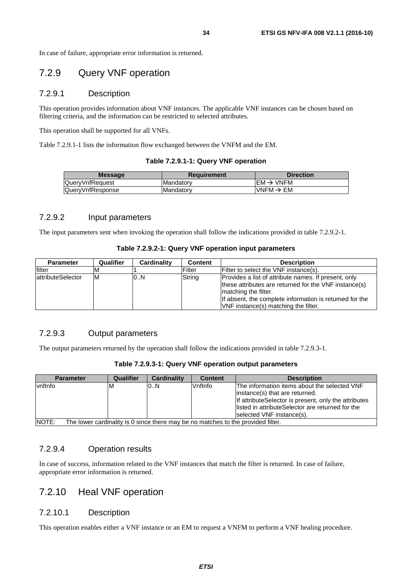<span id="page-33-0"></span>In case of failure, appropriate error information is returned.

# 7.2.9 Query VNF operation

#### 7.2.9.1 Description

This operation provides information about VNF instances. The applicable VNF instances can be chosen based on filtering criteria, and the information can be restricted to selected attributes.

This operation shall be supported for all VNFs.

Table 7.2.9.1-1 lists the information flow exchanged between the VNFM and the EM.

#### **Table 7.2.9.1-1: Query VNF operation**

| <b>Message</b>         | Requirement       | <b>Direction</b>       |
|------------------------|-------------------|------------------------|
| <b>QuervVnfRequest</b> | <b>Mandatory</b>  | IEM $\rightarrow$ VNFM |
| QueryVnfResponse       | <b>IMandatory</b> | VNFM $\rightarrow$ EM  |
|                        |                   |                        |

#### 7.2.9.2 Input parameters

The input parameters sent when invoking the operation shall follow the indications provided in table 7.2.9.2-1.

#### **Table 7.2.9.2-1: Query VNF operation input parameters**

| <b>Parameter</b>   | Qualifier | Cardinality | <b>Content</b> | <b>Description</b>                                                                                                                                                                                                                       |
|--------------------|-----------|-------------|----------------|------------------------------------------------------------------------------------------------------------------------------------------------------------------------------------------------------------------------------------------|
| filter             |           |             | Filter         | Filter to select the VNF instance(s).                                                                                                                                                                                                    |
| lattributeSelector | ιм        | 0N          | String         | Provides a list of attribute names. If present, only<br>these attributes are returned for the VNF instance(s)<br>matching the filter.<br>If absent, the complete information is returned for the<br>VNF instance(s) matching the filter. |

#### 7.2.9.3 Output parameters

The output parameters returned by the operation shall follow the indications provided in table 7.2.9.3-1.

| Table 7.2.9.3-1: Query VNF operation output parameters |  |  |
|--------------------------------------------------------|--|--|
|--------------------------------------------------------|--|--|

| <b>Parameter</b> | Qualifier                                                                        | <b>Cardinality</b> | <b>Content</b> | <b>Description</b>                                                                                                                                                                                                        |  |  |  |
|------------------|----------------------------------------------------------------------------------|--------------------|----------------|---------------------------------------------------------------------------------------------------------------------------------------------------------------------------------------------------------------------------|--|--|--|
| vnflnfo          | ιм                                                                               | 0.N                | Vnflnfo        | The information items about the selected VNF<br>instance(s) that are returned.<br>If attribute Selector is present, only the attributes<br>llisted in attributeSelector are returned for the<br>selected VNF instance(s). |  |  |  |
| NOTE:            | The lower cardinality is 0 since there may be no matches to the provided filter. |                    |                |                                                                                                                                                                                                                           |  |  |  |

#### 7.2.9.4 Operation results

In case of success, information related to the VNF instances that match the filter is returned. In case of failure, appropriate error information is returned.

# 7.2.10 Heal VNF operation

#### 7.2.10.1 Description

This operation enables either a VNF instance or an EM to request a VNFM to perform a VNF healing procedure.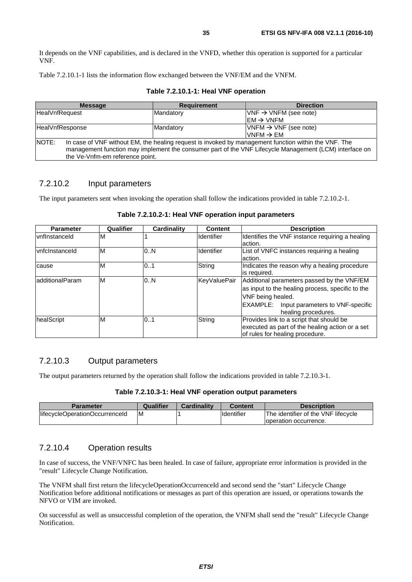<span id="page-34-0"></span>It depends on the VNF capabilities, and is declared in the VNFD, whether this operation is supported for a particular VNF.

Table 7.2.10.1-1 lists the information flow exchanged between the VNF/EM and the VNFM.

|                       | <b>Message</b>                                                                                                                                                                                                                                    | <b>Requirement</b> | <b>Direction</b>                    |  |  |
|-----------------------|---------------------------------------------------------------------------------------------------------------------------------------------------------------------------------------------------------------------------------------------------|--------------------|-------------------------------------|--|--|
| <b>HealVnfRequest</b> |                                                                                                                                                                                                                                                   | Mandatory          | $VNF \rightarrow VNFM$ (see note)   |  |  |
|                       |                                                                                                                                                                                                                                                   |                    | $\text{EM} \rightarrow \text{VNFM}$ |  |  |
|                       | HealVnfResponse<br>Mandatory                                                                                                                                                                                                                      |                    | $VNFM \rightarrow VNF$ (see note)   |  |  |
|                       |                                                                                                                                                                                                                                                   |                    | $IVNFM \rightarrow EM$              |  |  |
| <b>NOTE:</b>          | In case of VNF without EM, the healing request is invoked by management function within the VNF. The<br>management function may implement the consumer part of the VNF Lifecycle Management (LCM) interface on<br>the Ve-Vnfm-em reference point. |                    |                                     |  |  |

#### **Table 7.2.10.1-1: Heal VNF operation**

#### 7.2.10.2 Input parameters

The input parameters sent when invoking the operation shall follow the indications provided in table 7.2.10.2-1.

| <b>Parameter</b> | Qualifier | <b>Cardinality</b> | <b>Content</b>    | <b>Description</b>                                                                                                             |
|------------------|-----------|--------------------|-------------------|--------------------------------------------------------------------------------------------------------------------------------|
| vnflnstanceld    | M         |                    | <b>Identifier</b> | Identifies the VNF instance requiring a healing                                                                                |
|                  |           |                    |                   | laction.                                                                                                                       |
| vnfclnstanceld   | M         | 0N                 | Identifier        | List of VNFC instances requiring a healing                                                                                     |
|                  |           |                    |                   | action.                                                                                                                        |
| cause            | M         | 0.1                | String            | Indicates the reason why a healing procedure                                                                                   |
|                  |           |                    |                   | lis reauired.                                                                                                                  |
| ladditionalParam | M         | 0.N                | KeyValuePair      | Additional parameters passed by the VNF/EM                                                                                     |
|                  |           |                    |                   | as input to the healing process, specific to the                                                                               |
|                  |           |                    |                   | VNF being healed.                                                                                                              |
|                  |           |                    |                   | EXAMPLE:<br>Input parameters to VNF-specific<br>healing procedures.                                                            |
| healScript       | M         | 0.1                | String            | Provides link to a script that should be<br>executed as part of the healing action or a set<br>of rules for healing procedure. |

#### **Table 7.2.10.2-1: Heal VNF operation input parameters**

#### 7.2.10.3 Output parameters

The output parameters returned by the operation shall follow the indications provided in table 7.2.10.3-1.

#### **Table 7.2.10.3-1: Heal VNF operation output parameters**

| Parameter                      | Qualifier | Cardinality | <b>Content</b>    | <b>Description</b>                  |
|--------------------------------|-----------|-------------|-------------------|-------------------------------------|
| lifecycleOperationOccurrenceId | ΙM        |             | <b>Identifier</b> | The identifier of the VNF lifecycle |
|                                |           |             |                   | loperation occurrence.              |

#### 7.2.10.4 Operation results

In case of success, the VNF/VNFC has been healed. In case of failure, appropriate error information is provided in the "result" Lifecycle Change Notification.

The VNFM shall first return the lifecycleOperationOccurrenceId and second send the "start" Lifecycle Change Notification before additional notifications or messages as part of this operation are issued, or operations towards the NFVO or VIM are invoked.

On successful as well as unsuccessful completion of the operation, the VNFM shall send the "result" Lifecycle Change Notification.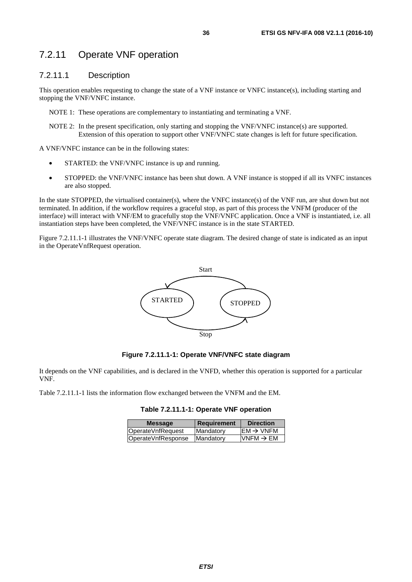# <span id="page-35-0"></span>7.2.11 Operate VNF operation

#### 7.2.11.1 Description

This operation enables requesting to change the state of a VNF instance or VNFC instance(s), including starting and stopping the VNF/VNFC instance.

NOTE 1: These operations are complementary to instantiating and terminating a VNF.

NOTE 2: In the present specification, only starting and stopping the VNF/VNFC instance(s) are supported. Extension of this operation to support other VNF/VNFC state changes is left for future specification.

A VNF/VNFC instance can be in the following states:

- STARTED: the VNF/VNFC instance is up and running.
- STOPPED: the VNF/VNFC instance has been shut down. A VNF instance is stopped if all its VNFC instances are also stopped.

In the state STOPPED, the virtualised container(s), where the VNFC instance(s) of the VNF run, are shut down but not terminated. In addition, if the workflow requires a graceful stop, as part of this process the VNFM (producer of the interface) will interact with VNF/EM to gracefully stop the VNF/VNFC application. Once a VNF is instantiated, i.e. all instantiation steps have been completed, the VNF/VNFC instance is in the state STARTED.

Figure 7.2.11.1-1 illustrates the VNF/VNFC operate state diagram. The desired change of state is indicated as an input in the OperateVnfRequest operation.



**Figure 7.2.11.1-1: Operate VNF/VNFC state diagram** 

It depends on the VNF capabilities, and is declared in the VNFD, whether this operation is supported for a particular VNF.

Table 7.2.11.1-1 lists the information flow exchanged between the VNFM and the EM.

| Table 7.2.11.1-1: Operate VNF operation |  |
|-----------------------------------------|--|
|-----------------------------------------|--|

| $EM \rightarrow VNFM$<br>OperateVnfRequest<br>Mandatory          | <b>Direction</b> | <b>Message</b> |
|------------------------------------------------------------------|------------------|----------------|
|                                                                  |                  |                |
| VNFM $\rightarrow$ EM<br>OperateVnfResponse<br><b>IMandatory</b> |                  |                |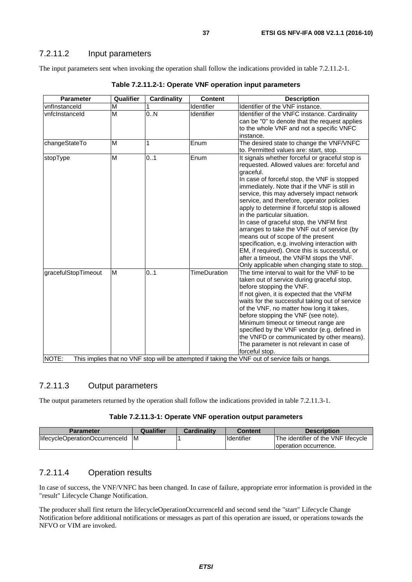### 7.2.11.2 Input parameters

The input parameters sent when invoking the operation shall follow the indications provided in table 7.2.11.2-1.

| <b>Parameter</b>             | Qualifier | <b>Cardinality</b> | <b>Content</b>      | <b>Description</b>                                                                                                                                                                                                                                                                                                                                                                                                                                                                                                                                                                                                                                                                                                       |
|------------------------------|-----------|--------------------|---------------------|--------------------------------------------------------------------------------------------------------------------------------------------------------------------------------------------------------------------------------------------------------------------------------------------------------------------------------------------------------------------------------------------------------------------------------------------------------------------------------------------------------------------------------------------------------------------------------------------------------------------------------------------------------------------------------------------------------------------------|
| vnflnstanceld                | M         |                    | Identifier          | Identifier of the VNF instance.                                                                                                                                                                                                                                                                                                                                                                                                                                                                                                                                                                                                                                                                                          |
| vnfcInstanceId               | M         | 0.N                | Identifier          | Identifier of the VNFC instance. Cardinality<br>can be "0" to denote that the request applies<br>to the whole VNF and not a specific VNFC<br>instance.                                                                                                                                                                                                                                                                                                                                                                                                                                                                                                                                                                   |
| changeStateTo                | M         | 1                  | Enum                | The desired state to change the VNF/VNFC<br>to. Permitted values are: start, stop.                                                                                                                                                                                                                                                                                                                                                                                                                                                                                                                                                                                                                                       |
| stopType                     | M         | 0.1                | Enum                | It signals whether forceful or graceful stop is<br>requested. Allowed values are: forceful and<br>graceful.<br>In case of forceful stop, the VNF is stopped<br>immediately. Note that if the VNF is still in<br>service, this may adversely impact network<br>service, and therefore, operator policies<br>apply to determine if forceful stop is allowed<br>in the particular situation.<br>In case of graceful stop, the VNFM first<br>arranges to take the VNF out of service (by<br>means out of scope of the present<br>specification, e.g. involving interaction with<br>EM, if required). Once this is successful, or<br>after a timeout, the VNFM stops the VNF.<br>Only applicable when changing state to stop. |
| gracefulStopTimeout<br>NOTE: | M         | 0.1                | <b>TimeDuration</b> | The time interval to wait for the VNF to be<br>taken out of service during graceful stop,<br>before stopping the VNF.<br>If not given, it is expected that the VNFM<br>waits for the successful taking out of service<br>of the VNF, no matter how long it takes,<br>before stopping the VNF (see note).<br>Minimum timeout or timeout range are<br>specified by the VNF vendor (e.g. defined in<br>the VNFD or communicated by other means).<br>The parameter is not relevant in case of<br>forceful stop.<br>This implies that no VNF stop will be attempted if taking the VNF out of service fails or hangs.                                                                                                          |

**Table 7.2.11.2-1: Operate VNF operation input parameters** 

# 7.2.11.3 Output parameters

The output parameters returned by the operation shall follow the indications provided in table 7.2.11.3-1.

#### **Table 7.2.11.3-1: Operate VNF operation output parameters**

| Parameter                      | Qualifier | Cardinalitv | Content            | <b>Description</b>                  |
|--------------------------------|-----------|-------------|--------------------|-------------------------------------|
| lifecycleOperationOccurrenceId | ΙM        |             | <b>I</b> dentifier | The identifier of the VNF lifecycle |
|                                |           |             |                    | Toperation occurrence.              |

### 7.2.11.4 Operation results

In case of success, the VNF/VNFC has been changed. In case of failure, appropriate error information is provided in the "result" Lifecycle Change Notification.

The producer shall first return the lifecycleOperationOccurrenceId and second send the "start" Lifecycle Change Notification before additional notifications or messages as part of this operation are issued, or operations towards the NFVO or VIM are invoked.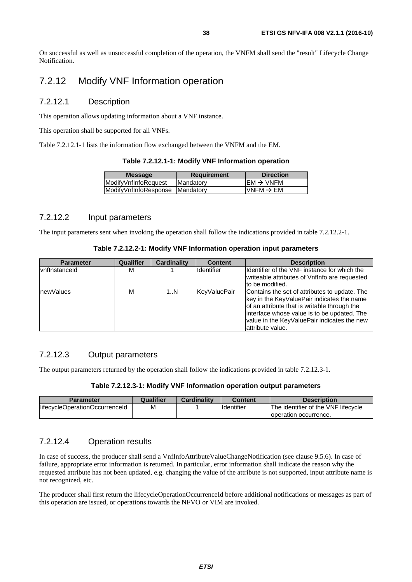On successful as well as unsuccessful completion of the operation, the VNFM shall send the "result" Lifecycle Change Notification.

# 7.2.12 Modify VNF Information operation

#### 7.2.12.1 Description

This operation allows updating information about a VNF instance.

This operation shall be supported for all VNFs.

Table 7.2.12.1-1 lists the information flow exchanged between the VNFM and the EM.

| Table 7.2.12.1-1: Modify VNF Information operation |  |  |  |
|----------------------------------------------------|--|--|--|
|----------------------------------------------------|--|--|--|

| <b>Message</b>                  | <b>Requirement</b> | <b>Direction</b>      |
|---------------------------------|--------------------|-----------------------|
| <b>ModifvVnfInfoRequest</b>     | <b>Mandatory</b>   | $EM \rightarrow VNFM$ |
| ModifyVnfInfoResponse Mandatory |                    | VNFM $\rightarrow$ EM |
|                                 |                    |                       |

#### 7.2.12.2 Input parameters

The input parameters sent when invoking the operation shall follow the indications provided in table 7.2.12.2-1.

| <b>Parameter</b>     | Qualifier | <b>Cardinality</b> | <b>Content</b>    | <b>Description</b>                                                                                                                                                                                                                                             |
|----------------------|-----------|--------------------|-------------------|----------------------------------------------------------------------------------------------------------------------------------------------------------------------------------------------------------------------------------------------------------------|
| <b>vnflnstanceld</b> | м         |                    | <b>Identifier</b> | Identifier of the VNF instance for which the<br>writeable attributes of VnfInfo are requested<br>to be modified.                                                                                                                                               |
| newValues            | м         | 1N                 | KeyValuePair      | Contains the set of attributes to update. The<br>key in the KeyValuePair indicates the name<br>of an attribute that is writable through the<br>interface whose value is to be updated. The<br>value in the KeyValuePair indicates the new<br>lattribute value. |

### 7.2.12.3 Output parameters

The output parameters returned by the operation shall follow the indications provided in table 7.2.12.3-1.

#### **Table 7.2.12.3-1: Modify VNF Information operation output parameters**

| <b>Parameter</b>               | Qualifier | <b>Cardinality</b> | Content    | <b>Description</b>                   |
|--------------------------------|-----------|--------------------|------------|--------------------------------------|
| lifecycleOperationOccurrenceId | M         |                    | Identifier | lThe identifier of the VNF lifecvcle |
|                                |           |                    |            | loperation occurrence.               |

### 7.2.12.4 Operation results

In case of success, the producer shall send a VnfInfoAttributeValueChangeNotification (see clause 9.5.6). In case of failure, appropriate error information is returned. In particular, error information shall indicate the reason why the requested attribute has not been updated, e.g. changing the value of the attribute is not supported, input attribute name is not recognized, etc.

The producer shall first return the lifecycleOperationOccurrenceId before additional notifications or messages as part of this operation are issued, or operations towards the NFVO or VIM are invoked.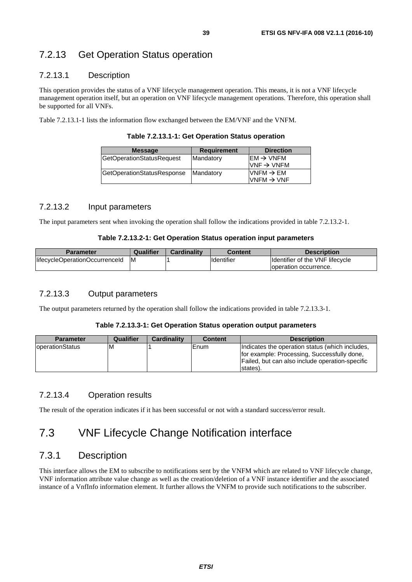# 7.2.13 Get Operation Status operation

# 7.2.13.1 Description

This operation provides the status of a VNF lifecycle management operation. This means, it is not a VNF lifecycle management operation itself, but an operation on VNF lifecycle management operations. Therefore, this operation shall be supported for all VNFs.

Table 7.2.13.1-1 lists the information flow exchanged between the EM/VNF and the VNFM.

|  |  | Table 7.2.13.1-1: Get Operation Status operation |
|--|--|--------------------------------------------------|
|--|--|--------------------------------------------------|

| <b>Message</b>                    | <b>Requirement</b> | <b>Direction</b>                                                   |
|-----------------------------------|--------------------|--------------------------------------------------------------------|
| GetOperationStatusRequest         | Mandatory          | $\mathsf{IEM} \rightarrow \mathsf{VNFM}$<br>$VNF \rightarrow VNFM$ |
| <b>GetOperationStatusResponse</b> | Mandatory          | VNFM $\rightarrow$ EM<br>$VNFM \rightarrow VNF$                    |

### 7.2.13.2 Input parameters

The input parameters sent when invoking the operation shall follow the indications provided in table 7.2.13.2-1.

#### **Table 7.2.13.2-1: Get Operation Status operation input parameters**

| Parameter                      | Qualifier | <b>Cardinality</b> | Content           | <b>Description</b>                      |
|--------------------------------|-----------|--------------------|-------------------|-----------------------------------------|
| lifecycleOperationOccurrenceId | M         |                    | <b>Identifier</b> | <b>Ildentifier of the VNF lifecycle</b> |
|                                |           |                    |                   | loperation occurrence.                  |

### 7.2.13.3 Output parameters

The output parameters returned by the operation shall follow the indications provided in table 7.2.13.3-1.

#### **Table 7.2.13.3-1: Get Operation Status operation output parameters**

| <b>Parameter</b> | Qualifier | <b>Cardinality</b> | <b>Content</b> | <b>Description</b>                                                                                                                                            |
|------------------|-----------|--------------------|----------------|---------------------------------------------------------------------------------------------------------------------------------------------------------------|
| IoperationStatus | M         |                    | Enum           | Indicates the operation status (which includes,<br>for example: Processing, Successfully done,<br>Failed, but can also include operation-specific<br>states). |

### 7.2.13.4 Operation results

The result of the operation indicates if it has been successful or not with a standard success/error result.

# 7.3 VNF Lifecycle Change Notification interface

# 7.3.1 Description

This interface allows the EM to subscribe to notifications sent by the VNFM which are related to VNF lifecycle change, VNF information attribute value change as well as the creation/deletion of a VNF instance identifier and the associated instance of a VnfInfo information element. It further allows the VNFM to provide such notifications to the subscriber.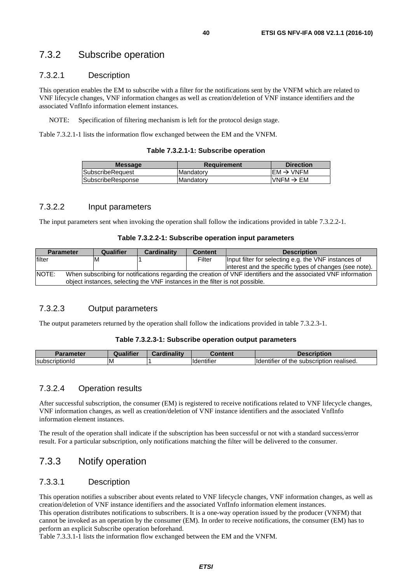# 7.3.2 Subscribe operation

# 7.3.2.1 Description

This operation enables the EM to subscribe with a filter for the notifications sent by the VNFM which are related to VNF lifecycle changes, VNF information changes as well as creation/deletion of VNF instance identifiers and the associated VnfInfo information element instances.

NOTE: Specification of filtering mechanism is left for the protocol design stage.

Table 7.3.2.1-1 lists the information flow exchanged between the EM and the VNFM.

|  |  | Table 7.3.2.1-1: Subscribe operation |  |
|--|--|--------------------------------------|--|
|--|--|--------------------------------------|--|

| <b>Message</b>          | Requirement       | <b>Direction</b>      |
|-------------------------|-------------------|-----------------------|
| <b>SubscribeRequest</b> | IMandatorv        | $FM \rightarrow VNFM$ |
| SubscribeResponse       | <b>IMandatorv</b> | VNFM $\rightarrow$ EM |
|                         |                   |                       |

#### 7.3.2.2 Input parameters

The input parameters sent when invoking the operation shall follow the indications provided in table 7.3.2.2-1.

#### **Table 7.3.2.2-1: Subscribe operation input parameters**

| <b>Parameter</b>                                                                                                         | Qualifier                                                                    | <b>Cardinality</b> | <b>Content</b> | <b>Description</b>                                      |  |  |
|--------------------------------------------------------------------------------------------------------------------------|------------------------------------------------------------------------------|--------------------|----------------|---------------------------------------------------------|--|--|
| filter                                                                                                                   | ΙM                                                                           |                    | Filter         | Input filter for selecting e.g. the VNF instances of    |  |  |
|                                                                                                                          |                                                                              |                    |                | linterest and the specific types of changes (see note). |  |  |
| NOTE:<br>When subscribing for notifications regarding the creation of VNF identifiers and the associated VNF information |                                                                              |                    |                |                                                         |  |  |
|                                                                                                                          | object instances, selecting the VNF instances in the filter is not possible. |                    |                |                                                         |  |  |

#### 7.3.2.3 Output parameters

The output parameters returned by the operation shall follow the indications provided in table 7.3.2.3-1.

#### **Table 7.3.2.3-1: Subscribe operation output parameters**

| Parameter      |    | <b>BR</b><br>$\sim$ | conten.                             | ription                                                                     |
|----------------|----|---------------------|-------------------------------------|-----------------------------------------------------------------------------|
| subscriptionId | ΙM |                     | $\cdots$<br>lidentitie <sup>r</sup> | $\cdots$<br>realised.<br>, subscription.<br>the<br><b>Ildentifier</b><br>Οt |

#### 7.3.2.4 Operation results

After successful subscription, the consumer (EM) is registered to receive notifications related to VNF lifecycle changes, VNF information changes, as well as creation/deletion of VNF instance identifiers and the associated VnfInfo information element instances.

The result of the operation shall indicate if the subscription has been successful or not with a standard success/error result. For a particular subscription, only notifications matching the filter will be delivered to the consumer.

# 7.3.3 Notify operation

#### 7.3.3.1 Description

This operation notifies a subscriber about events related to VNF lifecycle changes, VNF information changes, as well as creation/deletion of VNF instance identifiers and the associated VnfInfo information element instances.

This operation distributes notifications to subscribers. It is a one-way operation issued by the producer (VNFM) that cannot be invoked as an operation by the consumer (EM). In order to receive notifications, the consumer (EM) has to perform an explicit Subscribe operation beforehand.

Table 7.3.3.1-1 lists the information flow exchanged between the EM and the VNFM.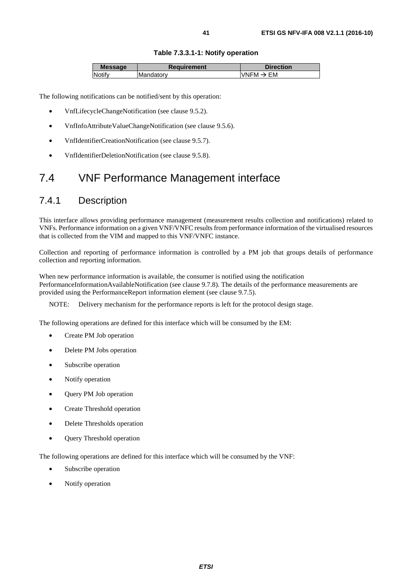### **Table 7.3.3.1-1: Notify operation**

| <b>Message</b> | Requirement | <b>Direction</b>                               |
|----------------|-------------|------------------------------------------------|
| INotif∨        | Mandatory   | FM.<br><b>VNFM</b><br>$\overline{\phantom{a}}$ |

The following notifications can be notified/sent by this operation:

- VnfLifecycleChangeNotification (see clause 9.5.2).
- VnfInfoAttributeValueChangeNotification (see clause 9.5.6).
- VnfIdentifierCreationNotification (see clause 9.5.7).
- VnfIdentifierDeletionNotification (see clause 9.5.8).

# 7.4 VNF Performance Management interface

# 7.4.1 Description

This interface allows providing performance management (measurement results collection and notifications) related to VNFs. Performance information on a given VNF/VNFC results from performance information of the virtualised resources that is collected from the VIM and mapped to this VNF/VNFC instance.

Collection and reporting of performance information is controlled by a PM job that groups details of performance collection and reporting information.

When new performance information is available, the consumer is notified using the notification PerformanceInformationAvailableNotification (see clause 9.7.8). The details of the performance measurements are provided using the PerformanceReport information element (see clause 9.7.5).

NOTE: Delivery mechanism for the performance reports is left for the protocol design stage.

The following operations are defined for this interface which will be consumed by the EM:

- Create PM Job operation
- Delete PM Jobs operation
- Subscribe operation
- Notify operation
- Query PM Job operation
- Create Threshold operation
- Delete Thresholds operation
- **Query Threshold operation**

The following operations are defined for this interface which will be consumed by the VNF:

- Subscribe operation
- Notify operation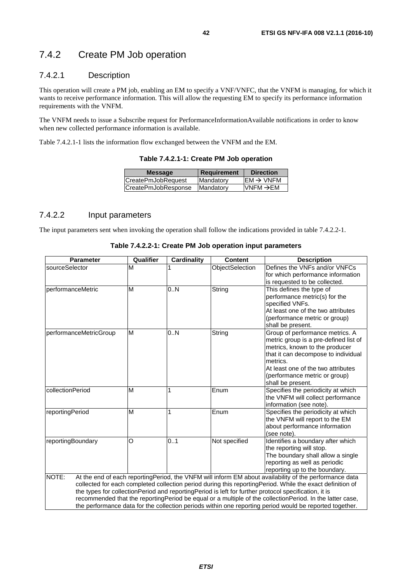# 7.4.2 Create PM Job operation

### 7.4.2.1 Description

This operation will create a PM job, enabling an EM to specify a VNF/VNFC, that the VNFM is managing, for which it wants to receive performance information. This will allow the requesting EM to specify its performance information requirements with the VNFM.

The VNFM needs to issue a Subscribe request for PerformanceInformationAvailable notifications in order to know when new collected performance information is available.

Table 7.4.2.1-1 lists the information flow exchanged between the VNFM and the EM.

| <b>Message</b>      | Requirement | <b>Direction</b>      |
|---------------------|-------------|-----------------------|
| CreatePmJobRequest  | Mandatory   | $EM \rightarrow VNFM$ |
| CreatePmJobResponse | Mandatory   | $VNFM \rightarrow EM$ |
|                     |             |                       |

**Table 7.4.2.1-1: Create PM Job operation** 

#### 7.4.2.2 Input parameters

The input parameters sent when invoking the operation shall follow the indications provided in table 7.4.2.2-1.

| Table 7.4.2.2-1: Create PM Job operation input parameters |  |  |
|-----------------------------------------------------------|--|--|
|-----------------------------------------------------------|--|--|

| <b>Parameter</b>       | Qualifier | <b>Cardinality</b> | <b>Content</b>  | <b>Description</b>                                                                                                                                                                                                                                                                                                                                                                                                                                                                                                                                    |
|------------------------|-----------|--------------------|-----------------|-------------------------------------------------------------------------------------------------------------------------------------------------------------------------------------------------------------------------------------------------------------------------------------------------------------------------------------------------------------------------------------------------------------------------------------------------------------------------------------------------------------------------------------------------------|
| sourceSelector         | M         |                    | ObjectSelection | Defines the VNFs and/or VNFCs<br>for which performance information                                                                                                                                                                                                                                                                                                                                                                                                                                                                                    |
|                        |           |                    |                 | is requested to be collected.                                                                                                                                                                                                                                                                                                                                                                                                                                                                                                                         |
| performanceMetric      | M         | 0.N                | String          | This defines the type of<br>performance metric(s) for the<br>specified VNFs.<br>At least one of the two attributes<br>(performance metric or group)<br>shall be present.                                                                                                                                                                                                                                                                                                                                                                              |
| performanceMetricGroup | M         | 0.N                | String          | Group of performance metrics. A<br>metric group is a pre-defined list of<br>metrics, known to the producer<br>that it can decompose to individual<br>metrics.<br>At least one of the two attributes<br>(performance metric or group)<br>shall be present.                                                                                                                                                                                                                                                                                             |
| collectionPeriod       | M         | 1                  | Enum            | Specifies the periodicity at which<br>the VNFM will collect performance<br>information (see note).                                                                                                                                                                                                                                                                                                                                                                                                                                                    |
| reportingPeriod        | M         | 1                  | Enum            | Specifies the periodicity at which<br>the VNFM will report to the EM<br>about performance information<br>(see note).                                                                                                                                                                                                                                                                                                                                                                                                                                  |
| reportingBoundary      | O         | 0.1                | Not specified   | Identifies a boundary after which<br>the reporting will stop.<br>The boundary shall allow a single<br>reporting as well as periodic<br>reporting up to the boundary.                                                                                                                                                                                                                                                                                                                                                                                  |
| NOTE:                  |           |                    |                 | At the end of each reporting Period, the VNFM will inform EM about availability of the performance data<br>collected for each completed collection period during this reportingPeriod. While the exact definition of<br>the types for collection Period and reporting Period is left for further protocol specification, it is<br>recommended that the reportingPeriod be equal or a multiple of the collectionPeriod. In the latter case,<br>the performance data for the collection periods within one reporting period would be reported together. |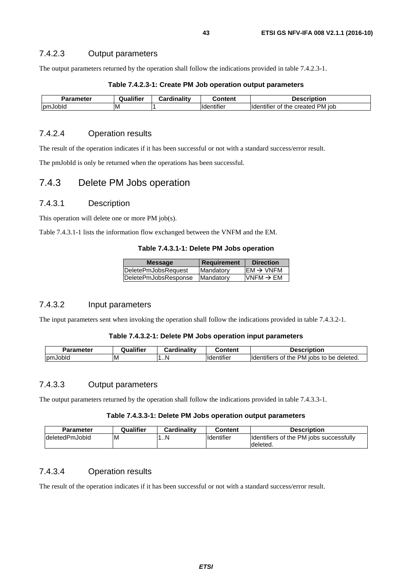### 7.4.2.3 Output parameters

The output parameters returned by the operation shall follow the indications provided in table 7.4.2.3-1.

| <b>Parameter</b> | Qualifier | Cardinalitv | Content                        | <b>Description</b>                      |
|------------------|-----------|-------------|--------------------------------|-----------------------------------------|
| pmJobld          | ΙM        |             | $\cdots$<br><b>Ildentifier</b> | created PM iob<br>Ildentifier of<br>the |

#### **Table 7.4.2.3-1: Create PM Job operation output parameters**

#### 7.4.2.4 Operation results

The result of the operation indicates if it has been successful or not with a standard success/error result.

The pmJobId is only be returned when the operations has been successful.

# 7.4.3 Delete PM Jobs operation

#### 7.4.3.1 Description

This operation will delete one or more PM job(s).

Table 7.4.3.1-1 lists the information flow exchanged between the VNFM and the EM.

#### **Table 7.4.3.1-1: Delete PM Jobs operation**

| <b>Message</b>       | <b>Requirement</b> | <b>Direction</b>                         |
|----------------------|--------------------|------------------------------------------|
| DeletePmJobsRequest  | Mandatory          | $\mathsf{IEM} \rightarrow \mathsf{VNFM}$ |
| DeletePmJobsResponse | <b>Mandatory</b>   | $VNFM \rightarrow EM$                    |
|                      |                    |                                          |

#### 7.4.3.2 Input parameters

The input parameters sent when invoking the operation shall follow the indications provided in table 7.4.3.2-1.

#### **Table 7.4.3.2-1: Delete PM Jobs operation input parameters**

| <b>Parameter</b> | Qualifier | .<br><b>Cardinality</b> | `ontent                       | Description                                                               |
|------------------|-----------|-------------------------|-------------------------------|---------------------------------------------------------------------------|
| <b>IpmJobid</b>  | ΙM        | .N                      | $\cdots$<br><b>Identifier</b> | $\cdots$<br>PM<br>deleted.<br>. iobs<br>ntifiers<br>the<br>to<br>be<br>Οt |

#### 7.4.3.3 Output parameters

The output parameters returned by the operation shall follow the indications provided in table 7.4.3.3-1.

#### **Table 7.4.3.3-1: Delete PM Jobs operation output parameters**

| <b>Parameter</b> | Qualifier | Cardinality | Content            | <b>Description</b>                                   |
|------------------|-----------|-------------|--------------------|------------------------------------------------------|
| IdeletedPmJobId  | ΙM        | 1N          | <b>Ildentifier</b> | Identifiers of the PM jobs successfully<br>Ideleted. |

# 7.4.3.4 Operation results

The result of the operation indicates if it has been successful or not with a standard success/error result.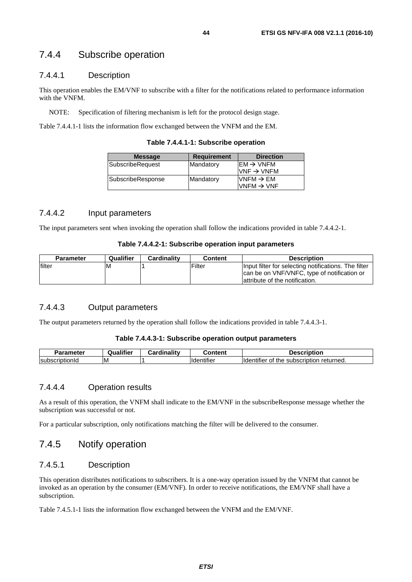# 7.4.4 Subscribe operation

#### 7.4.4.1 Description

This operation enables the EM/VNF to subscribe with a filter for the notifications related to performance information with the VNFM.

NOTE: Specification of filtering mechanism is left for the protocol design stage.

Table 7.4.4.1-1 lists the information flow exchanged between the VNFM and the EM.

**Table 7.4.4.1-1: Subscribe operation** 

| <b>Requirement</b> | <b>Direction</b>       |
|--------------------|------------------------|
| Mandatory          | $EM \rightarrow VNFM$  |
|                    | VNF $\rightarrow$ VNFM |
| Mandatory          | $VNFM \rightarrow EM$  |
|                    | VNFM $\rightarrow$ VNF |
|                    |                        |

#### 7.4.4.2 Input parameters

The input parameters sent when invoking the operation shall follow the indications provided in table 7.4.4.2-1.

#### **Table 7.4.4.2-1: Subscribe operation input parameters**

| <b>Parameter</b> | Qualifier | Cardinality | Content | <b>Description</b>                                                                                  |
|------------------|-----------|-------------|---------|-----------------------------------------------------------------------------------------------------|
| filter           | м         |             | Filter  | Input filter for selecting notifications. The filter<br>can be on VNF/VNFC, type of notification or |
|                  |           |             |         | lattribute of the notification.                                                                     |

### 7.4.4.3 Output parameters

The output parameters returned by the operation shall follow the indications provided in table 7.4.4.3-1.

#### **Table 7.4.4.3-1: Subscribe operation output parameters**

| Parameter<br>'di di    | <br>Qualifier | <b>Cardinality</b> | Content                        | Description                                                   |
|------------------------|---------------|--------------------|--------------------------------|---------------------------------------------------------------|
| <b>IsubscriptionId</b> | ΙM            |                    | $\cdots$<br><b>Ildentifier</b> | <b>Ildentifier</b><br>. subscription ⊎<br>returned.<br>of the |

#### 7.4.4.4 Operation results

As a result of this operation, the VNFM shall indicate to the EM/VNF in the subscribeResponse message whether the subscription was successful or not.

For a particular subscription, only notifications matching the filter will be delivered to the consumer.

# 7.4.5 Notify operation

### 7.4.5.1 Description

This operation distributes notifications to subscribers. It is a one-way operation issued by the VNFM that cannot be invoked as an operation by the consumer (EM/VNF). In order to receive notifications, the EM/VNF shall have a subscription.

Table 7.4.5.1-1 lists the information flow exchanged between the VNFM and the EM/VNF.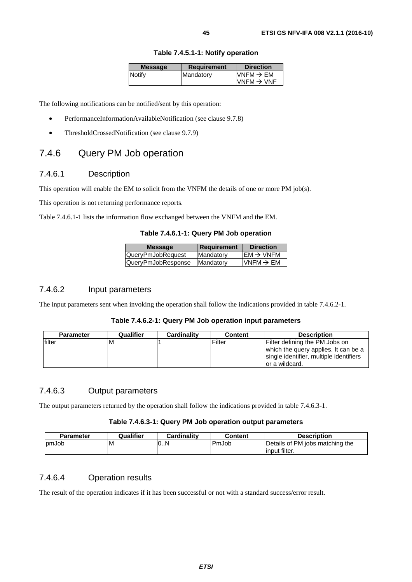| <b>Message</b> | <b>Requirement</b> | <b>Direction</b>                                |
|----------------|--------------------|-------------------------------------------------|
| Notify         | Mandatory          | VNFM $\rightarrow$ EM<br>$VNFM \rightarrow VNF$ |

#### **Table 7.4.5.1-1: Notify operation**

The following notifications can be notified/sent by this operation:

- PerformanceInformationAvailableNotification (see clause 9.7.8)
- ThresholdCrossedNotification (see clause 9.7.9)

# 7.4.6 Query PM Job operation

#### 7.4.6.1 Description

This operation will enable the EM to solicit from the VNFM the details of one or more PM job(s).

This operation is not returning performance reports.

Table 7.4.6.1-1 lists the information flow exchanged between the VNFM and the EM.

**Table 7.4.6.1-1: Query PM Job operation** 

| $EM \rightarrow VNFM$<br>Mandatory<br>QueryPmJobRequest<br>VNFM $\rightarrow$ EM<br>Mandatory | <b>Message</b>     | <b>Requirement</b> | <b>Direction</b> |
|-----------------------------------------------------------------------------------------------|--------------------|--------------------|------------------|
|                                                                                               |                    |                    |                  |
|                                                                                               | QueryPmJobResponse |                    |                  |

#### 7.4.6.2 Input parameters

The input parameters sent when invoking the operation shall follow the indications provided in table 7.4.6.2-1.

#### **Table 7.4.6.2-1: Query PM Job operation input parameters**

| <b>Parameter</b> | Qualifier | Cardinality | <b>Content</b> | <b>Description</b>                                                                                                                   |
|------------------|-----------|-------------|----------------|--------------------------------------------------------------------------------------------------------------------------------------|
| lfilter          | ΙM        |             | Filter         | Filter defining the PM Jobs on<br>which the query applies. It can be a<br>single identifier, multiple identifiers<br>lor a wildcard. |

# 7.4.6.3 Output parameters

The output parameters returned by the operation shall follow the indications provided in table 7.4.6.3-1.

#### **Table 7.4.6.3-1: Query PM Job operation output parameters**

| <b>Parameter</b> | Qualifier | Cardinalitv | <b>Content</b> | Description                     |
|------------------|-----------|-------------|----------------|---------------------------------|
| <b>IpmJob</b>    | ΙM        | 10N         | PmJob          | Details of PM jobs matching the |
|                  |           |             |                | linput filter.                  |

#### 7.4.6.4 Operation results

The result of the operation indicates if it has been successful or not with a standard success/error result.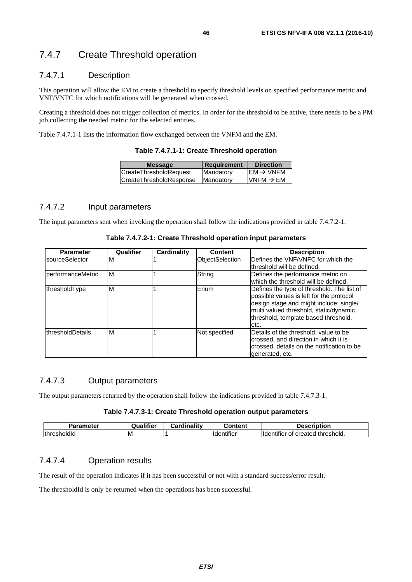# 7.4.7 Create Threshold operation

### 7.4.7.1 Description

This operation will allow the EM to create a threshold to specify threshold levels on specified performance metric and VNF/VNFC for which notifications will be generated when crossed.

Creating a threshold does not trigger collection of metrics. In order for the threshold to be active, there needs to be a PM job collecting the needed metric for the selected entities.

Table 7.4.7.1-1 lists the information flow exchanged between the VNFM and the EM.

**Table 7.4.7.1-1: Create Threshold operation** 

| <b>Message</b>                | <b>Requirement</b> | <b>Direction</b>      |
|-------------------------------|--------------------|-----------------------|
| <b>CreateThresholdRequest</b> | Mandatory          | $EM \rightarrow VNFM$ |
| CreateThresholdResponse       | Mandatory          | $VNFM \rightarrow EM$ |
|                               |                    |                       |

#### 7.4.7.2 Input parameters

The input parameters sent when invoking the operation shall follow the indications provided in table 7.4.7.2-1.

| <b>Parameter</b>          | Qualifier | Cardinality | <b>Content</b>         | <b>Description</b>                                                                                                                                                                                                          |
|---------------------------|-----------|-------------|------------------------|-----------------------------------------------------------------------------------------------------------------------------------------------------------------------------------------------------------------------------|
| <b>sourceSelector</b>     | ıΜ        |             | <b>ObjectSelection</b> | Defines the VNF/VNFC for which the<br>threshold will be defined.                                                                                                                                                            |
| <b>IperformanceMetric</b> | ΙM        |             | String                 | Defines the performance metric on<br>which the threshold will be defined.                                                                                                                                                   |
| thresholdType             | ΙM        |             | Enum                   | Defines the type of threshold. The list of<br>possible values is left for the protocol<br>design stage and might include: single/<br>multi valued threshold, static/dynamic<br>threshold, template based threshold,<br>etc. |
| <b>IthresholdDetails</b>  | ΙM        |             | Not specified          | Details of the threshold: value to be<br>crossed, and direction in which it is<br>crossed, details on the notification to be<br>generated, etc.                                                                             |

**Table 7.4.7.2-1: Create Threshold operation input parameters** 

#### 7.4.7.3 Output parameters

The output parameters returned by the operation shall follow the indications provided in table 7.4.7.3-1.

#### **Table 7.4.7.3-1: Create Threshold operation output parameters**

| <b>Parameter</b>  | <br>lifier<br>$\cdots$<br>Qua | .<br>.<br>Cardinalitv | Content                        | Description                                 |
|-------------------|-------------------------------|-----------------------|--------------------------------|---------------------------------------------|
| thresho.<br>oldic | ıм                            |                       | $\cdots$<br><b>I</b> dentifier | ' threshold.<br>created<br>Hdentitier<br>ΩT |

### 7.4.7.4 Operation results

The result of the operation indicates if it has been successful or not with a standard success/error result.

The thresholdId is only be returned when the operations has been successful.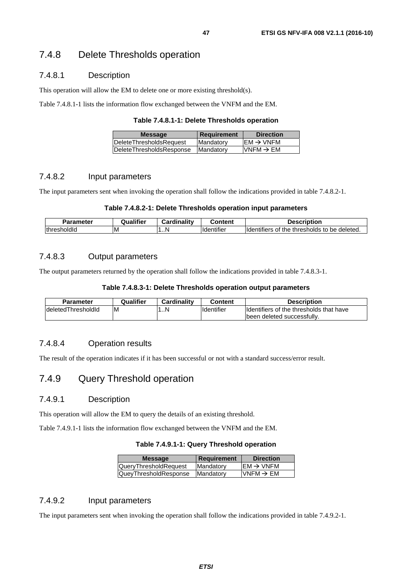### 7.4.8.1 Description

This operation will allow the EM to delete one or more existing threshold(s).

Table 7.4.8.1-1 lists the information flow exchanged between the VNFM and the EM.

| <b>Message</b>           | <b>Requirement</b> | <b>Direction</b>                         |
|--------------------------|--------------------|------------------------------------------|
| lDeleteThresholdsReauest | Mandatory          | $\mathsf{IEM} \rightarrow \mathsf{VNFM}$ |
| DeleteThresholdsResponse | Mandatory          | VNFM $\rightarrow$ EM                    |
|                          |                    |                                          |

#### 7.4.8.2 Input parameters

The input parameters sent when invoking the operation shall follow the indications provided in table 7.4.8.2-1.

#### **Table 7.4.8.2-1: Delete Thresholds operation input parameters**

| Parameter     | ∡ualifier.<br>ω | linalitv<br>$-$<br>Card | ∶ontent                | ่งtion<br><b>Describ</b>                                                   |
|---------------|-----------------|-------------------------|------------------------|----------------------------------------------------------------------------|
| thre.<br>טומי | ΙM              | 1N                      | $\cdot$<br>.<br>itille | deleted<br>thresholds<br>$- - -$<br>be<br>the<br>lide<br>tΩ<br>OT<br>Ters. |

#### 7.4.8.3 Output parameters

The output parameters returned by the operation shall follow the indications provided in table 7.4.8.3-1.

#### **Table 7.4.8.3-1: Delete Thresholds operation output parameters**

| Parameter           | Qualifier | Cardinality | Content            | <b>Description</b>                      |
|---------------------|-----------|-------------|--------------------|-----------------------------------------|
| IdeletedThresholdId | IM        | . . N       | <b>Ildentifier</b> | Identifiers of the thresholds that have |
|                     |           |             |                    | Ibeen deleted successfully.             |

#### 7.4.8.4 Operation results

The result of the operation indicates if it has been successful or not with a standard success/error result.

# 7.4.9 Query Threshold operation

#### 7.4.9.1 Description

This operation will allow the EM to query the details of an existing threshold.

Table 7.4.9.1-1 lists the information flow exchanged between the VNFM and the EM.

#### **Table 7.4.9.1-1: Query Threshold operation**

| <b>Message</b>               | Requirement | <b>Direction</b>                    |
|------------------------------|-------------|-------------------------------------|
| <b>QueryThresholdRequest</b> | Mandatory   | $\text{EM} \rightarrow \text{VNFM}$ |
| QueyThresholdResponse        | Mandatory   | VNFM $\rightarrow$ EM               |
|                              |             |                                     |

### 7.4.9.2 Input parameters

The input parameters sent when invoking the operation shall follow the indications provided in table 7.4.9.2-1.

*ETSI*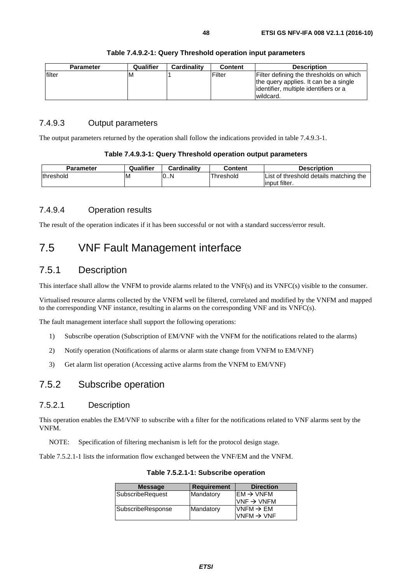| <b>Parameter</b> | Qualifier | Cardinality | <b>Content</b> | <b>Description</b>                      |
|------------------|-----------|-------------|----------------|-----------------------------------------|
| lfilter          | ΙM        |             | Filter         | Filter defining the thresholds on which |
|                  |           |             |                | the query applies. It can be a single   |
|                  |           |             |                | lidentifier, multiple identifiers or a  |
|                  |           |             |                | wildcard.                               |

#### **Table 7.4.9.2-1: Query Threshold operation input parameters**

#### 7.4.9.3 Output parameters

The output parameters returned by the operation shall follow the indications provided in table 7.4.9.3-1.

#### **Table 7.4.9.3-1: Query Threshold operation output parameters**

| Parameter         | Qualifier | Cardinality | Content   | Description                            |
|-------------------|-----------|-------------|-----------|----------------------------------------|
| <b>Ithreshold</b> | -M        | 0N          | ⊺hreshold | List of threshold details matching the |
|                   |           |             |           | linput filter.                         |

# 7.4.9.4 Operation results

The result of the operation indicates if it has been successful or not with a standard success/error result.

# 7.5 VNF Fault Management interface

# 7.5.1 Description

This interface shall allow the VNFM to provide alarms related to the VNF(s) and its VNFC(s) visible to the consumer.

Virtualised resource alarms collected by the VNFM well be filtered, correlated and modified by the VNFM and mapped to the corresponding VNF instance, resulting in alarms on the corresponding VNF and its VNFC(s).

The fault management interface shall support the following operations:

- 1) Subscribe operation (Subscription of EM/VNF with the VNFM for the notifications related to the alarms)
- 2) Notify operation (Notifications of alarms or alarm state change from VNFM to EM/VNF)
- 3) Get alarm list operation (Accessing active alarms from the VNFM to EM/VNF)

# 7.5.2 Subscribe operation

#### 7.5.2.1 Description

This operation enables the EM/VNF to subscribe with a filter for the notifications related to VNF alarms sent by the VNFM.

NOTE: Specification of filtering mechanism is left for the protocol design stage.

Table 7.5.2.1-1 lists the information flow exchanged between the VNF/EM and the VNFM.

| <b>Message</b>    | <b>Requirement</b> | <b>Direction</b>       |
|-------------------|--------------------|------------------------|
| SubscribeRequest  | Mandatory          | $IEM \rightarrow VNFM$ |
|                   |                    | $VNF \rightarrow VNFM$ |
| SubscribeResponse | Mandatory          | $VNFM \rightarrow EM$  |
|                   |                    | $VNFM \rightarrow VNF$ |
|                   |                    |                        |

**Table 7.5.2.1-1: Subscribe operation**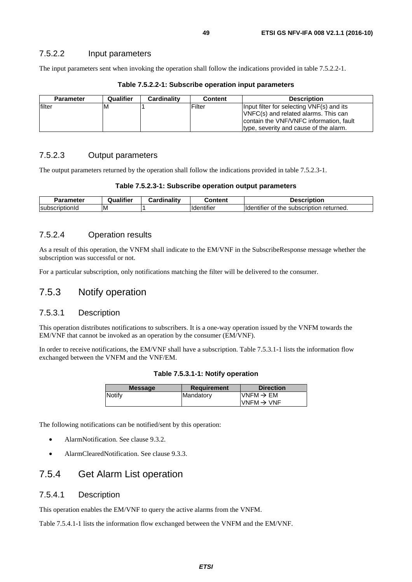#### 7.5.2.2 Input parameters

The input parameters sent when invoking the operation shall follow the indications provided in table 7.5.2.2-1.

| <b>Parameter</b> | Qualifier | <b>Cardinality</b> | <b>Content</b> | <b>Description</b>                                                                                                                                                     |
|------------------|-----------|--------------------|----------------|------------------------------------------------------------------------------------------------------------------------------------------------------------------------|
| lfilter          | ΙM        |                    | Filter         | Input filter for selecting VNF(s) and its<br>VNFC(s) and related alarms. This can<br>contain the VNF/VNFC information, fault<br>type, severity and cause of the alarm. |

#### **Table 7.5.2.2-1: Subscribe operation input parameters**

# 7.5.2.3 Output parameters

The output parameters returned by the operation shall follow the indications provided in table 7.5.2.3-1.

| Parameter       | <br>Qualifier | <b>Cardinality</b><br>Card | :ontent                        | <b>Description</b>                                        |
|-----------------|---------------|----------------------------|--------------------------------|-----------------------------------------------------------|
| IsubscriptionId | ΙM            |                            | $\cdots$<br><b>H</b> dentifier | lder<br>returned.<br>subscription<br>ntifier<br>τne<br>OT |

### 7.5.2.4 Operation results

As a result of this operation, the VNFM shall indicate to the EM/VNF in the SubscribeResponse message whether the subscription was successful or not.

For a particular subscription, only notifications matching the filter will be delivered to the consumer.

# 7.5.3 Notify operation

#### 7.5.3.1 Description

This operation distributes notifications to subscribers. It is a one-way operation issued by the VNFM towards the EM/VNF that cannot be invoked as an operation by the consumer (EM/VNF).

In order to receive notifications, the EM/VNF shall have a subscription. Table 7.5.3.1-1 lists the information flow exchanged between the VNFM and the VNF/EM.

|  |  |  | Table 7.5.3.1-1: Notify operation |
|--|--|--|-----------------------------------|
|--|--|--|-----------------------------------|

| Notify<br>$UNFM \rightarrow EM$<br>Mandatory | <b>Direction</b> | <b>Message</b> |
|----------------------------------------------|------------------|----------------|
|                                              |                  |                |
| $IVNFM \rightarrow VNF$                      |                  |                |

The following notifications can be notified/sent by this operation:

- AlarmNotification. See clause 9.3.2.
- AlarmClearedNotification. See clause 9.3.3.

# 7.5.4 Get Alarm List operation

#### 7.5.4.1 Description

This operation enables the EM/VNF to query the active alarms from the VNFM.

Table 7.5.4.1-1 lists the information flow exchanged between the VNFM and the EM/VNF.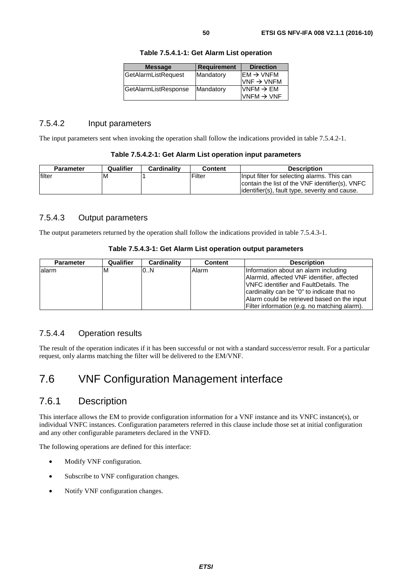| <b>Message</b>       | <b>Requirement</b> | <b>Direction</b>                                                   |
|----------------------|--------------------|--------------------------------------------------------------------|
| GetAlarmListRequest  | Mandatory          | $\mathsf{IEM} \rightarrow \mathsf{VNFM}$<br>$VNF \rightarrow VNFM$ |
| GetAlarmListResponse | Mandatory          | $VNFM \rightarrow EM$<br>$VNFM \rightarrow VNF$                    |

**Table 7.5.4.1-1: Get Alarm List operation** 

### 7.5.4.2 Input parameters

The input parameters sent when invoking the operation shall follow the indications provided in table 7.5.4.2-1.

|  | Table 7.5.4.2-1: Get Alarm List operation input parameters |
|--|------------------------------------------------------------|
|--|------------------------------------------------------------|

| <b>Parameter</b> | Qualifier | <b>Cardinality</b> | Content | <b>Description</b>                                                                                                                                |
|------------------|-----------|--------------------|---------|---------------------------------------------------------------------------------------------------------------------------------------------------|
| lfilter          | ΙM        |                    | Filter  | Input filter for selecting alarms. This can<br>contain the list of the VNF identifier(s), VNFC<br>lidentifier(s), fault type, severity and cause. |

# 7.5.4.3 Output parameters

The output parameters returned by the operation shall follow the indications provided in table 7.5.4.3-1.

|  | Table 7.5.4.3-1: Get Alarm List operation output parameters |
|--|-------------------------------------------------------------|
|--|-------------------------------------------------------------|

| <b>Parameter</b> | Qualifier | Cardinality | <b>Content</b> | <b>Description</b>                           |
|------------------|-----------|-------------|----------------|----------------------------------------------|
| lalarm           | ιM        | 0.N         | Alarm          | Information about an alarm including         |
|                  |           |             |                | Alarmid, affected VNF identifier, affected   |
|                  |           |             |                | <b>VNFC</b> identifier and FaultDetails. The |
|                  |           |             |                | cardinality can be "0" to indicate that no   |
|                  |           |             |                | Alarm could be retrieved based on the input  |
|                  |           |             |                | Filter information (e.g. no matching alarm). |

### 7.5.4.4 Operation results

The result of the operation indicates if it has been successful or not with a standard success/error result. For a particular request, only alarms matching the filter will be delivered to the EM/VNF.

# 7.6 VNF Configuration Management interface

# 7.6.1 Description

This interface allows the EM to provide configuration information for a VNF instance and its VNFC instance(s), or individual VNFC instances. Configuration parameters referred in this clause include those set at initial configuration and any other configurable parameters declared in the VNFD.

The following operations are defined for this interface:

- Modify VNF configuration.
- Subscribe to VNF configuration changes.
- Notify VNF configuration changes.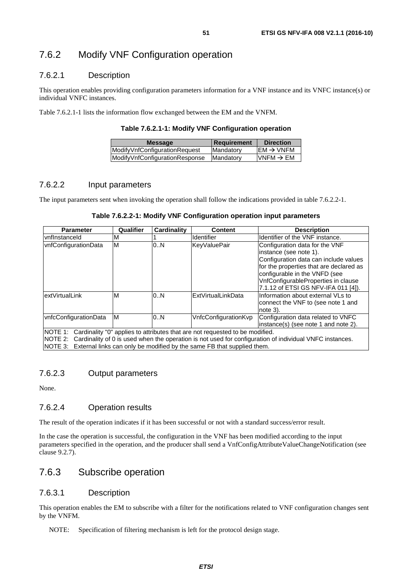# 7.6.2 Modify VNF Configuration operation

#### 7.6.2.1 Description

This operation enables providing configuration parameters information for a VNF instance and its VNFC instance(s) or individual VNFC instances.

Table 7.6.2.1-1 lists the information flow exchanged between the EM and the VNFM.

**Table 7.6.2.1-1: Modify VNF Configuration operation** 

| <b>Message</b>                 | <b>Requirement</b> | <b>Direction</b>       |
|--------------------------------|--------------------|------------------------|
| ModifyVnfConfigurationRequest  | <b>IMandatory</b>  | $EM \rightarrow VNFM$  |
| ModifyVnfConfigurationResponse | <b>IMandatory</b>  | $IVNFM \rightarrow EM$ |
|                                |                    |                        |

#### 7.6.2.2 Input parameters

The input parameters sent when invoking the operation shall follow the indications provided in table 7.6.2.2-1.

| Table 7.6.2.2-1: Modify VNF Configuration operation input parameters |  |  |  |
|----------------------------------------------------------------------|--|--|--|
|----------------------------------------------------------------------|--|--|--|

| <b>Parameter</b>                                                                                                                                                                                                                                                                          | Qualifier | <b>Cardinality</b> | <b>Content</b>       | <b>Description</b>                                                                                                                                                                                                                                          |
|-------------------------------------------------------------------------------------------------------------------------------------------------------------------------------------------------------------------------------------------------------------------------------------------|-----------|--------------------|----------------------|-------------------------------------------------------------------------------------------------------------------------------------------------------------------------------------------------------------------------------------------------------------|
| <b>vnflnstanceld</b>                                                                                                                                                                                                                                                                      | м         |                    | Identifier           | Identifier of the VNF instance.                                                                                                                                                                                                                             |
| vnfConfigurationData                                                                                                                                                                                                                                                                      | M         | 0.N                | <b>KeyValuePair</b>  | Configuration data for the VNF<br>instance (see note 1).<br>Configuration data can include values<br>for the properties that are declared as<br>configurable in the VNFD (see<br>VnfConfigurableProperties in clause<br>7.1.12 of ETSI GS NFV-IFA 011 [4]). |
| extVirtualLink                                                                                                                                                                                                                                                                            | ΙM        | 0.N                | ExtVirtualLinkData   | Information about external VLs to<br>connect the VNF to (see note 1 and<br>note 3).                                                                                                                                                                         |
| vnfcConfigurationData                                                                                                                                                                                                                                                                     | M         | 0.N                | VnfcConfigurationKvp | Configuration data related to VNFC<br>instance(s) (see note 1 and note 2).                                                                                                                                                                                  |
| NOTE 1: Cardinality "0" applies to attributes that are not requested to be modified.<br>NOTE 2: Cardinality of 0 is used when the operation is not used for configuration of individual VNFC instances.<br>NOTE 3: External links can only be modified by the same FB that supplied them. |           |                    |                      |                                                                                                                                                                                                                                                             |

7.6.2.3 Output parameters

None.

### 7.6.2.4 Operation results

The result of the operation indicates if it has been successful or not with a standard success/error result.

In the case the operation is successful, the configuration in the VNF has been modified according to the input parameters specified in the operation, and the producer shall send a VnfConfigAttributeValueChangeNotification (see clause 9.2.7).

# 7.6.3 Subscribe operation

### 7.6.3.1 Description

This operation enables the EM to subscribe with a filter for the notifications related to VNF configuration changes sent by the VNFM.

NOTE: Specification of filtering mechanism is left for the protocol design stage.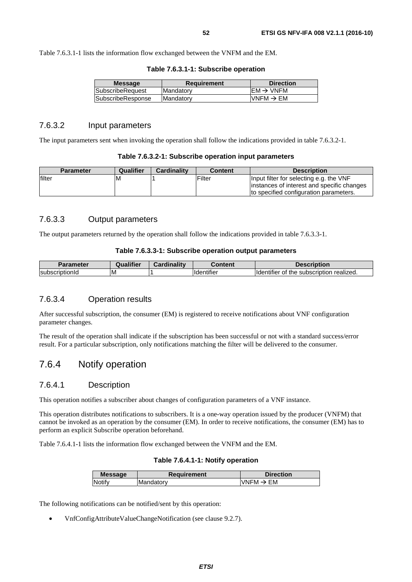Table 7.6.3.1-1 lists the information flow exchanged between the VNFM and the EM.

|  |  | Table 7.6.3.1-1: Subscribe operation |  |
|--|--|--------------------------------------|--|
|--|--|--------------------------------------|--|

| <b>Message</b>    | <b>Requirement</b> | <b>Direction</b>                        |
|-------------------|--------------------|-----------------------------------------|
| SubscribeRequest  | <b>Mandatory</b>   | $EM \rightarrow VNFM$                   |
| SubscribeResponse | <b>Mandatory</b>   | $\textsf{IVNFM}\rightarrow \textsf{EM}$ |
|                   |                    |                                         |

#### 7.6.3.2 Input parameters

The input parameters sent when invoking the operation shall follow the indications provided in table 7.6.3.2-1.

| Table 7.6.3.2-1: Subscribe operation input parameters |  |  |
|-------------------------------------------------------|--|--|
|-------------------------------------------------------|--|--|

|        | <b>Parameter</b> | Qualifier | <b>Cardinality</b> | <b>Content</b> | <b>Description</b>                         |
|--------|------------------|-----------|--------------------|----------------|--------------------------------------------|
| filter |                  | M         |                    | Filter         | Input filter for selecting e.g. the VNF    |
|        |                  |           |                    |                | instances of interest and specific changes |
|        |                  |           |                    |                | Ito specified configuration parameters.    |

### 7.6.3.3 Output parameters

The output parameters returned by the operation shall follow the indications provided in table 7.6.3.3-1.

#### **Table 7.6.3.3-1: Subscribe operation output parameters**

| Parameter       | <b>Qualifier</b> | Cardinality | Content    | Description                                               |
|-----------------|------------------|-------------|------------|-----------------------------------------------------------|
| IsubscriptionId | ΙM               |             | Identifier | of the<br>realized.<br>subscription<br><b>ildentifier</b> |

### 7.6.3.4 Operation results

After successful subscription, the consumer (EM) is registered to receive notifications about VNF configuration parameter changes.

The result of the operation shall indicate if the subscription has been successful or not with a standard success/error result. For a particular subscription, only notifications matching the filter will be delivered to the consumer.

### 7.6.4 Notify operation

#### 7.6.4.1 Description

This operation notifies a subscriber about changes of configuration parameters of a VNF instance.

This operation distributes notifications to subscribers. It is a one-way operation issued by the producer (VNFM) that cannot be invoked as an operation by the consumer (EM). In order to receive notifications, the consumer (EM) has to perform an explicit Subscribe operation beforehand.

Table 7.6.4.1-1 lists the information flow exchanged between the VNFM and the EM.

#### **Table 7.6.4.1-1: Notify operation**

| <b>Message</b> | Requirement | <b>Direction</b>  |
|----------------|-------------|-------------------|
| Notifv         | Mandatory   | EM<br><b>VNFM</b> |
|                |             |                   |

The following notifications can be notified/sent by this operation:

• VnfConfigAttributeValueChangeNotification (see clause 9.2.7).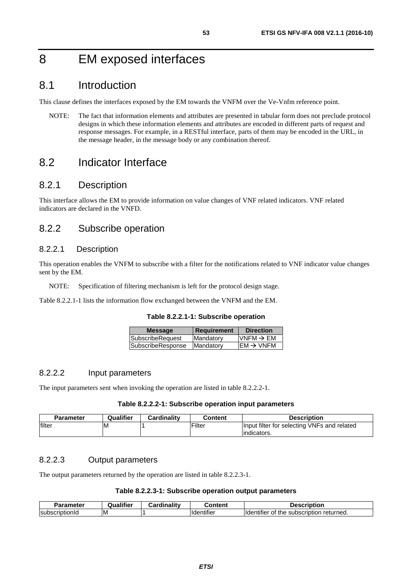# 8 EM exposed interfaces

# 8.1 Introduction

This clause defines the interfaces exposed by the EM towards the VNFM over the Ve-Vnfm reference point.

NOTE: The fact that information elements and attributes are presented in tabular form does not preclude protocol designs in which these information elements and attributes are encoded in different parts of request and response messages. For example, in a RESTful interface, parts of them may be encoded in the URL, in the message header, in the message body or any combination thereof.

# 8.2 Indicator Interface

# 8.2.1 Description

This interface allows the EM to provide information on value changes of VNF related indicators. VNF related indicators are declared in the VNFD.

# 8.2.2 Subscribe operation

#### 8.2.2.1 Description

This operation enables the VNFM to subscribe with a filter for the notifications related to VNF indicator value changes sent by the EM.

NOTE: Specification of filtering mechanism is left for the protocol design stage.

Table 8.2.2.1-1 lists the information flow exchanged between the VNFM and the EM.

|  |  | Table 8.2.2.1-1: Subscribe operation |  |
|--|--|--------------------------------------|--|
|--|--|--------------------------------------|--|

| <b>Message</b>    | <b>Requirement</b> | <b>Direction</b>      |
|-------------------|--------------------|-----------------------|
| SubscribeRequest  | Mandatory          | $VNFM \rightarrow EM$ |
| SubscribeResponse | Mandatory          | $EM \rightarrow VNFM$ |

### 8.2.2.2 Input parameters

The input parameters sent when invoking the operation are listed in table 8.2.2.2-1.

#### **Table 8.2.2.2-1: Subscribe operation input parameters**

| <b>Parameter</b> | Qualifier | <b>Cardinality</b> | Content | <b>Description</b>                                          |
|------------------|-----------|--------------------|---------|-------------------------------------------------------------|
| filter           | ιM        |                    | lFilter | Input filter for selecting VNFs and related<br>lindicators. |

### 8.2.2.3 Output parameters

The output parameters returned by the operation are listed in table 8.2.2.3-1.

#### **Table 8.2.2.3-1: Subscribe operation output parameters**

| arameter        | ----<br>itior<br>пe<br>uar. | .<br>.<br>≿ardinalitv | ∶ontent                      | Description                                                            |
|-----------------|-----------------------------|-----------------------|------------------------------|------------------------------------------------------------------------|
| IsubscriptionId | ΙM                          |                       | $\cdots$<br>entifier<br>ide. | $\cdot$<br>returned.<br><b>Ildentifier</b><br>subscription<br>Οt<br>me |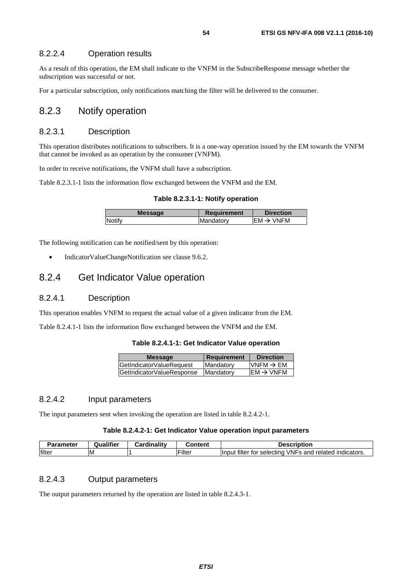#### 8.2.2.4 Operation results

As a result of this operation, the EM shall indicate to the VNFM in the SubscribeResponse message whether the subscription was successful or not.

For a particular subscription, only notifications matching the filter will be delivered to the consumer.

# 8.2.3 Notify operation

#### 8.2.3.1 Description

This operation distributes notifications to subscribers. It is a one-way operation issued by the EM towards the VNFM that cannot be invoked as an operation by the consumer (VNFM).

In order to receive notifications, the VNFM shall have a subscription.

Table 8.2.3.1-1 lists the information flow exchanged between the VNFM and the EM.

**Table 8.2.3.1-1: Notify operation** 

| <b>Message</b> | <b>Requirement</b> | <b>Direction</b>       |
|----------------|--------------------|------------------------|
| Notify         | Mandatory          | IFM $\rightarrow$ VNFM |
|                |                    |                        |

The following notification can be notified/sent by this operation:

• IndicatorValueChangeNotification see clause 9.6.2.

# 8.2.4 Get Indicator Value operation

#### 8.2.4.1 Description

This operation enables VNFM to request the actual value of a given indicator from the EM.

Table 8.2.4.1-1 lists the information flow exchanged between the VNFM and the EM.

#### **Table 8.2.4.1-1: Get Indicator Value operation**

| <b>Message</b>            | <b>Requirement</b> | <b>Direction</b>      |
|---------------------------|--------------------|-----------------------|
| GetIndicatorValueRequest  | Mandatory          | VNFM $\rightarrow$ EM |
| GetIndicatorValueResponse | Mandatory          | $EM \rightarrow VNFM$ |
|                           |                    |                       |

### 8.2.4.2 Input parameters

The input parameters sent when invoking the operation are listed in table 8.2.4.2-1.

#### **Table 8.2.4.2-1: Get Indicator Value operation input parameters**

| 'arameter | Qualifier | Cardinalitv | วontent       | Description                                                                         |
|-----------|-----------|-------------|---------------|-------------------------------------------------------------------------------------|
| filter    | ΙM        |             | $-$<br>Filter | VNFs<br><br>filter<br>related<br>and<br>indicators.<br>Ilnput<br>tor<br>: selectina |

#### 8.2.4.3 Output parameters

The output parameters returned by the operation are listed in table 8.2.4.3-1.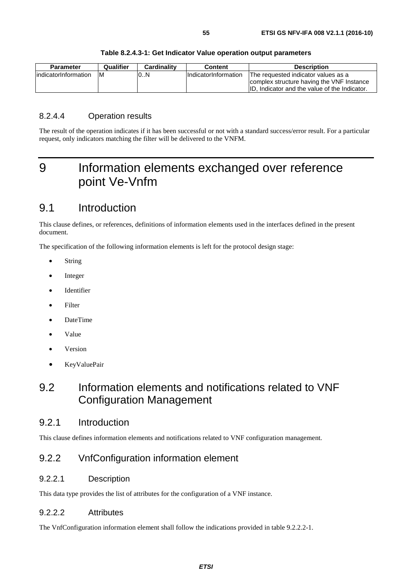| <b>Parameter</b>      | Qualifier | Cardinality | Content                     | <b>Description</b>                            |
|-----------------------|-----------|-------------|-----------------------------|-----------------------------------------------|
| lindicatorInformation | IМ        | 0N          | <b>IndicatorInformation</b> | The requested indicator values as a           |
|                       |           |             |                             | complex structure having the VNF Instance     |
|                       |           |             |                             | ID. Indicator and the value of the Indicator. |

#### **Table 8.2.4.3-1: Get Indicator Value operation output parameters**

### 8.2.4.4 Operation results

The result of the operation indicates if it has been successful or not with a standard success/error result. For a particular request, only indicators matching the filter will be delivered to the VNFM.

# 9 Information elements exchanged over reference point Ve-Vnfm

# 9.1 Introduction

This clause defines, or references, definitions of information elements used in the interfaces defined in the present document.

The specification of the following information elements is left for the protocol design stage:

- String
- Integer
- Identifier
- **Filter**
- DateTime
- Value
- **Version**
- KeyValuePair

# 9.2 Information elements and notifications related to VNF Configuration Management

# 9.2.1 Introduction

This clause defines information elements and notifications related to VNF configuration management.

# 9.2.2 VnfConfiguration information element

#### 9.2.2.1 Description

This data type provides the list of attributes for the configuration of a VNF instance.

#### 9.2.2.2 Attributes

The VnfConfiguration information element shall follow the indications provided in table 9.2.2.2-1.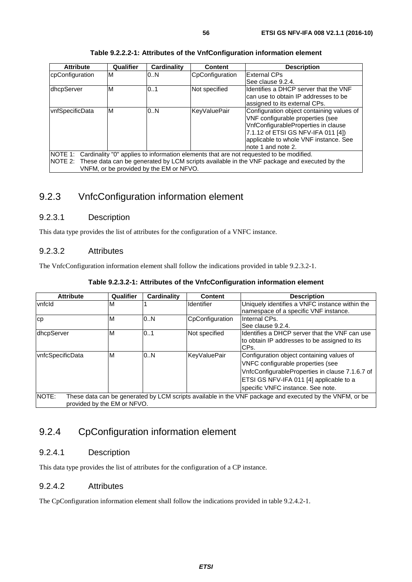| <b>Attribute</b> | Qualifier | <b>Cardinality</b>                      | <b>Content</b>  | <b>Description</b>                                                                                                                                                                                                        |
|------------------|-----------|-----------------------------------------|-----------------|---------------------------------------------------------------------------------------------------------------------------------------------------------------------------------------------------------------------------|
| cpConfiguration  | M         | 0.N                                     | CpConfiguration | <b>External CPs</b>                                                                                                                                                                                                       |
|                  |           |                                         |                 | See clause 9.2.4.                                                                                                                                                                                                         |
| dhcpServer       | M         | 0.1                                     | Not specified   | Identifies a DHCP server that the VNF<br>can use to obtain IP addresses to be<br>assigned to its external CPs.                                                                                                            |
| vnfSpecificData  | M         | 0.N                                     | KeyValuePair    | Configuration object containing values of<br>VNF configurable properties (see<br>VnfConfigurableProperties in clause<br>7.1.12 of ETSI GS NFV-IFA 011 [4])<br>applicable to whole VNF instance. See<br>note 1 and note 2. |
|                  |           |                                         |                 | NOTE 1: Cardinality "0" applies to information elements that are not requested to be modified.                                                                                                                            |
|                  |           | VNFM, or be provided by the EM or NFVO. |                 | NOTE 2: These data can be generated by LCM scripts available in the VNF package and executed by the                                                                                                                       |

**Table 9.2.2.2-1: Attributes of the VnfConfiguration information element** 

# 9.2.3 VnfcConfiguration information element

### 9.2.3.1 Description

This data type provides the list of attributes for the configuration of a VNFC instance.

#### 9.2.3.2 Attributes

The VnfcConfiguration information element shall follow the indications provided in table 9.2.3.2-1.

| <b>Attribute</b>                            | Qualifier | Cardinality | <b>Content</b>    | <b>Description</b>                                                                                                                                                                                                |
|---------------------------------------------|-----------|-------------|-------------------|-------------------------------------------------------------------------------------------------------------------------------------------------------------------------------------------------------------------|
| vnfcld                                      | M         |             | <b>Identifier</b> | Uniquely identifies a VNFC instance within the<br>namespace of a specific VNF instance.                                                                                                                           |
| CD                                          | M         | 0.N         | CpConfiguration   | Internal CPs.<br>See clause 9.2.4.                                                                                                                                                                                |
| dhcpServer                                  | M         | 0.1         | Not specified     | Ildentifies a DHCP server that the VNF can use<br>to obtain IP addresses to be assigned to its<br>CPs.                                                                                                            |
| vnfcSpecificData                            | M         | 0N          | KeyValuePair      | Configuration object containing values of<br>VNFC configurable properties (see<br>VnfcConfigurableProperties in clause 7.1.6.7 of<br>ETSI GS NFV-IFA 011 [4] applicable to a<br>specific VNFC instance. See note. |
| <b>NOTE:</b><br>provided by the EM or NFVO. |           |             |                   | These data can be generated by LCM scripts available in the VNF package and executed by the VNFM, or be                                                                                                           |

# 9.2.4 CpConfiguration information element

### 9.2.4.1 Description

This data type provides the list of attributes for the configuration of a CP instance.

### 9.2.4.2 Attributes

The CpConfiguration information element shall follow the indications provided in table 9.2.4.2-1.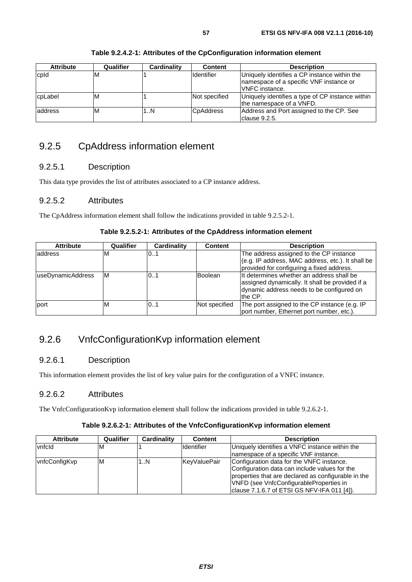| <b>Attribute</b> | Qualifier | Cardinality | <b>Content</b>   | <b>Description</b>                                                                                                |
|------------------|-----------|-------------|------------------|-------------------------------------------------------------------------------------------------------------------|
| cpld             | ıм        |             | Identifier       | Uniquely identifies a CP instance within the<br>namespace of a specific VNF instance or<br><b>IVNFC</b> instance. |
| cpLabel          | ıм        |             | Not specified    | Uniquely identifies a type of CP instance within<br>the namespace of a VNFD.                                      |
| laddress         | ΙM        | 1N          | <b>CpAddress</b> | Address and Port assigned to the CP. See<br>clause 9.2.5.                                                         |

#### **Table 9.2.4.2-1: Attributes of the CpConfiguration information element**

# 9.2.5 CpAddress information element

### 9.2.5.1 Description

This data type provides the list of attributes associated to a CP instance address.

### 9.2.5.2 Attributes

The CpAddress information element shall follow the indications provided in table 9.2.5.2-1.

#### **Table 9.2.5.2-1: Attributes of the CpAddress information element**

| <b>Attribute</b>  | Qualifier | <b>Cardinality</b> | <b>Content</b> | <b>Description</b>                                                                                                                                   |
|-------------------|-----------|--------------------|----------------|------------------------------------------------------------------------------------------------------------------------------------------------------|
| address           | ιM        | 01                 |                | The address assigned to the CP instance                                                                                                              |
|                   |           |                    |                | (e.g. IP address, MAC address, etc.). It shall be                                                                                                    |
|                   |           |                    |                | provided for configuring a fixed address.                                                                                                            |
| useDynamicAddress | ΙM        | 01                 | Boolean        | It determines whether an address shall be<br>assigned dynamically. It shall be provided if a<br>dynamic address needs to be configured on<br>the CP. |
| port              | M         | 101                | Not specified  | The port assigned to the CP instance (e.g. IP<br>port number, Ethernet port number, etc.).                                                           |

# 9.2.6 VnfcConfigurationKvp information element

### 9.2.6.1 Description

This information element provides the list of key value pairs for the configuration of a VNFC instance.

### 9.2.6.2 Attributes

The VnfcConfigurationKvp information element shall follow the indications provided in table 9.2.6.2-1.

#### **Table 9.2.6.2-1: Attributes of the VnfcConfigurationKvp information element**

| <b>Attribute</b> | Qualifier | Cardinality | <b>Content</b>    | <b>Description</b>                                  |
|------------------|-----------|-------------|-------------------|-----------------------------------------------------|
| vnfcld           | ιM        |             | <b>Identifier</b> | Uniquely identifies a VNFC instance within the      |
|                  |           |             |                   | Inamespace of a specific VNF instance.              |
| vnfcConfigKvp    | M         | 1N          | KeyValuePair      | Configuration data for the VNFC instance.           |
|                  |           |             |                   | Configuration data can include values for the       |
|                  |           |             |                   | properties that are declared as configurable in the |
|                  |           |             |                   | VNFD (see VnfcConfigurableProperties in             |
|                  |           |             |                   | clause 7.1.6.7 of ETSI GS NFV-IFA 011 [4]).         |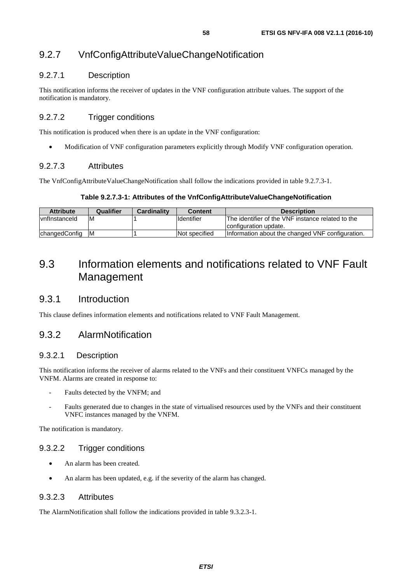# 9.2.7 VnfConfigAttributeValueChangeNotification

### 9.2.7.1 Description

This notification informs the receiver of updates in the VNF configuration attribute values. The support of the notification is mandatory.

# 9.2.7.2 Trigger conditions

This notification is produced when there is an update in the VNF configuration:

• Modification of VNF configuration parameters explicitly through Modify VNF configuration operation.

### 9.2.7.3 Attributes

The VnfConfigAttributeValueChangeNotification shall follow the indications provided in table 9.2.7.3-1.

#### **Table 9.2.7.3-1: Attributes of the VnfConfigAttributeValueChangeNotification**

| <b>Attribute</b>       | Qualifier | Cardinality | <b>Content</b>       | <b>Description</b>                                |
|------------------------|-----------|-------------|----------------------|---------------------------------------------------|
| <i>I</i> vnfInstanceId | -M        |             | <b>Identifier</b>    | The identifier of the VNF instance related to the |
|                        |           |             |                      | Iconfiguration update.                            |
| <b>changedConfig</b>   | IM        |             | <b>Not specified</b> | Information about the changed VNF configuration.  |

# 9.3 Information elements and notifications related to VNF Fault Management

# 9.3.1 Introduction

This clause defines information elements and notifications related to VNF Fault Management.

# 9.3.2 AlarmNotification

### 9.3.2.1 Description

This notification informs the receiver of alarms related to the VNFs and their constituent VNFCs managed by the VNFM. Alarms are created in response to:

- Faults detected by the VNFM; and
- Faults generated due to changes in the state of virtualised resources used by the VNFs and their constituent VNFC instances managed by the VNFM.

The notification is mandatory.

### 9.3.2.2 Trigger conditions

- An alarm has been created.
- An alarm has been updated, e.g. if the severity of the alarm has changed.

#### 9.3.2.3 Attributes

The AlarmNotification shall follow the indications provided in table 9.3.2.3-1.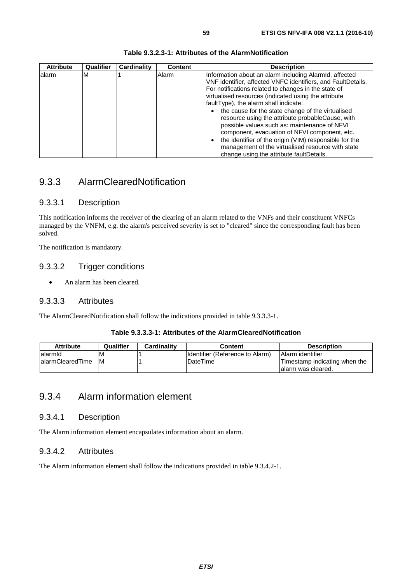| <b>Attribute</b> | Qualifier | Cardinality | <b>Content</b> | <b>Description</b>                                                                                                                                                                                                                                                                                                                                                                                                                                                                                                                                  |
|------------------|-----------|-------------|----------------|-----------------------------------------------------------------------------------------------------------------------------------------------------------------------------------------------------------------------------------------------------------------------------------------------------------------------------------------------------------------------------------------------------------------------------------------------------------------------------------------------------------------------------------------------------|
| lalarm           | M         |             | Alarm          | Information about an alarm including Alarmid, affected<br>VNF identifier, affected VNFC identifiers, and FaultDetails.<br>For notifications related to changes in the state of<br>virtualised resources (indicated using the attribute<br>faultType), the alarm shall indicate:<br>the cause for the state change of the virtualised<br>resource using the attribute probableCause, with<br>possible values such as: maintenance of NFVI<br>component, evacuation of NFVI component, etc.<br>the identifier of the origin (VIM) responsible for the |
|                  |           |             |                | management of the virtualised resource with state<br>change using the attribute faultDetails.                                                                                                                                                                                                                                                                                                                                                                                                                                                       |

#### **Table 9.3.2.3-1: Attributes of the AlarmNotification**

# 9.3.3 AlarmClearedNotification

#### 9.3.3.1 Description

This notification informs the receiver of the clearing of an alarm related to the VNFs and their constituent VNFCs managed by the VNFM, e.g. the alarm's perceived severity is set to "cleared" since the corresponding fault has been solved.

The notification is mandatory.

#### 9.3.3.2 Trigger conditions

• An alarm has been cleared.

#### 9.3.3.3 Attributes

The AlarmClearedNotification shall follow the indications provided in table 9.3.3.3-1.

#### **Table 9.3.3.3-1: Attributes of the AlarmClearedNotification**

| <b>Attribute</b>  | Qualifier | <b>Cardinality</b> | Content                          | <b>Description</b>            |
|-------------------|-----------|--------------------|----------------------------------|-------------------------------|
| lalarmid          | ΙVΙ       |                    | Ildentifier (Reference to Alarm) | <b>IAlarm</b> identifier      |
| lalarmClearedTime | IM.       |                    | DateTime                         | Timestamp indicating when the |
|                   |           |                    |                                  | lalarm was cleared.           |

# 9.3.4 Alarm information element

#### 9.3.4.1 Description

The Alarm information element encapsulates information about an alarm.

### 9.3.4.2 Attributes

The Alarm information element shall follow the indications provided in table 9.3.4.2-1.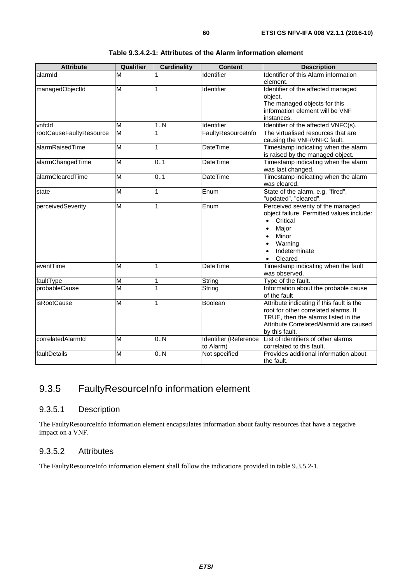| <b>Attribute</b>        | Qualifier      | <b>Cardinality</b> | <b>Content</b>                     | <b>Description</b>                                                                                                                                                                                                                |
|-------------------------|----------------|--------------------|------------------------------------|-----------------------------------------------------------------------------------------------------------------------------------------------------------------------------------------------------------------------------------|
| alarmId                 | м              | 1                  | <b>Identifier</b>                  | Identifier of this Alarm information<br>element.                                                                                                                                                                                  |
| managedObjectId         | $\overline{M}$ | 1                  | Identifier                         | Identifier of the affected managed<br>object.<br>The managed objects for this<br>information element will be VNF<br>instances.                                                                                                    |
| vnfcld                  | M              | 1N                 | Identifier                         | Identifier of the affected VNFC(s).                                                                                                                                                                                               |
| rootCauseFaultyResource | M              | 1                  | FaultyResourceInfo                 | The virtualised resources that are<br>causing the VNF/VNFC fault.                                                                                                                                                                 |
| alarmRaisedTime         | M              | 1                  | <b>DateTime</b>                    | Timestamp indicating when the alarm<br>is raised by the managed object.                                                                                                                                                           |
| alarmChangedTime        | M              | 0.1                | <b>DateTime</b>                    | Timestamp indicating when the alarm<br>was last changed.                                                                                                                                                                          |
| alarmClearedTime        | M              | 0.1                | <b>DateTime</b>                    | Timestamp indicating when the alarm<br>was cleared.                                                                                                                                                                               |
| state                   | M              | 1                  | Enum                               | State of the alarm, e.g. "fired",<br>"updated", "cleared".                                                                                                                                                                        |
| perceivedSeverity       | M              | 1                  | Enum                               | Perceived severity of the managed<br>object failure. Permitted values include:<br>Critical<br>$\bullet$<br>Major<br>$\bullet$<br>Minor<br>$\bullet$<br>Warning<br>$\bullet$<br>Indeterminate<br>$\bullet$<br>Cleared<br>$\bullet$ |
| eventTime               | M              | 1                  | <b>DateTime</b>                    | Timestamp indicating when the fault<br>was observed.                                                                                                                                                                              |
| faultType               | M              | 1                  | String                             | Type of the fault.                                                                                                                                                                                                                |
| probableCause           | M              | 1                  | String                             | Information about the probable cause<br>of the fault                                                                                                                                                                              |
| isRootCause             | M              | 1                  | Boolean                            | Attribute indicating if this fault is the<br>root for other correlated alarms. If<br>TRUE, then the alarms listed in the<br>Attribute CorrelatedAlarmId are caused<br>by this fault.                                              |
| correlatedAlarmId       | M              | 0.N                | Identifier (Reference<br>to Alarm) | List of identifiers of other alarms<br>correlated to this fault.                                                                                                                                                                  |
| faultDetails            | M              | 0.N                | Not specified                      | Provides additional information about<br>the fault.                                                                                                                                                                               |

**Table 9.3.4.2-1: Attributes of the Alarm information element** 

# 9.3.5 FaultyResourceInfo information element

# 9.3.5.1 Description

The FaultyResourceInfo information element encapsulates information about faulty resources that have a negative impact on a VNF.

### 9.3.5.2 Attributes

The FaultyResourceInfo information element shall follow the indications provided in table 9.3.5.2-1.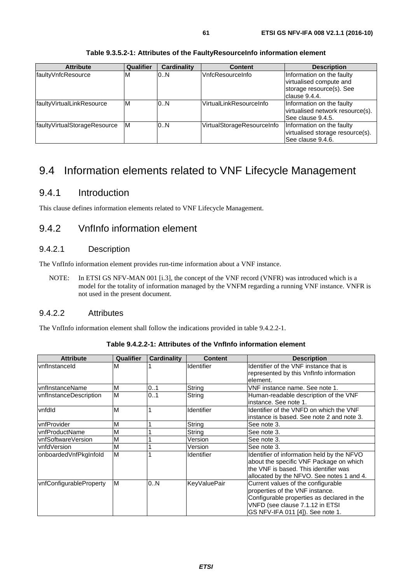| <b>Attribute</b>             | <b>Qualifier</b> | <b>Cardinality</b> | <b>Content</b>             | <b>Description</b>                                                                                 |
|------------------------------|------------------|--------------------|----------------------------|----------------------------------------------------------------------------------------------------|
| faultyVnfcResource           | M                | 0.N                | VnfcResourceInfo           | Information on the faulty<br>virtualised compute and<br>storage resource(s). See<br>Iclause 9.4.4. |
| faultyVirtualLinkResource    | ΙM               | 0.N                | VirtualLinkResourceInfo    | Information on the faulty<br>virtualised network resource(s).<br>See clause 9.4.5.                 |
| faultyVirtualStorageResource | lМ               | 0.N                | VirtualStorageResourceInfo | Information on the faulty<br>virtualised storage resource(s).<br>See clause 9.4.6.                 |

**Table 9.3.5.2-1: Attributes of the FaultyResourceInfo information element** 

# 9.4 Information elements related to VNF Lifecycle Management

# 9.4.1 Introduction

This clause defines information elements related to VNF Lifecycle Management.

# 9.4.2 VnfInfo information element

### 9.4.2.1 Description

The VnfInfo information element provides run-time information about a VNF instance.

NOTE: In ETSI GS NFV-MAN 001 [\[i.3](#page-10-0)], the concept of the VNF record (VNFR) was introduced which is a model for the totality of information managed by the VNFM regarding a running VNF instance. VNFR is not used in the present document.

### 9.4.2.2 Attributes

The VnfInfo information element shall follow the indications provided in table 9.4.2.2-1.

| <b>Attribute</b>        | Qualifier | Cardinality | <b>Content</b>      | <b>Description</b>                         |
|-------------------------|-----------|-------------|---------------------|--------------------------------------------|
| <b>vnflnstanceld</b>    | M         |             | Identifier          | Identifier of the VNF instance that is     |
|                         |           |             |                     | represented by this VnfInfo information    |
|                         |           |             |                     | element.                                   |
| vnflnstanceName         | M         | 0.1         | String              | VNF instance name. See note 1.             |
| vnflnstanceDescription  | M         | 01          | String              | Human-readable description of the VNF      |
|                         |           |             |                     | instance. See note 1.                      |
| vnfdld                  | M         |             | Identifier          | Identifier of the VNFD on which the VNF    |
|                         |           |             |                     | instance is based. See note 2 and note 3.  |
| vnfProvider             | M         |             | String              | See note 3.                                |
| vnfProductName          | M         |             | String              | See note 3.                                |
| vnfSoftwareVersion      | M         |             | Version             | See note 3.                                |
| vnfdVersion             | M         |             | Version             | See note 3.                                |
| onboardedVnfPkgInfold   | M         |             | <b>Identifier</b>   | Identifier of information held by the NFVO |
|                         |           |             |                     | about the specific VNF Package on which    |
|                         |           |             |                     | the VNF is based. This identifier was      |
|                         |           |             |                     | allocated by the NFVO. See notes 1 and 4.  |
| vnfConfigurableProperty | M         | 0N          | <b>KeyValuePair</b> | Current values of the configurable         |
|                         |           |             |                     | properties of the VNF instance.            |
|                         |           |             |                     | Configurable properties as declared in the |
|                         |           |             |                     | VNFD (see clause 7.1.12 in ETSI            |
|                         |           |             |                     | GS NFV-IFA 011 [4]). See note 1.           |

**Table 9.4.2.2-1: Attributes of the VnfInfo information element**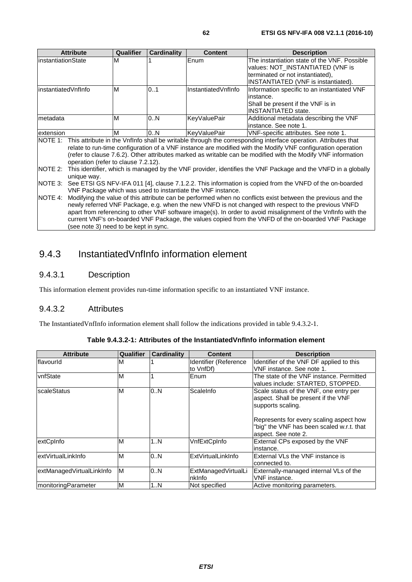|                      | <b>Attribute</b>                                                                                    | <b>Qualifier</b> | <b>Cardinality</b> | <b>Content</b>                                              | <b>Description</b>                                                                                                     |  |
|----------------------|-----------------------------------------------------------------------------------------------------|------------------|--------------------|-------------------------------------------------------------|------------------------------------------------------------------------------------------------------------------------|--|
| linstantiationState  |                                                                                                     | M                |                    | Enum                                                        | The instantiation state of the VNF. Possible                                                                           |  |
|                      |                                                                                                     |                  |                    |                                                             | values: NOT_INSTANTIATED (VNF is                                                                                       |  |
|                      |                                                                                                     |                  |                    |                                                             | terminated or not instantiated),                                                                                       |  |
|                      |                                                                                                     |                  |                    |                                                             | INSTANTIATED (VNF is instantiated).                                                                                    |  |
| linstantiatedVnfInfo |                                                                                                     | M                | 01                 | InstantiatedVnfInfo                                         | Information specific to an instantiated VNF                                                                            |  |
|                      |                                                                                                     |                  |                    |                                                             | linstance.                                                                                                             |  |
|                      |                                                                                                     |                  |                    |                                                             | Shall be present if the VNF is in                                                                                      |  |
|                      |                                                                                                     |                  |                    |                                                             | <b>INSTANTIATED state.</b>                                                                                             |  |
| Imetadata            |                                                                                                     | M                | 0.N                | <b>KeyValuePair</b>                                         | Additional metadata describing the VNF                                                                                 |  |
|                      |                                                                                                     |                  |                    |                                                             | linstance. See note 1.                                                                                                 |  |
| extension            |                                                                                                     | M                | 0.N                | KevValuePair                                                | VNF-specific attributes. See note 1.                                                                                   |  |
|                      |                                                                                                     |                  |                    |                                                             | NOTE 1: This attribute in the VnfInfo shall be writable through the corresponding interface operation. Attributes that |  |
|                      |                                                                                                     |                  |                    |                                                             | relate to run-time configuration of a VNF instance are modified with the Modify VNF configuration operation            |  |
|                      |                                                                                                     |                  |                    |                                                             | (refer to clause 7.6.2). Other attributes marked as writable can be modified with the Modify VNF information           |  |
|                      | operation (refer to clause 7.2.12).                                                                 |                  |                    |                                                             |                                                                                                                        |  |
| NOTE 2:              |                                                                                                     |                  |                    |                                                             | This identifier, which is managed by the VNF provider, identifies the VNF Package and the VNFD in a globally           |  |
|                      | unique way.                                                                                         |                  |                    |                                                             |                                                                                                                        |  |
| NOTE 3:              |                                                                                                     |                  |                    |                                                             | See ETSI GS NFV-IFA 011 [4], clause 7.1.2.2. This information is copied from the VNFD of the on-boarded                |  |
|                      |                                                                                                     |                  |                    | VNF Package which was used to instantiate the VNF instance. |                                                                                                                        |  |
| NOTE 4:              |                                                                                                     |                  |                    |                                                             | Modifying the value of this attribute can be performed when no conflicts exist between the previous and the            |  |
|                      | newly referred VNF Package, e.g. when the new VNFD is not changed with respect to the previous VNFD |                  |                    |                                                             |                                                                                                                        |  |
|                      |                                                                                                     |                  |                    |                                                             | apart from referencing to other VNF software image(s). In order to avoid misalignment of the VnfInfo with the          |  |
|                      |                                                                                                     |                  |                    |                                                             | current VNF's on-boarded VNF Package, the values copied from the VNFD of the on-boarded VNF Package                    |  |
|                      | (see note 3) need to be kept in sync.                                                               |                  |                    |                                                             |                                                                                                                        |  |

# 9.4.3 InstantiatedVnfInfo information element

# 9.4.3.1 Description

This information element provides run-time information specific to an instantiated VNF instance.

## 9.4.3.2 Attributes

The InstantiatedVnfInfo information element shall follow the indications provided in table 9.4.3.2-1.

| <b>Attribute</b>            | Qualifier | <b>Cardinality</b> | <b>Content</b>                        | <b>Description</b>                                                                                                                                                                                                |
|-----------------------------|-----------|--------------------|---------------------------------------|-------------------------------------------------------------------------------------------------------------------------------------------------------------------------------------------------------------------|
| flavourld                   | M         |                    | Identifier (Reference<br>to VnfDf)    | Identifier of the VNF DF applied to this<br>VNF instance. See note 1.                                                                                                                                             |
| <b>vnfState</b>             | M         |                    | Enum                                  | The state of the VNF instance. Permitted<br>values include: STARTED, STOPPED.                                                                                                                                     |
| <b>scaleStatus</b>          | M         | 0.N                | ScaleInfo                             | Scale status of the VNF, one entry per<br>aspect. Shall be present if the VNF<br>supports scaling.<br>Represents for every scaling aspect how<br>"big" the VNF has been scaled w.r.t. that<br>aspect. See note 2. |
| extCpInfo                   | M         | 1N                 | VnfExtCpInfo                          | External CPs exposed by the VNF<br>instance.                                                                                                                                                                      |
| lextVirtualLinkInfo         | M         | 0.N                | ExtVirtualLinkInfo                    | External VLs the VNF instance is<br>connected to.                                                                                                                                                                 |
| extManagedVirtualLinkInfo   | M         | 0N                 | ExtManagedVirtualLi<br><b>Inklnfo</b> | Externally-managed internal VLs of the<br>VNF instance.                                                                                                                                                           |
| <b>ImonitoringParameter</b> | M         | 1N                 | Not specified                         | Active monitoring parameters.                                                                                                                                                                                     |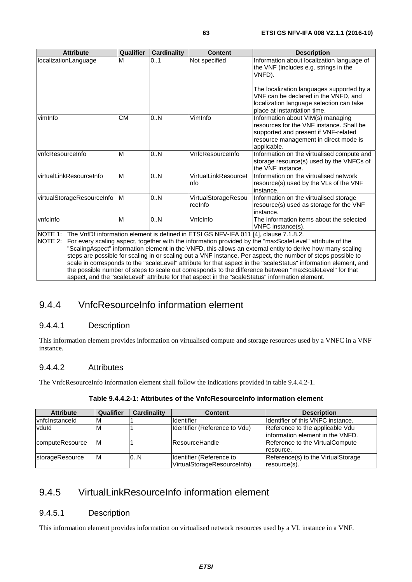| <b>Attribute</b>           | Qualifier | <b>Cardinality</b> | <b>Content</b>                                                                       | <b>Description</b>                                                                                                                                                                                                                                             |
|----------------------------|-----------|--------------------|--------------------------------------------------------------------------------------|----------------------------------------------------------------------------------------------------------------------------------------------------------------------------------------------------------------------------------------------------------------|
| localizationLanguage       | M         | 0.1                | Not specified                                                                        | Information about localization language of<br>the VNF (includes e.g. strings in the<br>VNFD).<br>The localization languages supported by a<br>VNF can be declared in the VNFD, and<br>localization language selection can take<br>place at instantiation time. |
| vimInfo                    | <b>CM</b> | 0.N                | VimInfo                                                                              | Information about VIM(s) managing<br>resources for the VNF instance. Shall be<br>supported and present if VNF-related<br>resource management in direct mode is<br>applicable.                                                                                  |
| vnfcResourceInfo           | M         | 0.N                | VnfcResourceInfo                                                                     | Information on the virtualised compute and<br>storage resource(s) used by the VNFCs of<br>the VNF instance.                                                                                                                                                    |
| virtualLinkResourceInfo    | M         | 0.N                | VirtualLinkResourcel<br>Info                                                         | Information on the virtualised network<br>resource(s) used by the VLs of the VNF<br>instance.                                                                                                                                                                  |
| virtualStorageResourceInfo | <b>IM</b> | 0.N                | VirtualStorageResou<br>rcelnfo                                                       | Information on the virtualised storage<br>resource(s) used as storage for the VNF<br>linstance.                                                                                                                                                                |
| vnfclnfo                   | M         | 0.N                | VnfcInfo                                                                             | The information items about the selected<br>VNFC instance(s).                                                                                                                                                                                                  |
| NOTE 1:<br>NOTE 2:         |           |                    | The VnfDf information element is defined in ETSI GS NFV-IFA 011 [4], clause 7.1.8.2. | For every scaling aspect, together with the information provided by the "maxScaleLevel" attribute of the<br>"ScalingAspect" information element in the VNFD, this allows an external entity to derive how many scaling                                         |

"ScalingAspect" information element in the VNFD, this allows an external entity to derive how many scaling steps are possible for scaling in or scaling out a VNF instance. Per aspect, the number of steps possible to scale in corresponds to the "scaleLevel" attribute for that aspect in the "scaleStatus" information element, and the possible number of steps to scale out corresponds to the difference between "maxScaleLevel" for that aspect, and the "scaleLevel" attribute for that aspect in the "scaleStatus" information element.

# 9.4.4 VnfcResourceInfo information element

# 9.4.4.1 Description

This information element provides information on virtualised compute and storage resources used by a VNFC in a VNF instance.

# 9.4.4.2 Attributes

The VnfcResourceInfo information element shall follow the indications provided in table 9.4.4.2-1.

| <b>Attribute</b> | Qualifier | Cardinality | <b>Content</b>                                          | <b>Description</b>                                                  |
|------------------|-----------|-------------|---------------------------------------------------------|---------------------------------------------------------------------|
| vnfclnstanceld   | ıм        |             | <b>Identifier</b>                                       | Identifier of this VNFC instance.                                   |
| vduld            | ΙM        |             | Identifier (Reference to Vdu)                           | Reference to the applicable Vdu<br>information element in the VNFD. |
| computeResource  | ΙM        |             | <b>ResourceHandle</b>                                   | Reference to the VirtualCompute<br>resource.                        |
| storageResource  | ΙM        | 0.N         | Identifier (Reference to<br>VirtualStorageResourceInfo) | Reference(s) to the VirtualStorage<br>resource(s).                  |

# 9.4.5 VirtualLinkResourceInfo information element

# 9.4.5.1 Description

This information element provides information on virtualised network resources used by a VL instance in a VNF.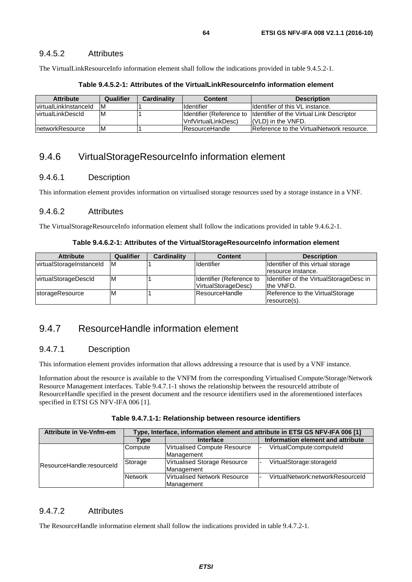#### 9.4.5.2 Attributes

The VirtualLinkResourceInfo information element shall follow the indications provided in table 9.4.5.2-1.

| <b>Attribute</b>       | Qualifier | Cardinality | <b>Content</b>                                  | <b>Description</b>                                               |
|------------------------|-----------|-------------|-------------------------------------------------|------------------------------------------------------------------|
| lvirtualLinkInstanceId | ۱M        |             | <b>I</b> dentifier                              | Ildentifier of this VL instance.                                 |
| lvirtualLinkDescId     | ΙM        |             | Identifier (Reference to<br>VnfVirtualLinkDesc) | Identifier of the Virtual Link Descriptor<br>I(VLD) in the VNFD. |
| networkResource        | ΙM        |             | <b>IResourceHandle</b>                          | Reference to the VirtualNetwork resource.                        |

**Table 9.4.5.2-1: Attributes of the VirtualLinkResourceInfo information element** 

# 9.4.6 VirtualStorageResourceInfo information element

#### 9.4.6.1 Description

This information element provides information on virtualised storage resources used by a storage instance in a VNF.

#### 9.4.6.2 Attributes

The VirtualStorageResourceInfo information element shall follow the indications provided in table 9.4.6.2-1.

#### **Table 9.4.6.2-1: Attributes of the VirtualStorageResourceInfo information element**

| <b>Attribute</b>         | Qualifier | <b>Cardinality</b> | <b>Content</b>           | <b>Description</b>                      |
|--------------------------|-----------|--------------------|--------------------------|-----------------------------------------|
| virtualStorageInstanceId | ΙM        |                    | <b>I</b> dentifier       | Identifier of this virtual storage      |
|                          |           |                    |                          | resource instance.                      |
| virtualStorageDescld     | ΙM        |                    | Identifier (Reference to | Identifier of the VirtualStorageDesc in |
|                          |           |                    | VirtualStorageDesc)      | the VNFD.                               |
| storageResource          | M         |                    | <b>ResourceHandle</b>    | Reference to the VirtualStorage         |
|                          |           |                    |                          | resource(s).                            |

# 9.4.7 ResourceHandle information element

### 9.4.7.1 Description

This information element provides information that allows addressing a resource that is used by a VNF instance.

Information about the resource is available to the VNFM from the corresponding Virtualised Compute/Storage/Network Resource Management interfaces. Table 9.4.7.1-1 shows the relationship between the resourceId attribute of ResourceHandle specified in the present document and the resource identifiers used in the aforementioned interfaces specified in ETSI GS NFV-IFA 006 [\[1](#page-10-0)].

| <b>Attribute in Ve-Vnfm-em</b> | Type, Interface, information element and attribute in ETSI GS NFV-IFA 006 [1] |                                                   |                                   |  |  |  |
|--------------------------------|-------------------------------------------------------------------------------|---------------------------------------------------|-----------------------------------|--|--|--|
|                                | Type                                                                          | <b>Interface</b>                                  | Information element and attribute |  |  |  |
|                                | Compute                                                                       | Virtualised Compute Resource<br>Management        | VirtualCompute:computeId          |  |  |  |
| ResourceHandle:resourceId      | Storage                                                                       | <b>Virtualised Storage Resource</b><br>Management | VirtualStorage:storageId          |  |  |  |
|                                | <b>Network</b>                                                                | Virtualised Network Resource<br>Management        | VirtualNetwork:networkResourceId  |  |  |  |

### 9.4.7.2 Attributes

The ResourceHandle information element shall follow the indications provided in table 9.4.7.2-1.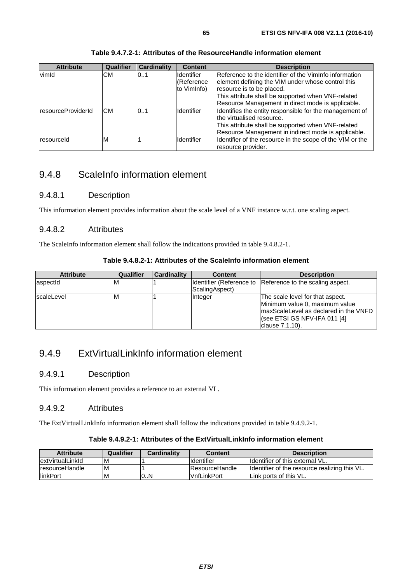| <b>Attribute</b>   | Qualifier | <b>Cardinality</b> | <b>Content</b>    | <b>Description</b>                                        |
|--------------------|-----------|--------------------|-------------------|-----------------------------------------------------------|
| vimId              | CМ        | 0.1                | <b>Identifier</b> | Reference to the identifier of the VimInfo information    |
|                    |           |                    | (Reference        | element defining the VIM under whose control this         |
|                    |           |                    | to VimInfo)       | resource is to be placed.                                 |
|                    |           |                    |                   | This attribute shall be supported when VNF-related        |
|                    |           |                    |                   | Resource Management in direct mode is applicable.         |
| resourceProviderId | CМ        | 0.1                | <b>Identifier</b> | Identifies the entity responsible for the management of   |
|                    |           |                    |                   | the virtualised resource.                                 |
|                    |           |                    |                   | This attribute shall be supported when VNF-related        |
|                    |           |                    |                   | Resource Management in indirect mode is applicable.       |
| resourceld         | ΙM        |                    | <b>Identifier</b> | Identifier of the resource in the scope of the VIM or the |
|                    |           |                    |                   | resource provider.                                        |

#### **Table 9.4.7.2-1: Attributes of the ResourceHandle information element**

# 9.4.8 ScaleInfo information element

### 9.4.8.1 Description

This information element provides information about the scale level of a VNF instance w.r.t. one scaling aspect.

#### 9.4.8.2 Attributes

The ScaleInfo information element shall follow the indications provided in table 9.4.8.2-1.

| Table 9.4.8.2-1: Attributes of the ScaleInfo information element |
|------------------------------------------------------------------|
|------------------------------------------------------------------|

| <b>Attribute</b> | <b>Qualifier</b> | <b>Cardinality</b> | <b>Content</b> | <b>Description</b>                                                                                                                                             |
|------------------|------------------|--------------------|----------------|----------------------------------------------------------------------------------------------------------------------------------------------------------------|
| aspectid         | ιM               |                    | ScalingAspect) | Identifier (Reference to Reference to the scaling aspect.                                                                                                      |
| IscaleLevel      | ιM               |                    | Integer        | The scale level for that aspect.<br>Minimum value 0, maximum value<br>maxScaleLevel as declared in the VNFD<br>(see ETSI GS NFV-IFA 011 [4]<br>clause 7.1.10). |

# 9.4.9 ExtVirtualLinkInfo information element

#### 9.4.9.1 Description

This information element provides a reference to an external VL.

### 9.4.9.2 Attributes

The ExtVirtualLinkInfo information element shall follow the indications provided in table 9.4.9.2-1.

#### **Table 9.4.9.2-1: Attributes of the ExtVirtualLinkInfo information element**

| <b>Attribute</b>       | Qualifier | <b>Cardinality</b> | <b>Content</b>        | <b>Description</b>                                    |
|------------------------|-----------|--------------------|-----------------------|-------------------------------------------------------|
| lextVirtualLinkId      | M         |                    | <b>Identifier</b>     | Ildentifier of this external VL.                      |
| <b>IresourceHandle</b> | ΙM        |                    | <b>ResourceHandle</b> | <b>Ildentifier of the resource realizing this VL.</b> |
| <b>IlinkPort</b>       | ΙM        | 10N                | <b>VnfLinkPort</b>    | Link ports of this VL.                                |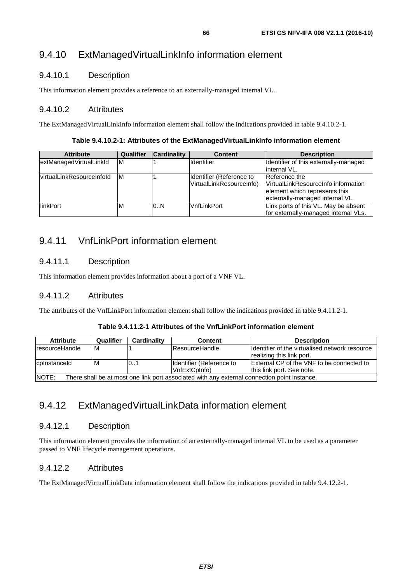# 9.4.10 ExtManagedVirtualLinkInfo information element

# 9.4.10.1 Description

This information element provides a reference to an externally-managed internal VL.

# 9.4.10.2 Attributes

The ExtManagedVirtualLinkInfo information element shall follow the indications provided in table 9.4.10.2-1.

#### **Table 9.4.10.2-1: Attributes of the ExtManagedVirtualLinkInfo information element**

| <b>Attribute</b>                 | Qualifier | <b>Cardinality</b> | <b>Content</b>                                       | <b>Description</b>                                                                                                       |
|----------------------------------|-----------|--------------------|------------------------------------------------------|--------------------------------------------------------------------------------------------------------------------------|
| extManagedVirtualLinkId          | M         |                    | Identifier                                           | Identifier of this externally-managed<br>linternal VL.                                                                   |
| <i>virtualLinkResourceInfold</i> | ΙM        |                    | Identifier (Reference to<br>VirtualLinkResourceInfo) | Reference the<br>VirtualLinkResourceInfo information<br>element which represents this<br>externally-managed internal VL. |
| <b>IlinkPort</b>                 | M         | 0.N                | <b>VnfLinkPort</b>                                   | Link ports of this VL. May be absent<br>for externally-managed internal VLs.                                             |

# 9.4.11 VnfLinkPort information element

# 9.4.11.1 Description

This information element provides information about a port of a VNF VL.

# 9.4.11.2 Attributes

The attributes of the VnfLinkPort information element shall follow the indications provided in table 9.4.11.2-1.

#### **Table 9.4.11.2-1 Attributes of the VnfLinkPort information element**

| <b>Attribute</b>                                                                                     | Qualifier | Cardinality | <b>Content</b>           | <b>Description</b>                               |  |  |
|------------------------------------------------------------------------------------------------------|-----------|-------------|--------------------------|--------------------------------------------------|--|--|
| IresourceHandle                                                                                      | M         |             | <b>ResourceHandle</b>    | Identifier of the virtualised network resource   |  |  |
|                                                                                                      |           |             |                          | realizing this link port.                        |  |  |
| lcpInstanceId                                                                                        | ΙM        | 0.1         | Identifier (Reference to | <b>External CP of the VNF to be connected to</b> |  |  |
|                                                                                                      |           |             | VnfExtCpInfo)            | Ithis link port. See note.                       |  |  |
| NIOTE.<br>There abell be at meat ang link next according with any external connection point instance |           |             |                          |                                                  |  |  |

NOTE: There shall be at most one link port associated with any external connection point instance.

# 9.4.12 ExtManagedVirtualLinkData information element

# 9.4.12.1 Description

This information element provides the information of an externally-managed internal VL to be used as a parameter passed to VNF lifecycle management operations.

# 9.4.12.2 Attributes

The ExtManagedVirtualLinkData information element shall follow the indications provided in table 9.4.12.2-1.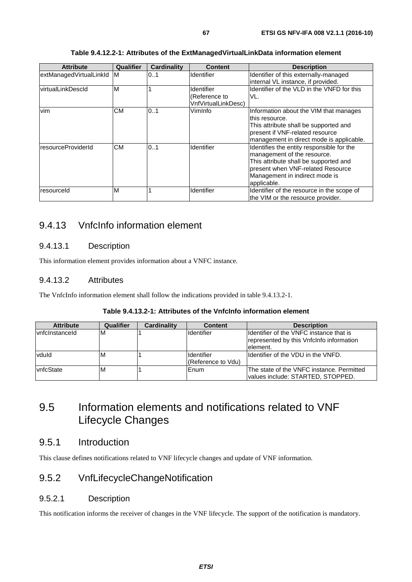| <b>Attribute</b>        | Qualifier | <b>Cardinality</b> | <b>Content</b>                                            | <b>Description</b>                                                                                                                                                                                      |
|-------------------------|-----------|--------------------|-----------------------------------------------------------|---------------------------------------------------------------------------------------------------------------------------------------------------------------------------------------------------------|
| extManagedVirtualLinkId | <b>M</b>  | 0.1                | Identifier                                                | Identifier of this externally-managed<br>internal VL instance, if provided.                                                                                                                             |
| virtualLinkDescld       | M         |                    | Identifier<br>(Reference to<br><b>VnfVirtualLinkDesc)</b> | Identifier of the VLD in the VNFD for this<br>VL.                                                                                                                                                       |
| vim                     | <b>CM</b> | 0.1                | VimInfo                                                   | Information about the VIM that manages<br>lthis resource.<br>This attribute shall be supported and<br>present if VNF-related resource<br>management in direct mode is applicable.                       |
| resourceProviderId      | <b>CM</b> | 0.1                | Identifier                                                | Identifies the entity responsible for the<br>management of the resource.<br>This attribute shall be supported and<br>present when VNF-related Resource<br>Management in indirect mode is<br>applicable. |
| resourceld              | M         |                    | Identifier                                                | Identifier of the resource in the scope of<br>the VIM or the resource provider.                                                                                                                         |

#### **Table 9.4.12.2-1: Attributes of the ExtManagedVirtualLinkData information element**

# 9.4.13 VnfcInfo information element

## 9.4.13.1 Description

This information element provides information about a VNFC instance.

### 9.4.13.2 Attributes

The VnfcInfo information element shall follow the indications provided in table 9.4.13.2-1.

|--|

| <b>Attribute</b>       | Qualifier | <b>Cardinality</b> | <b>Content</b>                   | <b>Description</b>                                                                                |
|------------------------|-----------|--------------------|----------------------------------|---------------------------------------------------------------------------------------------------|
| <b>Ivnfcinstanceid</b> | ΙM        |                    | <b>Identifier</b>                | Ildentifier of the VNFC instance that is<br>represented by this Vnfclnfo information<br>lelement. |
| vduld                  | ΙM        |                    | Identifier<br>(Reference to Vdu) | Ildentifier of the VDU in the VNFD.                                                               |
| vnfcState              | ΙM        |                    | Enum                             | IThe state of the VNFC instance. Permitted<br>values include: STARTED, STOPPED.                   |

<sup>9.5</sup> Information elements and notifications related to VNF Lifecycle Changes

# 9.5.1 Introduction

This clause defines notifications related to VNF lifecycle changes and update of VNF information.

# 9.5.2 VnfLifecycleChangeNotification

### 9.5.2.1 Description

This notification informs the receiver of changes in the VNF lifecycle. The support of the notification is mandatory.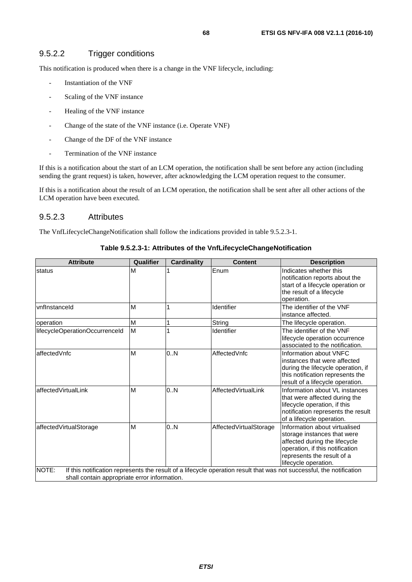# 9.5.2.2 Trigger conditions

This notification is produced when there is a change in the VNF lifecycle, including:

- Instantiation of the VNF
- Scaling of the VNF instance
- Healing of the VNF instance
- Change of the state of the VNF instance (i.e. Operate VNF)
- Change of the DF of the VNF instance
- Termination of the VNF instance

If this is a notification about the start of an LCM operation, the notification shall be sent before any action (including sending the grant request) is taken, however, after acknowledging the LCM operation request to the consumer.

If this is a notification about the result of an LCM operation, the notification shall be sent after all other actions of the LCM operation have been executed.

#### 9.5.2.3 Attributes

The VnfLifecycleChangeNotification shall follow the indications provided in table 9.5.2.3-1.

| <b>Attribute</b>                             | Qualifier | <b>Cardinality</b> | <b>Content</b>         | <b>Description</b>                                                                                                                                                                     |
|----------------------------------------------|-----------|--------------------|------------------------|----------------------------------------------------------------------------------------------------------------------------------------------------------------------------------------|
| status                                       | M         |                    | Enum                   | Indicates whether this<br>notification reports about the<br>start of a lifecycle operation or<br>the result of a lifecycle<br>operation.                                               |
| vnflnstanceld                                | M         |                    | Identifier             | The identifier of the VNF<br>instance affected.                                                                                                                                        |
| loperation                                   | M         |                    | String                 | The lifecycle operation.                                                                                                                                                               |
| lifecycleOperationOccurrenceId               | M         |                    | Identifier             | The identifier of the VNF<br>lifecycle operation occurrence<br>associated to the notification.                                                                                         |
| affectedVnfc                                 | M         | 0.N                | AffectedVnfc           | Information about VNFC<br>instances that were affected<br>during the lifecycle operation, if<br>this notification represents the<br>result of a lifecycle operation.                   |
| affectedVirtualLink                          | M         | 0.N                | AffectedVirtualLink    | Information about VL instances<br>that were affected during the<br>lifecycle operation, if this<br>notification represents the result<br>of a lifecycle operation.                     |
| affectedVirtualStorage                       | M         | 0.N                | AffectedVirtualStorage | Information about virtualised<br>storage instances that were<br>affected during the lifecycle<br>operation, if this notification<br>represents the result of a<br>lifecycle operation. |
| NOTE:                                        |           |                    |                        | If this notification represents the result of a lifecycle operation result that was not successful, the notification                                                                   |
| shall contain appropriate error information. |           |                    |                        |                                                                                                                                                                                        |

#### **Table 9.5.2.3-1: Attributes of the VnfLifecycleChangeNotification**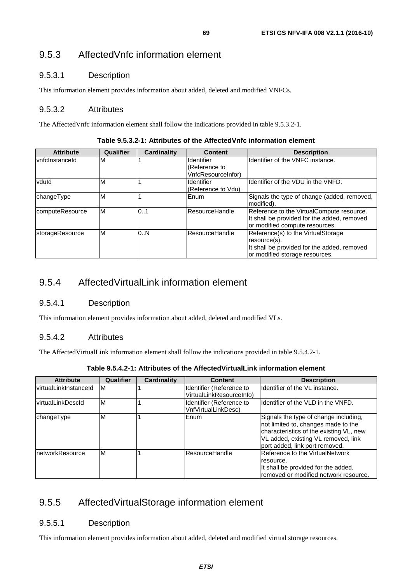# 9.5.3.1 Description

This information element provides information about added, deleted and modified VNFCs.

# 9.5.3.2 Attributes

The AffectedVnfc information element shall follow the indications provided in table 9.5.3.2-1.

| <b>Attribute</b>      | Qualifier | <b>Cardinality</b> | <b>Content</b>     | <b>Description</b>                                                                                                                  |
|-----------------------|-----------|--------------------|--------------------|-------------------------------------------------------------------------------------------------------------------------------------|
| <b>vnfclnstanceld</b> | M         |                    | Identifier         | Ildentifier of the VNFC instance.                                                                                                   |
|                       |           |                    | (Reference to      |                                                                                                                                     |
|                       |           |                    | VnfcResourceInfor) |                                                                                                                                     |
| vduld                 | M         |                    | <b>Identifier</b>  | Ildentifier of the VDU in the VNFD.                                                                                                 |
|                       |           |                    | (Reference to Vdu) |                                                                                                                                     |
| changeType            | M         |                    | Enum               | Signals the type of change (added, removed,<br>Imodified).                                                                          |
| computeResource       | ΙM        | 0.1                | ResourceHandle     | Reference to the VirtualCompute resource.<br>It shall be provided for the added, removed<br>or modified compute resources.          |
| storageResource       | M         | 0.N                | lResourceHandle    | Reference(s) to the VirtualStorage<br>resource(s).<br>It shall be provided for the added, removed<br>or modified storage resources. |

**Table 9.5.3.2-1: Attributes of the AffectedVnfc information element** 

# 9.5.4 AffectedVirtualLink information element

### 9.5.4.1 Description

This information element provides information about added, deleted and modified VLs.

# 9.5.4.2 Attributes

The AffectedVirtualLink information element shall follow the indications provided in table 9.5.4.2-1.

| Table 9.5.4.2-1: Attributes of the AffectedVirtualLink information element |  |
|----------------------------------------------------------------------------|--|
|----------------------------------------------------------------------------|--|

| <b>Attribute</b>              | Qualifier | <b>Cardinality</b> | <b>Content</b>                                       | <b>Description</b>                                                                                                                                                                               |
|-------------------------------|-----------|--------------------|------------------------------------------------------|--------------------------------------------------------------------------------------------------------------------------------------------------------------------------------------------------|
| <u>lvirtualLinkInstanceId</u> | ΙM        |                    | Identifier (Reference to<br>VirtualLinkResourceInfo) | Identifier of the VL instance.                                                                                                                                                                   |
| lvirtualLinkDescId            | M         |                    | Identifier (Reference to<br>VnfVirtualLinkDesc)      | Identifier of the VLD in the VNFD.                                                                                                                                                               |
| changeType                    | M         |                    | Enum                                                 | Signals the type of change including,<br>not limited to, changes made to the<br>characteristics of the existing VL, new<br>VL added, existing VL removed, link<br>port added, link port removed. |
| InetworkResource              | M         |                    | ResourceHandle                                       | Reference to the VirtualNetwork<br>resource.<br>It shall be provided for the added,<br>removed or modified network resource.                                                                     |

# 9.5.5 AffectedVirtualStorage information element

# 9.5.5.1 Description

This information element provides information about added, deleted and modified virtual storage resources.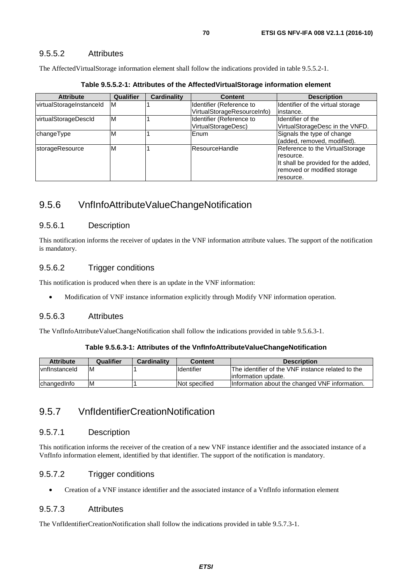### 9.5.5.2 Attributes

The AffectedVirtualStorage information element shall follow the indications provided in table 9.5.5.2-1.

| <b>Attribute</b>         | <b>Qualifier</b> | Cardinality | <b>Content</b>              | <b>Description</b>                  |
|--------------------------|------------------|-------------|-----------------------------|-------------------------------------|
| virtualStorageInstanceId | ΙM               |             | Identifier (Reference to    | Identifier of the virtual storage   |
|                          |                  |             | VirtualStorageResourceInfo) | linstance.                          |
| virtualStorageDescId     | ΙM               |             | Identifier (Reference to    | Identifier of the                   |
|                          |                  |             | VirtualStorageDesc)         | VirtualStorageDesc in the VNFD.     |
| changeType               | M                |             | Enum                        | Signals the type of change          |
|                          |                  |             |                             | (added, removed, modified).         |
| <b>storageResource</b>   | M                |             | <b>ResourceHandle</b>       | Reference to the VirtualStorage     |
|                          |                  |             |                             | resource.                           |
|                          |                  |             |                             | It shall be provided for the added, |
|                          |                  |             |                             | removed or modified storage         |
|                          |                  |             |                             | resource.                           |

**Table 9.5.5.2-1: Attributes of the AffectedVirtualStorage information element** 

# 9.5.6 VnfInfoAttributeValueChangeNotification

### 9.5.6.1 Description

This notification informs the receiver of updates in the VNF information attribute values. The support of the notification is mandatory.

### 9.5.6.2 Trigger conditions

This notification is produced when there is an update in the VNF information:

• Modification of VNF instance information explicitly through Modify VNF information operation.

### 9.5.6.3 Attributes

The VnfInfoAttributeValueChangeNotification shall follow the indications provided in table 9.5.6.3-1.

#### **Table 9.5.6.3-1: Attributes of the VnfInfoAttributeValueChangeNotification**

| <b>Attribute</b>       | Qualifier | Cardinality | <b>Content</b>     | <b>Description</b>                                |
|------------------------|-----------|-------------|--------------------|---------------------------------------------------|
| <i>I</i> vnfInstanceId | -M        |             | <b>I</b> dentifier | The identifier of the VNF instance related to the |
|                        |           |             |                    | linformation update.                              |
| changed Info           | ΙM        |             | Not specified      | Information about the changed VNF information.    |

# 9.5.7 VnfIdentifierCreationNotification

### 9.5.7.1 Description

This notification informs the receiver of the creation of a new VNF instance identifier and the associated instance of a VnfInfo information element, identified by that identifier. The support of the notification is mandatory.

### 9.5.7.2 Trigger conditions

• Creation of a VNF instance identifier and the associated instance of a VnfInfo information element

### 9.5.7.3 Attributes

The VnfIdentifierCreationNotification shall follow the indications provided in table 9.5.7.3-1.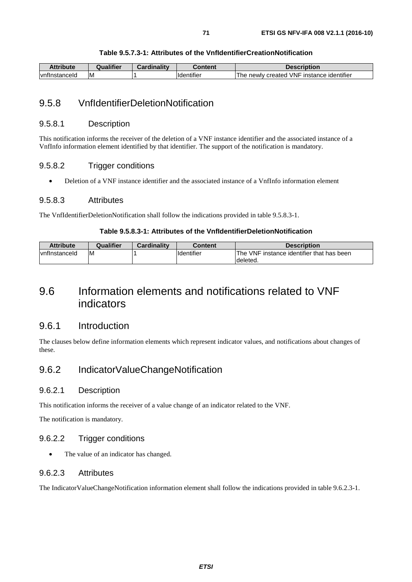#### **Table 9.5.7.3-1: Attributes of the VnfIdentifierCreationNotification**

| Attribute             | ∡ualifier | Cardinalitv | Content                        | <b>Description</b>                           |
|-----------------------|-----------|-------------|--------------------------------|----------------------------------------------|
| <b>Ivnflnstanceld</b> | ΙM        |             | $\cdots$<br><b>ildentifier</b> | instance identifier<br>The newlv created VNF |

# 9.5.8 VnfIdentifierDeletionNotification

#### 9.5.8.1 Description

This notification informs the receiver of the deletion of a VNF instance identifier and the associated instance of a VnfInfo information element identified by that identifier. The support of the notification is mandatory.

#### 9.5.8.2 Trigger conditions

• Deletion of a VNF instance identifier and the associated instance of a VnfInfo information element

#### 9.5.8.3 Attributes

The VnfIdentifierDeletionNotification shall follow the indications provided in table 9.5.8.3-1.

#### **Table 9.5.8.3-1: Attributes of the VnfIdentifierDeletionNotification**

| Attribute     | Qualifier | <b>Cardinality</b> | Content            | <b>Description</b>                        |
|---------------|-----------|--------------------|--------------------|-------------------------------------------|
| vnflnstanceld | ΙM        |                    | <b>I</b> dentifier | The VNF instance identifier that has been |
|               |           |                    |                    | Ideleted.                                 |

# 9.6 Information elements and notifications related to VNF indicators

### 9.6.1 Introduction

The clauses below define information elements which represent indicator values, and notifications about changes of these.

# 9.6.2 IndicatorValueChangeNotification

#### 9.6.2.1 Description

This notification informs the receiver of a value change of an indicator related to the VNF.

The notification is mandatory.

### 9.6.2.2 Trigger conditions

• The value of an indicator has changed.

#### 9.6.2.3 Attributes

The IndicatorValueChangeNotification information element shall follow the indications provided in table 9.6.2.3-1.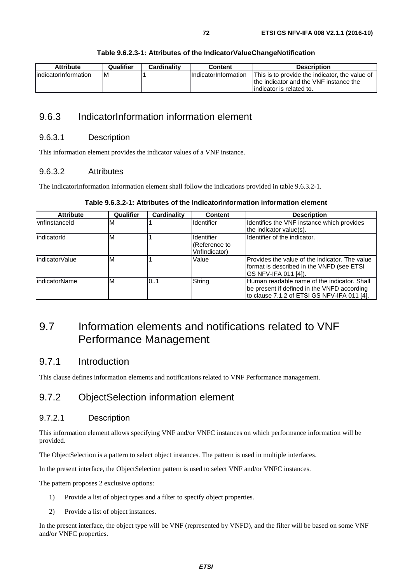#### **Table 9.6.2.3-1: Attributes of the IndicatorValueChangeNotification**

# 9.6.3 IndicatorInformation information element

#### 9.6.3.1 Description

This information element provides the indicator values of a VNF instance.

#### 9.6.3.2 Attributes

The IndicatorInformation information element shall follow the indications provided in table 9.6.3.2-1.

| <b>Attribute</b>     | Qualifier | Cardinality | <b>Content</b>                               | <b>Description</b>                                                                                                                        |
|----------------------|-----------|-------------|----------------------------------------------|-------------------------------------------------------------------------------------------------------------------------------------------|
| <b>vnflnstanceld</b> | M         |             | Identifier                                   | Identifies the VNF instance which provides<br>the indicator value(s).                                                                     |
| indicatorId          | ΙM        |             | Identifier<br>(Reference to<br>VnfIndicator) | Ildentifier of the indicator.                                                                                                             |
| indicatorValue       | ΙM        |             | Value                                        | IProvides the value of the indicator. The value<br>format is described in the VNFD (see ETSI<br>IGS NFV-IFA 011 [4]).                     |
| <b>IndicatorName</b> | ΙM        | 0.1         | String                                       | Human readable name of the indicator. Shall<br>be present if defined in the VNFD according<br>to clause 7.1.2 of ETSI GS NFV-IFA 011 [4]. |

**Table 9.6.3.2-1: Attributes of the IndicatorInformation information element** 

# 9.7 Information elements and notifications related to VNF Performance Management

# 9.7.1 Introduction

This clause defines information elements and notifications related to VNF Performance management.

# 9.7.2 ObjectSelection information element

### 9.7.2.1 Description

This information element allows specifying VNF and/or VNFC instances on which performance information will be provided.

The ObjectSelection is a pattern to select object instances. The pattern is used in multiple interfaces.

In the present interface, the ObjectSelection pattern is used to select VNF and/or VNFC instances.

The pattern proposes 2 exclusive options:

- 1) Provide a list of object types and a filter to specify object properties.
- 2) Provide a list of object instances.

In the present interface, the object type will be VNF (represented by VNFD), and the filter will be based on some VNF and/or VNFC properties.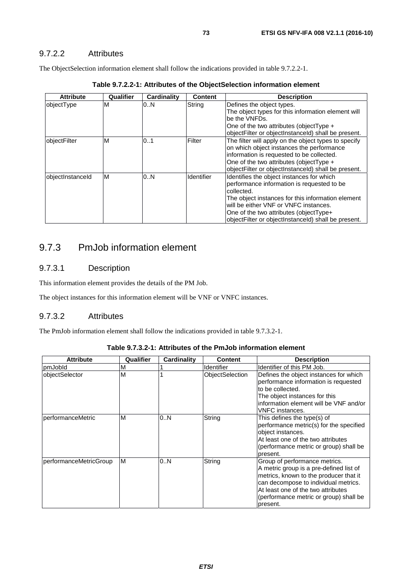The ObjectSelection information element shall follow the indications provided in table 9.7.2.2-1.

| <b>Attribute</b> | Qualifier | Cardinality | <b>Content</b> | <b>Description</b>                                                                                                                                                                                                                                                                                    |
|------------------|-----------|-------------|----------------|-------------------------------------------------------------------------------------------------------------------------------------------------------------------------------------------------------------------------------------------------------------------------------------------------------|
| objectType       | M         | 0N          | String         | Defines the object types.                                                                                                                                                                                                                                                                             |
|                  |           |             |                | The object types for this information element will<br>be the VNFDs.                                                                                                                                                                                                                                   |
|                  |           |             |                | One of the two attributes (object Type +                                                                                                                                                                                                                                                              |
|                  |           |             |                | objectFilter or objectInstanceId) shall be present.                                                                                                                                                                                                                                                   |
| objectFilter     | M         | 0.1         | Filter         | The filter will apply on the object types to specify<br>on which object instances the performance<br>information is requested to be collected.<br>One of the two attributes (objectType +<br>objectFilter or objectInstanceId) shall be present.                                                      |
| objectInstanceId | M         | 0N          | Identifier     | Identifies the object instances for which<br>performance information is requested to be<br>collected.<br>The object instances for this information element<br>will be either VNF or VNFC instances.<br>One of the two attributes (object Type+<br>objectFilter or objectInstanceId) shall be present. |

**Table 9.7.2.2-1: Attributes of the ObjectSelection information element** 

# 9.7.3 PmJob information element

## 9.7.3.1 Description

This information element provides the details of the PM Job.

The object instances for this information element will be VNF or VNFC instances.

## 9.7.3.2 Attributes

The PmJob information element shall follow the indications provided in table 9.7.3.2-1.

| <b>Attribute</b>       | Qualifier | Cardinality | <b>Content</b>    | <b>Description</b>                                                                                                                                                                                                                                     |
|------------------------|-----------|-------------|-------------------|--------------------------------------------------------------------------------------------------------------------------------------------------------------------------------------------------------------------------------------------------------|
| pmJobld                | M         |             | <b>Identifier</b> | Identifier of this PM Job.                                                                                                                                                                                                                             |
| objectSelector         | M         |             | ObjectSelection   | Defines the object instances for which<br>performance information is requested<br>to be collected.<br>The object instances for this<br>information element will be VNF and/or<br><b>VNFC</b> instances.                                                |
| performanceMetric      | M         | 0.N         | String            | This defines the type(s) of<br>performance metric(s) for the specified<br>object instances.<br>At least one of the two attributes<br>(performance metric or group) shall be<br>present.                                                                |
| performanceMetricGroup | ΙM        | 0N          | String            | Group of performance metrics.<br>A metric group is a pre-defined list of<br>metrics, known to the producer that it<br>can decompose to individual metrics.<br>At least one of the two attributes<br>(performance metric or group) shall be<br>present. |

**Table 9.7.3.2-1: Attributes of the PmJob information element**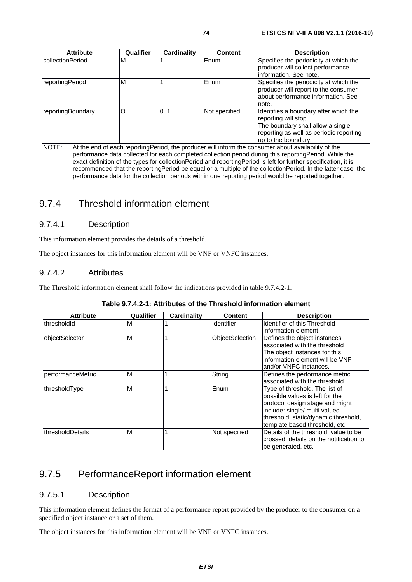| <b>Attribute</b>        | Qualifier | <b>Cardinality</b> | <b>Content</b> | <b>Description</b>                                                                                                                                                                                                                                                                                                                                                                                                                                 |
|-------------------------|-----------|--------------------|----------------|----------------------------------------------------------------------------------------------------------------------------------------------------------------------------------------------------------------------------------------------------------------------------------------------------------------------------------------------------------------------------------------------------------------------------------------------------|
| <b>collectionPeriod</b> | ΙM        |                    | Enum           | Specifies the periodicity at which the<br>producer will collect performance<br>linformation. See note.                                                                                                                                                                                                                                                                                                                                             |
| reportingPeriod         | M         |                    | Enum           | Specifies the periodicity at which the<br>producer will report to the consumer<br>about performance information. See<br>note.                                                                                                                                                                                                                                                                                                                      |
| reportingBoundary       | O         | 0.1                | Not specified  | Identifies a boundary after which the<br>reporting will stop.<br>The boundary shall allow a single<br>reporting as well as periodic reporting<br>up to the boundary.                                                                                                                                                                                                                                                                               |
| <b>NOTE:</b>            |           |                    |                | At the end of each reporting Period, the producer will inform the consumer about availability of the<br>performance data collected for each completed collection period during this reporting Period. While the<br>exact definition of the types for collectionPeriod and reportingPeriod is left for further specification, it is<br>recommended that the reportingPeriod be equal or a multiple of the collectionPeriod. In the latter case, the |

performance data for the collection periods within one reporting period would be reported together.

# 9.7.4 Threshold information element

## 9.7.4.1 Description

This information element provides the details of a threshold.

The object instances for this information element will be VNF or VNFC instances.

## 9.7.4.2 Attributes

The Threshold information element shall follow the indications provided in table 9.7.4.2-1.

|  | Table 9.7.4.2-1: Attributes of the Threshold information element |
|--|------------------------------------------------------------------|
|--|------------------------------------------------------------------|

| <b>Attribute</b>  | Qualifier | Cardinality | Content         | <b>Description</b>                                                                                                                                                                                              |
|-------------------|-----------|-------------|-----------------|-----------------------------------------------------------------------------------------------------------------------------------------------------------------------------------------------------------------|
| thresholdId       | м         |             | Identifier      | Identifier of this Threshold<br>information element.                                                                                                                                                            |
| objectSelector    | M         |             | ObjectSelection | Defines the object instances<br>associated with the threshold<br>The object instances for this<br>information element will be VNF<br>land/or VNFC instances.                                                    |
| performanceMetric | M         |             | String          | Defines the performance metric<br>associated with the threshold.                                                                                                                                                |
| thresholdType     | M         |             | Enum            | Type of threshold. The list of<br>possible values is left for the<br>protocol design stage and might<br>include: single/ multi valued<br>threshold, static/dynamic threshold,<br>template based threshold, etc. |
| IthresholdDetails | М         |             | Not specified   | Details of the threshold: value to be<br>crossed, details on the notification to<br>be generated, etc.                                                                                                          |

# 9.7.5 PerformanceReport information element

#### 9.7.5.1 Description

This information element defines the format of a performance report provided by the producer to the consumer on a specified object instance or a set of them.

The object instances for this information element will be VNF or VNFC instances.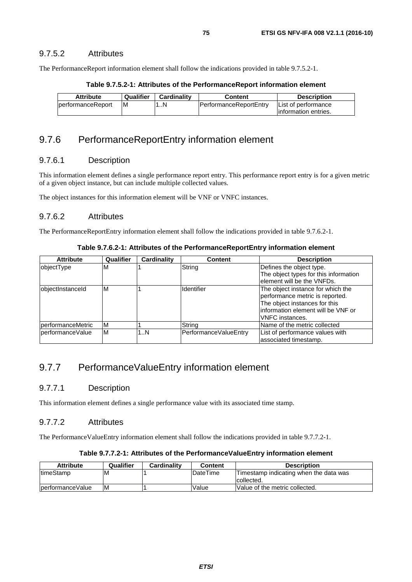#### 9.7.5.2 Attributes

The PerformanceReport information element shall follow the indications provided in table 9.7.5.2-1.

| Table 9.7.5.2-1: Attributes of the PerformanceReport information element |  |  |  |  |  |  |
|--------------------------------------------------------------------------|--|--|--|--|--|--|
|--------------------------------------------------------------------------|--|--|--|--|--|--|

| <b>Attribute</b>          | Qualifier | Cardinality | Content                        | <b>Description</b>    |
|---------------------------|-----------|-------------|--------------------------------|-----------------------|
| <b>IperformanceReport</b> | ıм        | . N         | <b>IPerformanceReportEntry</b> | List of performance   |
|                           |           |             |                                | linformation entries. |

## 9.7.6 PerformanceReportEntry information element

#### 9.7.6.1 Description

This information element defines a single performance report entry. This performance report entry is for a given metric of a given object instance, but can include multiple collected values.

The object instances for this information element will be VNF or VNFC instances.

#### 9.7.6.2 Attributes

The PerformanceReportEntry information element shall follow the indications provided in table 9.7.6.2-1.

| Table 9.7.6.2-1: Attributes of the PerformanceReportEntry information element |  |
|-------------------------------------------------------------------------------|--|
|-------------------------------------------------------------------------------|--|

| <b>Attribute</b>  | Qualifier | Cardinality | <b>Content</b>        | <b>Description</b>                    |
|-------------------|-----------|-------------|-----------------------|---------------------------------------|
| objectType        | ΙM        |             | String                | Defines the object type.              |
|                   |           |             |                       | The object types for this information |
|                   |           |             |                       | element will be the VNFDs.            |
| objectInstanceId  | M         |             | Identifier            | The object instance for which the     |
|                   |           |             |                       | performance metric is reported.       |
|                   |           |             |                       | The object instances for this         |
|                   |           |             |                       | information element will be VNF or    |
|                   |           |             |                       | <b>VNFC</b> instances.                |
| performanceMetric | ΙM        |             | String                | Name of the metric collected          |
| berformanceValue  | M         | 1N          | PerformanceValueEntry | List of performance values with       |
|                   |           |             |                       | associated timestamp.                 |

# 9.7.7 PerformanceValueEntry information element

#### 9.7.7.1 Description

This information element defines a single performance value with its associated time stamp.

## 9.7.7.2 Attributes

The PerformanceValueEntry information element shall follow the indications provided in table 9.7.7.2-1.

#### **Table 9.7.7.2-1: Attributes of the PerformanceValueEntry information element**

| <b>Attribute</b>  | Qualifier | <b>Cardinality</b> | Content         | <b>Description</b>                     |
|-------------------|-----------|--------------------|-----------------|----------------------------------------|
| <b>ItimeStamp</b> | ΙM        |                    | <b>DateTime</b> | Timestamp indicating when the data was |
|                   |           |                    |                 | collected.                             |
| IperformanceValue | ΙM        |                    | Value           | Value of the metric collected.         |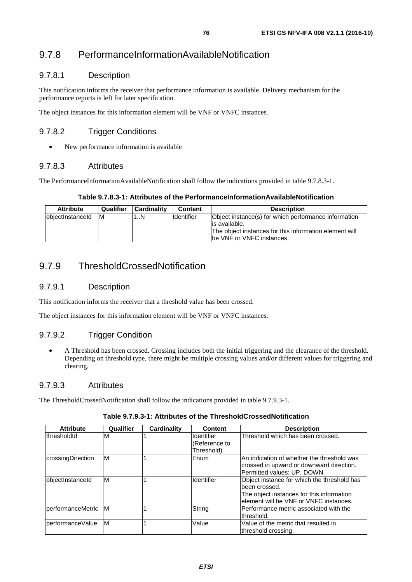# 9.7.8 PerformanceInformationAvailableNotification

## 9.7.8.1 Description

This notification informs the receiver that performance information is available. Delivery mechanism for the performance reports is left for later specification.

The object instances for this information element will be VNF or VNFC instances.

## 9.7.8.2 Trigger Conditions

• New performance information is available

#### 9.7.8.3 Attributes

The PerformanceInformationAvailableNotification shall follow the indications provided in table 9.7.8.3-1.

#### **Table 9.7.8.3-1: Attributes of the PerformanceInformationAvailableNotification**

| <b>Attribute</b>  | Qualifier | Cardinality | <b>Content</b> | <b>Description</b>                                                                                                                                             |
|-------------------|-----------|-------------|----------------|----------------------------------------------------------------------------------------------------------------------------------------------------------------|
| lobiectInstanceId | - IM      | N           | lldentifier    | Object instance(s) for which performance information<br>lis available.<br>The object instances for this information element will<br>Ibe VNF or VNFC instances. |

# 9.7.9 ThresholdCrossedNotification

#### 9.7.9.1 Description

This notification informs the receiver that a threshold value has been crossed.

The object instances for this information element will be VNF or VNFC instances.

## 9.7.9.2 Trigger Condition

• A Threshold has been crossed. Crossing includes both the initial triggering and the clearance of the threshold. Depending on threshold type, there might be multiple crossing values and/or different values for triggering and clearing.

#### 9.7.9.3 Attributes

The ThresholdCrossedNotification shall follow the indications provided in table 9.7.9.3-1.

| <b>Attribute</b>      | Qualifier | Cardinality | <b>Content</b>                                   | <b>Description</b>                                                                                                                                    |
|-----------------------|-----------|-------------|--------------------------------------------------|-------------------------------------------------------------------------------------------------------------------------------------------------------|
| lthresholdId          | ΙM        |             | <b>Identifier</b><br>(Reference to<br>Threshold) | Threshold which has been crossed.                                                                                                                     |
| crossingDirection     | ΙM        |             | <b>Enum</b>                                      | IAn indication of whether the threshold was<br>crossed in upward or downward direction.<br>Permitted values: UP, DOWN.                                |
| objectInstanceId      | ΙM        |             | Identifier                                       | Object instance for which the threshold has<br>lbeen crossed.<br>The object instances for this information<br>lelement will be VNF or VNFC instances. |
| lperformanceMetric IM |           |             | String                                           | IPerformance metric associated with the<br>lthreshold.                                                                                                |
| lperformanceValue     | M         |             | Value                                            | Value of the metric that resulted in<br>threshold crossing.                                                                                           |

#### **Table 9.7.9.3-1: Attributes of the ThresholdCrossedNotification**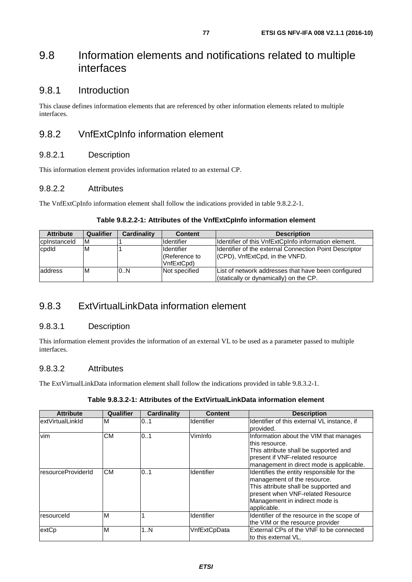# 9.8 Information elements and notifications related to multiple interfaces

## 9.8.1 Introduction

This clause defines information elements that are referenced by other information elements related to multiple interfaces.

# 9.8.2 VnfExtCpInfo information element

#### 9.8.2.1 Description

This information element provides information related to an external CP.

#### 9.8.2.2 Attributes

The VnfExtCpInfo information element shall follow the indications provided in table 9.8.2.2-1.

| <b>Attribute</b> | Qualifier | <b>Cardinality</b> | <b>Content</b>                                   | <b>Description</b>                                                                            |
|------------------|-----------|--------------------|--------------------------------------------------|-----------------------------------------------------------------------------------------------|
| cplnstanceld     | ΙM        |                    | Identifier                                       | Ildentifier of this VnfExtCpInfo information element.                                         |
| cpdld            | ΙM        |                    | <b>Identifier</b><br>(Reference to<br>VnfExtCpd) | Ildentifier of the external Connection Point Descriptor<br>(CPD), VnfExtCpd, in the VNFD.     |
| laddress         | ΙM        | 0.N                | Not specified                                    | List of network addresses that have been configured<br>(statically or dynamically) on the CP. |

#### **Table 9.8.2.2-1: Attributes of the VnfExtCpInfo information element**

# 9.8.3 ExtVirtualLinkData information element

#### 9.8.3.1 Description

This information element provides the information of an external VL to be used as a parameter passed to multiple interfaces.

#### 9.8.3.2 Attributes

The ExtVirtualLinkData information element shall follow the indications provided in table 9.8.3.2-1.

#### **Table 9.8.3.2-1: Attributes of the ExtVirtualLinkData information element**

| <b>Attribute</b>   | <b>Qualifier</b> | Cardinality | <b>Content</b> | <b>Description</b>                                                                                                                                                                                      |
|--------------------|------------------|-------------|----------------|---------------------------------------------------------------------------------------------------------------------------------------------------------------------------------------------------------|
| extVirtualLinkId   | M                | 01          | Identifier     | Identifier of this external VL instance, if<br>Iprovided.                                                                                                                                               |
| <b>vim</b>         | <b>CM</b>        | 0.1         | VimInfo        | Information about the VIM that manages<br>lthis resource.<br>This attribute shall be supported and<br>present if VNF-related resource<br>management in direct mode is applicable.                       |
| resourceProviderId | <b>CM</b>        | 101         | Identifier     | Identifies the entity responsible for the<br>management of the resource.<br>This attribute shall be supported and<br>present when VNF-related Resource<br>Management in indirect mode is<br>applicable. |
| resourceld         | M                |             | Identifier     | Identifier of the resource in the scope of<br>the VIM or the resource provider                                                                                                                          |
| extCp              | M                | 1N          | VnfExtCpData   | External CPs of the VNF to be connected<br>lto this external VL.                                                                                                                                        |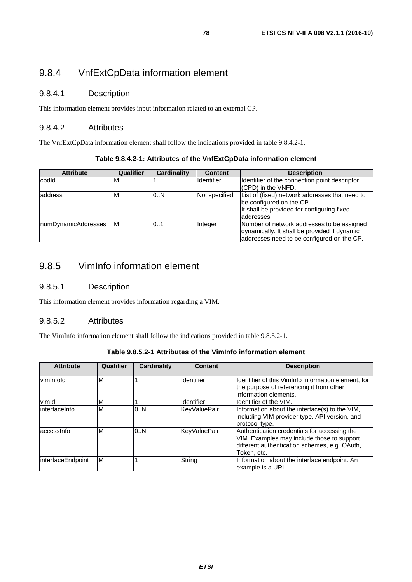# 9.8.4 VnfExtCpData information element

## 9.8.4.1 Description

This information element provides input information related to an external CP.

### 9.8.4.2 Attributes

The VnfExtCpData information element shall follow the indications provided in table 9.8.4.2-1.

|  | Table 9.8.4.2-1: Attributes of the VnfExtCpData information element |
|--|---------------------------------------------------------------------|
|--|---------------------------------------------------------------------|

| <b>Attribute</b>    | Qualifier | <b>Cardinality</b> | <b>Content</b>    | <b>Description</b>                             |
|---------------------|-----------|--------------------|-------------------|------------------------------------------------|
| cpdld               | M         |                    | <b>Identifier</b> | Identifier of the connection point descriptor  |
|                     |           |                    |                   | (CPD) in the VNFD.                             |
| address             | м         | 0.N                | Not specified     | List of (fixed) network addresses that need to |
|                     |           |                    |                   | be configured on the CP.                       |
|                     |           |                    |                   | It shall be provided for configuring fixed     |
|                     |           |                    |                   | laddresses.                                    |
| numDynamicAddresses | ΙM        | 01                 | Integer           | Number of network addresses to be assigned     |
|                     |           |                    |                   | dynamically. It shall be provided if dynamic   |
|                     |           |                    |                   | addresses need to be configured on the CP.     |

# 9.8.5 VimInfo information element

## 9.8.5.1 Description

This information element provides information regarding a VIM.

#### 9.8.5.2 Attributes

The VimInfo information element shall follow the indications provided in table 9.8.5.2-1.

| Table 9.8.5.2-1 Attributes of the VimInfo information element |  |
|---------------------------------------------------------------|--|
|---------------------------------------------------------------|--|

| <b>Attribute</b>  | Qualifier | Cardinality | <b>Content</b>      | <b>Description</b>                                                                                                                                         |
|-------------------|-----------|-------------|---------------------|------------------------------------------------------------------------------------------------------------------------------------------------------------|
| vimInfold         | M         |             | Identifier          | Identifier of this VimInfo information element, for<br>the purpose of referencing it from other<br>linformation elements.                                  |
| vimld             | M         |             | Identifier          | Identifier of the VIM.                                                                                                                                     |
| interfaceInfo     | M         | 0.N         | <b>KeyValuePair</b> | Information about the interface(s) to the VIM,<br>including VIM provider type, API version, and<br>protocol type.                                          |
| laccessinfo       | M         | 0.N         | <b>KeyValuePair</b> | Authentication credentials for accessing the<br>VIM. Examples may include those to support<br>different authentication schemes, e.g. OAuth,<br>Token, etc. |
| interfaceEndpoint | M         |             | String              | Information about the interface endpoint. An<br>example is a URL.                                                                                          |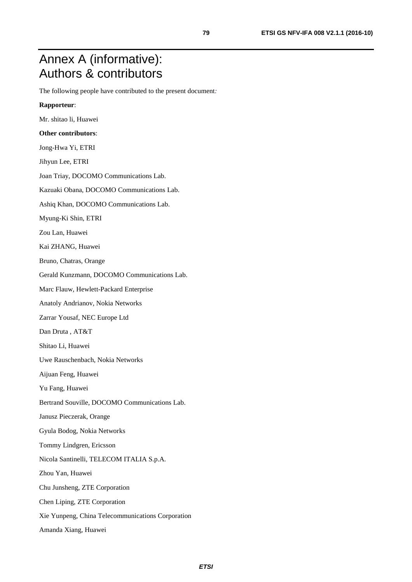# Annex A (informative): Authors & contributors

The following people have contributed to the present document*:* 

#### **Rapporteur**:

Mr. shitao li, Huawei

#### **Other contributors**:

- Jong-Hwa Yi, ETRI
- Jihyun Lee, ETRI
- Joan Triay, DOCOMO Communications Lab.
- Kazuaki Obana, DOCOMO Communications Lab.
- Ashiq Khan, DOCOMO Communications Lab.
- Myung-Ki Shin, ETRI
- Zou Lan, Huawei
- Kai ZHANG, Huawei
- Bruno, Chatras, Orange
- Gerald Kunzmann, DOCOMO Communications Lab.
- Marc Flauw, Hewlett-Packard Enterprise
- Anatoly Andrianov, Nokia Networks
- Zarrar Yousaf, NEC Europe Ltd
- Dan Druta , AT&T
- Shitao Li, Huawei
- Uwe Rauschenbach, Nokia Networks
- Aijuan Feng, Huawei
- Yu Fang, Huawei
- Bertrand Souville, DOCOMO Communications Lab.
- Janusz Pieczerak, Orange
- Gyula Bodog, Nokia Networks
- Tommy Lindgren, Ericsson
- Nicola Santinelli, TELECOM ITALIA S.p.A.
- Zhou Yan, Huawei
- Chu Junsheng, ZTE Corporation
- Chen Liping, ZTE Corporation
- Xie Yunpeng, China Telecommunications Corporation
- Amanda Xiang, Huawei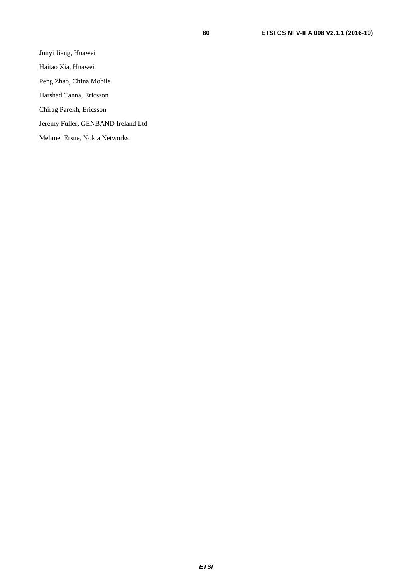Haitao Xia, Huawei

Peng Zhao, China Mobile

Harshad Tanna, Ericsson

Chirag Parekh, Ericsson

Jeremy Fuller, GENBAND Ireland Ltd

Mehmet Ersue, Nokia Networks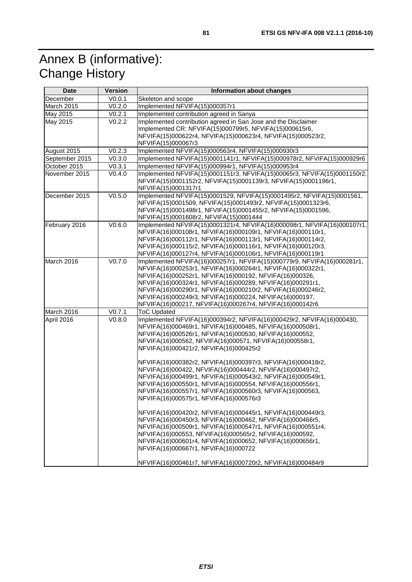# Annex B (informative): Change History

| <b>Date</b>    | <b>Version</b> | Information about changes                                                                                           |  |  |
|----------------|----------------|---------------------------------------------------------------------------------------------------------------------|--|--|
| December       | V0.0.1         | Skeleton and scope                                                                                                  |  |  |
| March 2015     | V0.2.0         | Implemented NFVIFA(15)000357r1                                                                                      |  |  |
| May 2015       | V0.2.1         | Implemented contribution agreed in Sanya                                                                            |  |  |
| May 2015       | V0.2.2         | Implemented contribution agreed in San Jose and the Disclaimer                                                      |  |  |
|                |                | Implemented CR: NFVIFA(15)000799r5, NFVIFA(15)000615r6,                                                             |  |  |
|                |                | NFVIFA(15)000622r4, NFVIFA(15)000623r4, NFVIFA(15)000523r2,                                                         |  |  |
|                |                | NFVIFA(15)000067r3                                                                                                  |  |  |
| August 2015    | V0.2.3         | Implemented NFVIFA(15)000563r4, NFVIFA(15)000930r3                                                                  |  |  |
| September 2015 | V0.3.0         | Implemented NFVIFA(15)0001141r1, NFVIFA(15)000978r2, NFVIFA(15)000929r6                                             |  |  |
| October 2015   | V0.3.1         | Implemented NFVIFA(15)000994r1, NFVIFA(15)000953r4                                                                  |  |  |
| November 2015  | V0.4.0         | Implemented NFVIFA(15)0001151r3, NFVIFA(15)00065r3, NFVIFA(15)0001150r2,                                            |  |  |
|                |                | NFVIFA(15)0001152r2, NFVIFA(15)0001139r3, NFVIFA(15)0001196r1,                                                      |  |  |
| December 2015  | V0.5.0         | NFVIFA(15)0001317r1<br>Implemented NFVIFA(15)0001529, NFVIFA(15)0001495r2, NFVIFA(15)0001561,                       |  |  |
|                |                | NFVIFA(15)0001509, NFVIFA(15)0001493r2, NFVIFA(15)0001323r6,                                                        |  |  |
|                |                | NFVIFA(15)0001498r1, NFVIFA(15)0001455r2, NFVIFA(15)0001596,                                                        |  |  |
|                |                | NFVIFA(15)0001608r2, NFVIFA(15)0001444                                                                              |  |  |
| February 2016  | V0.6.0         | Implemented NFVIFA(15)0001321r4, NFVIFA(16)000098r1, NFVIFA(16)000107r1,                                            |  |  |
|                |                | NFVIFA(16)000108r1, NFVIFA(16)000109r1, NFVIFA(16)000110r1,                                                         |  |  |
|                |                | NFVIFA(16)000112r1, NFVIFA(16)000113r1, NFVIFA(16)000114r2,                                                         |  |  |
|                |                | NFVIFA(16)000115r2, NFVIFA(16)000116r1, NFVIFA(16)000120r3,                                                         |  |  |
|                |                | NFVIFA(16)000127r4, NFVIFA(16)000106r1, NFVIFA(16)000119r1                                                          |  |  |
| March 2016     | V0.7.0         | Implemented NFVIFA(16)000257r1, NFVIFA(15)000779r9, NFVIFA(16)000281r1,                                             |  |  |
|                |                | NFVIFA(16)000253r1, NFVIFA(16)000264r1, NFVIFA(16)000322r1,                                                         |  |  |
|                |                | NFVIFA(16)000252r1, NFVIFA(16)000192, NFVIFA(16)000326,                                                             |  |  |
|                |                | NFVIFA(16)000324r1, NFVIFA(16)000289, NFVIFA(16)000291r1,                                                           |  |  |
|                |                | NFVIFA(16)000290r1, NFVIFA(16)000210r2, NFVIFA(16)000246r2,                                                         |  |  |
|                |                | NFVIFA(16)000249r3, NFVIFA(16)000224, NFVIFA(16)000197,<br>NFVIFA(16)000217, NFVIFA(16)000267r4, NFVIFA(16)000142r6 |  |  |
| March 2016     | V0.7.1         | <b>ToC Updated</b>                                                                                                  |  |  |
| April 2016     | V0.8.0         | Implemented NFVIFA(16)000394r2, NFVIFA(16)000429r2, NFVIFA(16)000430,                                               |  |  |
|                |                | NFVIFA(16)000469r1, NFVIFA(16)000485, NFVIFA(16)000508r1,                                                           |  |  |
|                |                | NFVIFA(16)000526r1, NFVIFA(16)000530, NFVIFA(16)000552,                                                             |  |  |
|                |                | NFVIFA(16)000562, NFVIFA(16)000571, NFVIFA(16)000558r1,                                                             |  |  |
|                |                | NFVIFA(16)000421r2, NFVIFA(16)000425r2                                                                              |  |  |
|                |                |                                                                                                                     |  |  |
|                |                | NFVIFA(16)000382r2, NFVIFA(16)000397r3, NFVIFA(16)000418r2,                                                         |  |  |
|                |                | NFVIFA(16)000422, NFVIFA(16)000444r2, NFVIFA(16)000497r2,                                                           |  |  |
|                |                | NFVIFA(16)000499r1, NFVIFA(16)000543r2, NFVIFA(16)000549r1,                                                         |  |  |
|                |                | NFVIFA(16)000550r1, NFVIFA(16)000554, NFVIFA(16)000556r1,                                                           |  |  |
|                |                | NFVIFA(16)000557r1, NFVIFA(16)000560r3, NFVIFA(16)000563,                                                           |  |  |
|                |                | NFVIFA(16)000575r1, NFVIFA(16)000576r3                                                                              |  |  |
|                |                | NFVIFA(16)000420r2, NFVIFA(16)000445r1, NFVIFA(16)000449r3,                                                         |  |  |
|                |                | NFVIFA(16)000450r3, NFVIFA(16)000462, NFVIFA(16)000466r5,                                                           |  |  |
|                |                | NFVIFA(16)000509r1, NFVIFA(16)000547r1, NFVIFA(16)000551r4,                                                         |  |  |
|                |                | NFVIFA(16)000553, NFVIFA(16)000565r2, NFVIFA(16)000592,                                                             |  |  |
|                |                | NFVIFA(16)000601r4, NFVIFA(16)000652, NFVIFA(16)000656r1,                                                           |  |  |
|                |                | NFVIFA(16)000667r1, NFVIFA(16)000722                                                                                |  |  |
|                |                |                                                                                                                     |  |  |
|                |                | NFVIFA(16)000461r7, NFVIFA(16)000720r2, NFVIFA(16)000484r9                                                          |  |  |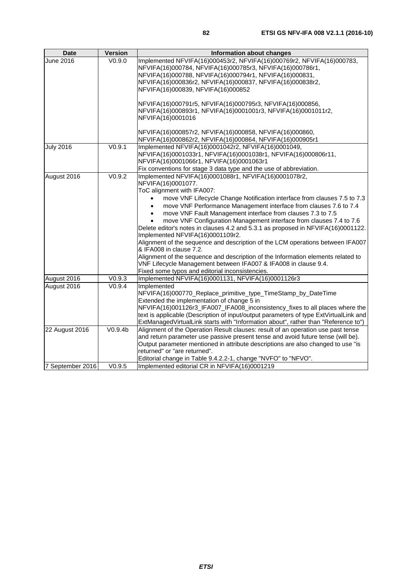| <b>Date</b>      | <b>Version</b>     | Information about changes                                                             |
|------------------|--------------------|---------------------------------------------------------------------------------------|
| June 2016        | V0.9.0             | Implemented NFVIFA(16)000453r2, NFVIFA(16)000769r2, NFVIFA(16)000783,                 |
|                  |                    | NFVIFA(16)000784, NFVIFA(16)000785r3, NFVIFA(16)000786r1,                             |
|                  |                    | NFVIFA(16)000788, NFVIFA(16)000794r1, NFVIFA(16)000831,                               |
|                  |                    | NFVIFA(16)000836r2, NFVIFA(16)000837, NFVIFA(16)000838r2,                             |
|                  |                    | NFVIFA(16)000839, NFVIFA(16)000852                                                    |
|                  |                    |                                                                                       |
|                  |                    | NFVIFA(16)000791r5, NFVIFA(16)000795r3, NFVIFA(16)000856,                             |
|                  |                    | NFVIFA(16)000893r1, NFVIFA(16)0001001r3, NFVIFA(16)0001011r2,                         |
|                  |                    | NFVIFA(16)0001016                                                                     |
|                  |                    | NFVIFA(16)000857r2, NFVIFA(16)000858, NFVIFA(16)000860,                               |
|                  |                    | NFVIFA(16)000862r2, NFVIFA(16)000864, NFVIFA(16)000905r1                              |
| <b>July 2016</b> | V0.9.1             | Implemented NFVIFA(16)0001042r2, NFVIFA(16)0001049,                                   |
|                  |                    | NFVIFA(16)0001033r1, NFVIFA(16)0001038r1, NFVIFA(16)000806r11,                        |
|                  |                    | NFVIFA(16)0001066r1, NFVIFA(16)0001063r1                                              |
|                  |                    | Fix conventions for stage 3 data type and the use of abbreviation.                    |
| August 2016      | V <sub>0.9.2</sub> | Implemented NFVIFA(16)0001088r1, NFVIFA(16)0001078r2,                                 |
|                  |                    | NFVIFA(16)0001077.                                                                    |
|                  |                    | ToC alignment with IFA007:                                                            |
|                  |                    | move VNF Lifecycle Change Notification interface from clauses 7.5 to 7.3              |
|                  |                    | move VNF Performance Management interface from clauses 7.6 to 7.4<br>$\bullet$        |
|                  |                    | move VNF Fault Management interface from clauses 7.3 to 7.5                           |
|                  |                    | move VNF Configuration Management interface from clauses 7.4 to 7.6                   |
|                  |                    | Delete editor's notes in clauses 4.2 and 5.3.1 as proposed in NFVIFA(16)0001122.      |
|                  |                    | Implemented NFVIFA(16)0001109r2.                                                      |
|                  |                    | Alignment of the sequence and description of the LCM operations between IFA007        |
|                  |                    | & IFA008 in clause 7.2.                                                               |
|                  |                    | Alignment of the sequence and description of the Information elements related to      |
|                  |                    | VNF Lifecycle Management between IFA007 & IFA008 in clause 9.4.                       |
|                  |                    | Fixed some typos and editorial inconsistencies.                                       |
| August 2016      | V0.9.3             | Implemented NFVIFA(16)0001131, NFVIFA(16)0001126r3                                    |
| August 2016      | V0.9.4             | Implemented                                                                           |
|                  |                    | NFVIFA(16)000770_Replace_primitive_type_TimeStamp_by_DateTime                         |
|                  |                    | Extended the implementation of change 5 in                                            |
|                  |                    | NFVIFA(16)001126r3_IFA007_IFA008_inconsistency_fixes to all places where the          |
|                  |                    | text is applicable (Description of input/output parameters of type ExtVirtualLink and |
|                  |                    | ExtManagedVirtualLink starts with "Information about", rather than "Reference to")    |
| 22 August 2016   | V0.9.4b            | Alignment of the Operation Result clauses: result of an operation use past tense      |
|                  |                    | and return parameter use passive present tense and avoid future tense (will be).      |
|                  |                    | Output parameter mentioned in attribute descriptions are also changed to use "is      |
|                  |                    | returned" or "are returned".                                                          |
|                  |                    | Editorial change in Table 9.4.2.2-1, change "NVFO" to "NFVO".                         |
| 7 September 2016 | V0.9.5             | Implemented editorial CR in NFVIFA(16)0001219                                         |